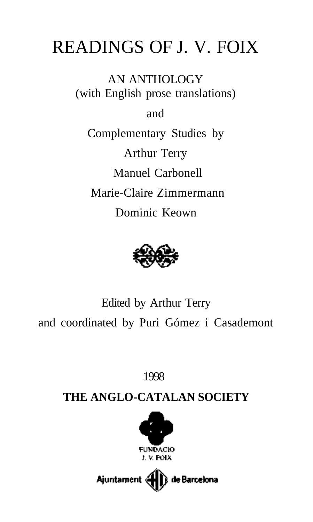# READINGS OF J. V. FOIX

AN ANTHOLOGY (with English prose translations)

and

Complementary Studies by Arthur Terry Manuel Carbonell Marie-Claire Zimmermann Dominic Keown



Edited by Arthur Terry and coordinated by Puri Gómez i Casademont

1998

# **THE ANGLO-CATALAN SOCIETY**



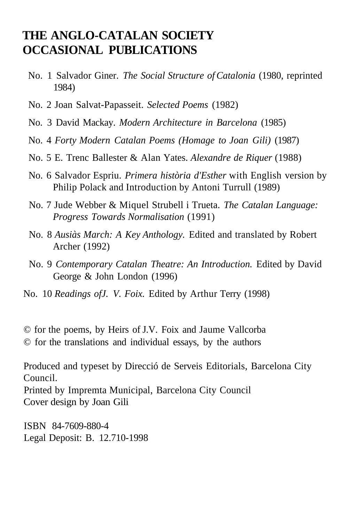# **THE ANGLO-CATALAN SOCIETY OCCASIONAL PUBLICATIONS**

- No. 1 Salvador Giner. *The Social Structure of Catalonia* (1980, reprinted 1984)
- No. 2 Joan Salvat-Papasseit. *Selected Poems* (1982)
- No. 3 David Mackay. *Modern Architecture in Barcelona* (1985)
- No. 4 *Forty Modern Catalan Poems (Homage to Joan Gili)* (1987)
- No. 5 E. Trenc Ballester & Alan Yates. *Alexandre de Riquer* (1988)
- No. 6 Salvador Espriu. *Primera història d'Esther* with English version by Philip Polack and Introduction by Antoni Turrull (1989)
- No. 7 Jude Webber & Miquel Strubell i Trueta. *The Catalan Language: Progress Towards Normalisation* (1991)
- No. 8 *Ausiàs March: A Key Anthology.* Edited and translated by Robert Archer (1992)
- No. 9 *Contemporary Catalan Theatre: An Introduction.* Edited by David George & John London (1996)
- No. 10 *Readings ofJ. V. Foix.* Edited by Arthur Terry (1998)
- © for the poems, by Heirs of J.V. Foix and Jaume Vallcorba
- © for the translations and individual essays, by the authors

Produced and typeset by Direcció de Serveis Editorials, Barcelona City Council.

Printed by Impremta Municipal, Barcelona City Council Cover design by Joan Gili

ISBN 84-7609-880-4 Legal Deposit: B. 12.710-1998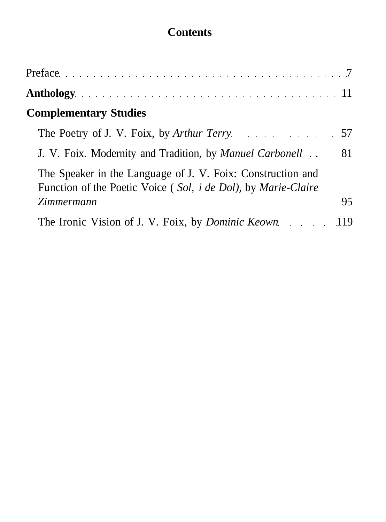# **Contents**

| Anthology and a substitution of the contract of the set of the set of the set of the set of the set of the set of the set of the set of the set of the set of the set of the set of the set of the set of the set of the set o |  |
|--------------------------------------------------------------------------------------------------------------------------------------------------------------------------------------------------------------------------------|--|
| <b>Complementary Studies</b>                                                                                                                                                                                                   |  |
|                                                                                                                                                                                                                                |  |
| 81<br>J. V. Foix. Modernity and Tradition, by Manuel Carbonell                                                                                                                                                                 |  |
| The Speaker in the Language of J. V. Foix: Construction and<br>Function of the Poetic Voice (Sol, <i>i de Dol</i> ), by <i>Marie-Claire</i>                                                                                    |  |
| Zimmermann 95                                                                                                                                                                                                                  |  |
| The Ironic Vision of J. V. Foix, by <i>Dominic Keown</i> 119                                                                                                                                                                   |  |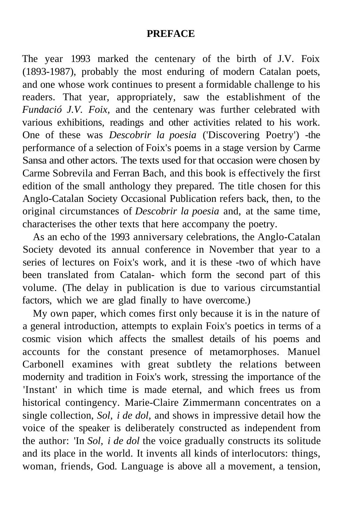#### **PREFACE**

The year 1993 marked the centenary of the birth of J.V. Foix (1893-1987), probably the most enduring of modern Catalan poets, and one whose work continues to present a formidable challenge to his readers. That year, appropriately, saw the establishment of the *Fundació J.V. Foix,* and the centenary was further celebrated with various exhibitions, readings and other activities related to his work. One of these was *Descobrir la poesia* ('Discovering Poetry') -the performance of a selection of Foix's poems in a stage version by Carme Sansa and other actors. The texts used for that occasion were chosen by Carme Sobrevila and Ferran Bach, and this book is effectively the first edition of the small anthology they prepared. The title chosen for this Anglo-Catalan Society Occasional Publication refers back, then, to the original circumstances of *Descobrir la poesia* and, at the same time, characterises the other texts that here accompany the poetry.

As an echo of the 1993 anniversary celebrations, the Anglo-Catalan Society devoted its annual conference in November that year to a series of lectures on Foix's work, and it is these -two of which have been translated from Catalan- which form the second part of this volume. (The delay in publication is due to various circumstantial factors, which we are glad finally to have overcome.)

My own paper, which comes first only because it is in the nature of a general introduction, attempts to explain Foix's poetics in terms of a cosmic vision which affects the smallest details of his poems and accounts for the constant presence of metamorphoses. Manuel Carbonell examines with great subtlety the relations between modernity and tradition in Foix's work, stressing the importance of the 'Instant' in which time is made eternal, and which frees us from historical contingency. Marie-Claire Zimmermann concentrates on a single collection, *Sol, i de dol,* and shows in impressive detail how the voice of the speaker is deliberately constructed as independent from the author: 'In *Sol, i de dol* the voice gradually constructs its solitude and its place in the world. It invents all kinds of interlocutors: things, woman, friends, God. Language is above all a movement, a tension,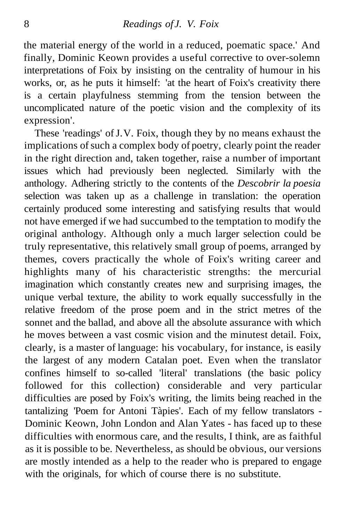the material energy of the world in a reduced, poematic space.' And finally, Dominic Keown provides a useful corrective to over-solemn interpretations of Foix by insisting on the centrality of humour in his works, or, as he puts it himself: 'at the heart of Foix's creativity there is a certain playfulness stemming from the tension between the uncomplicated nature of the poetic vision and the complexity of its expression'.

These 'readings' of J.V. Foix, though they by no means exhaust the implications of such a complex body of poetry, clearly point the reader in the right direction and, taken together, raise a number of important issues which had previously been neglected. Similarly with the anthology. Adhering strictly to the contents of the *Descobrir la poesia* selection was taken up as a challenge in translation: the operation certainly produced some interesting and satisfying results that would not have emerged if we had succumbed to the temptation to modify the original anthology. Although only a much larger selection could be truly representative, this relatively small group of poems, arranged by themes, covers practically the whole of Foix's writing career and highlights many of his characteristic strengths: the mercurial imagination which constantly creates new and surprising images, the unique verbal texture, the ability to work equally successfully in the relative freedom of the prose poem and in the strict metres of the sonnet and the ballad, and above all the absolute assurance with which he moves between a vast cosmic vision and the minutest detail. Foix, clearly, is a master of language: his vocabulary, for instance, is easily the largest of any modern Catalan poet. Even when the translator confines himself to so-called 'literal' translations (the basic policy followed for this collection) considerable and very particular difficulties are posed by Foix's writing, the limits being reached in the tantalizing 'Poem for Antoni Tàpies'. Each of my fellow translators - Dominic Keown, John London and Alan Yates - has faced up to these difficulties with enormous care, and the results, I think, are as faithful as it is possible to be. Nevertheless, as should be obvious, our versions are mostly intended as a help to the reader who is prepared to engage with the originals, for which of course there is no substitute.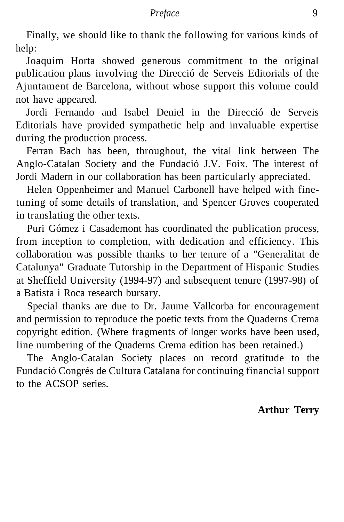Finally, we should like to thank the following for various kinds of help:

Joaquim Horta showed generous commitment to the original publication plans involving the Direcció de Serveis Editorials of the Ajuntament de Barcelona, without whose support this volume could not have appeared.

Jordi Fernando and Isabel Deniel in the Direcció de Serveis Editorials have provided sympathetic help and invaluable expertise during the production process.

Ferran Bach has been, throughout, the vital link between The Anglo-Catalan Society and the Fundació J.V. Foix. The interest of Jordi Madern in our collaboration has been particularly appreciated.

Helen Oppenheimer and Manuel Carbonell have helped with finetuning of some details of translation, and Spencer Groves cooperated in translating the other texts.

Puri Gómez i Casademont has coordinated the publication process, from inception to completion, with dedication and efficiency. This collaboration was possible thanks to her tenure of a "Generalitat de Catalunya" Graduate Tutorship in the Department of Hispanic Studies at Sheffield University (1994-97) and subsequent tenure (1997-98) of a Batista i Roca research bursary.

Special thanks are due to Dr. Jaume Vallcorba for encouragement and permission to reproduce the poetic texts from the Quaderns Crema copyright edition. (Where fragments of longer works have been used, line numbering of the Quaderns Crema edition has been retained.)

The Anglo-Catalan Society places on record gratitude to the Fundació Congrés de Cultura Catalana for continuing financial support to the ACSOP series.

## **Arthur Terry**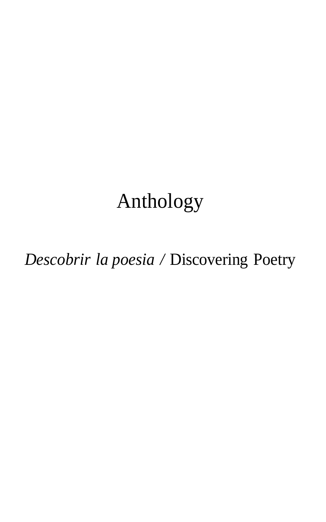# Anthology

*Descobrir la poesia /* Discovering Poetry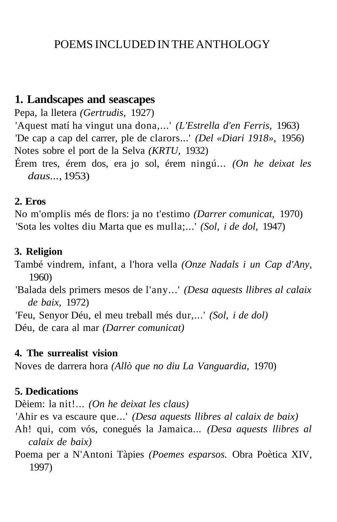# POEMS INCLUDED IN THE ANTHOLOGY

## **1. Landscapes and seascapes**

Pepa, la lletera *(Gertrudis,* 1927)

'Aquest matí ha vingut una dona,...' *(L'Estrella d'en Ferris,* 1963) 'De cap a cap del carrer, ple de clarors...' *(Del «Diari 1918»,* 1956) Notes sobre el port de la Selva *(KRTU,* 1932)

Érem tres, érem dos, era jo sol, érem ningú... *(On he deixat les daus...,* 1953)

## **2. Eros**

No m'omplis més de flors: ja no t'estimo *(Darrer comunicat,* 1970) 'Sota les voltes diu Marta que es mulla;...' *(Sol, i de dol,* 1947)

## **3. Religion**

També vindrem, infant, a l'hora vella *(Onze Nadals i un Cap d'Any,* 1960)

'Balada dels primers mesos de l'any...' *(Desa aquests llibres al calaix de baix,* 1972)

'Feu, Senyor Déu, el meu treball més dur,...' *(Sol, i de dol)* Déu, de cara al mar *(Darrer comunicat)*

## **4. The surrealist vision**

Noves de darrera hora *(Allò que no diu La Vanguardia,* 1970)

## **5. Dedications**

Dèiem: la nit!... *(On he deixat les claus)*

'Ahir es va escaure que...' *(Desa aquests llibres al calaix de baix)*

- Ah! qui, com vós, conegués la Jamaica... *(Desa aquests llibres al calaix de baix)*
- Poema per a N'Antoni Tàpies *(Poemes esparsos.* Obra Poètica XIV, 1997)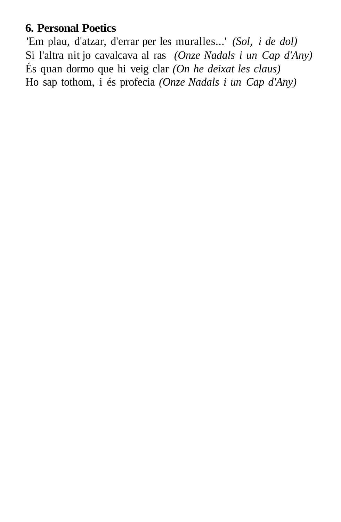## **6. Personal Poetics**

'Em plau, d'atzar, d'errar per les muralles...' *(Sol, i de dol)* Si l'altra nit jo cavalcava al ras *(Onze Nadals i un Cap d'Any)* És quan dormo que hi veig clar *(On he deixat les claus)* Ho sap tothom, i és profecia *(Onze Nadals i un Cap d'Any)*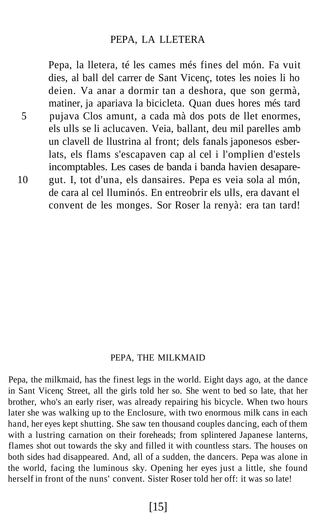#### PEPA, LA LLETERA

Pepa, la lletera, té les cames més fines del món. Fa vuit dies, al ball del carrer de Sant Vicenç, totes les noies li ho deien. Va anar a dormir tan a deshora, que son germà, matiner, ja apariava la bicicleta. Quan dues hores més tard 5 pujava Clos amunt, a cada mà dos pots de llet enormes, els ulls se li aclucaven. Veia, ballant, deu mil parelles amb un clavell de llustrina al front; dels fanals japonesos esberlats, els flams s'escapaven cap al cel i l'omplien d'estels incomptables. Les cases de banda i banda havien desapare-10 gut. I, tot d'una, els dansaires. Pepa es veia sola al món, de cara al cel lluminós. En entreobrir els ulls, era davant el convent de les monges. Sor Roser la renyà: era tan tard!

#### PEPA, THE MILKMAID

Pepa, the milkmaid, has the finest legs in the world. Eight days ago, at the dance in Sant Vicenç Street, all the girls told her so. She went to bed so late, that her brother, who's an early riser, was already repairing his bicycle. When two hours later she was walking up to the Enclosure, with two enormous milk cans in each hand, her eyes kept shutting. She saw ten thousand couples dancing, each of them with a lustring carnation on their foreheads; from splintered Japanese lanterns, flames shot out towards the sky and filled it with countless stars. The houses on both sides had disappeared. And, all of a sudden, the dancers. Pepa was alone in the world, facing the luminous sky. Opening her eyes just a little, she found herself in front of the nuns' convent. Sister Roser told her off: it was so late!

[15]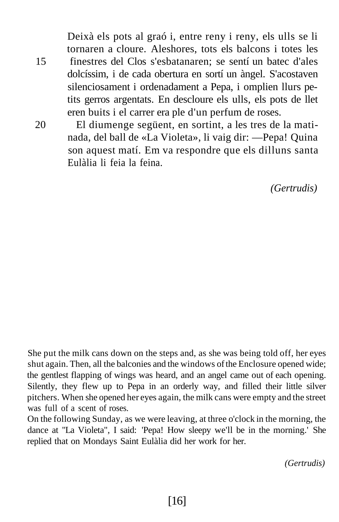Deixà els pots al graó i, entre reny i reny, els ulls se li tornaren a cloure. Aleshores, tots els balcons i totes les 15 finestres del Clos s'esbatanaren; se sentí un batec d'ales dolcíssim, i de cada obertura en sortí un àngel. S'acostaven silenciosament i ordenadament a Pepa, i omplien llurs petits gerros argentats. En descloure els ulls, els pots de llet eren buits i el carrer era ple d'un perfum de roses.

20 El diumenge següent, en sortint, a les tres de la matinada, del ball de «La Violeta», li vaig dir: —Pepa! Quina son aquest matí. Em va respondre que els dilluns santa Eulàlia li feia la feina.

*(Gertrudis)*

She put the milk cans down on the steps and, as she was being told off, her eyes shut again. Then, all the balconies and the windows of the Enclosure opened wide; the gentlest flapping of wings was heard, and an angel came out of each opening. Silently, they flew up to Pepa in an orderly way, and filled their little silver pitchers. When she opened her eyes again, the milk cans were empty and the street was full of a scent of roses.

On the following Sunday, as we were leaving, at three o'clock in the morning, the dance at "La Violeta", I said: 'Pepa! How sleepy we'll be in the morning.' She replied that on Mondays Saint Eulàlia did her work for her.

*(Gertrudis)*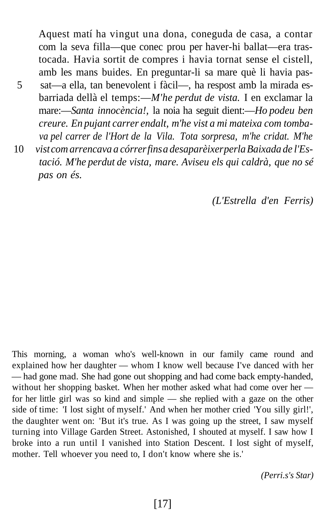Aquest matí ha vingut una dona, coneguda de casa, a contar com la seva filla—que conec prou per haver-hi ballat—era trastocada. Havia sortit de compres i havia tornat sense el cistell, amb les mans buides. En preguntar-li sa mare què li havia pas-5 sat—a ella, tan benevolent i fàcil—, ha respost amb la mirada esbarriada dellà el temps:—*M'he perdut de vista.* I en exclamar la mare:—*Santa innocència!,* la noia ha seguit dient:—*Ho podeu ben creure. En pujant carrer endalt, m'he vist a mi mateixa com tombava pel carrer de l'Hort de la Vila. Tota sorpresa, m'he cridat. M'he*

10 *vist com arrencava a córrer fins a desaparèixer perla Baixada de l'Estació. M'he perdut de vista, mare. Aviseu els qui caldrà, que no sé pas on és.*

*(L'Estrella d'en Ferris)*

This morning, a woman who's well-known in our family came round and explained how her daughter — whom I know well because I've danced with her — had gone mad. She had gone out shopping and had come back empty-handed, without her shopping basket. When her mother asked what had come over her for her little girl was so kind and simple — she replied with a gaze on the other side of time: 'I lost sight of myself.' And when her mother cried 'You silly girl!', the daughter went on: 'But it's true. As I was going up the street, I saw myself turning into Village Garden Street. Astonished, I shouted at myself. I saw how I broke into a run until I vanished into Station Descent. I lost sight of myself, mother. Tell whoever you need to, I don't know where she is.'

*(Perri.s's Star)*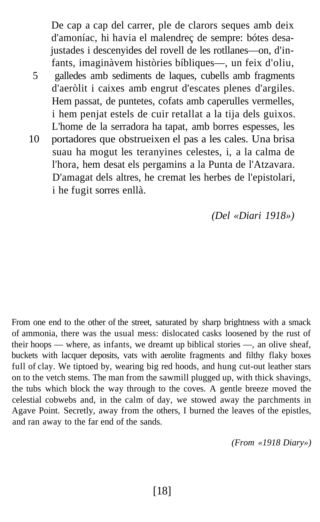De cap a cap del carrer, ple de clarors seques amb deix d'amoníac, hi havia el malendreç de sempre: bótes desajustades i descenyides del rovell de les rotllanes—on, d'infants, imaginàvem històries bíbliques—, un feix d'oliu, 5 galledes amb sediments de laques, cubells amb fragments d'aeròlit i caixes amb engrut d'escates plenes d'argiles. Hem passat, de puntetes, cofats amb caperulles vermelles, i hem penjat estels de cuir retallat a la tija dels guixos. L'home de la serradora ha tapat, amb borres espesses, les 10 portadores que obstrueixen el pas a les cales. Una brisa suau ha mogut les teranyines celestes, i, a la calma de l'hora, hem desat els pergamins a la Punta de l'Atzavara. D'amagat dels altres, he cremat les herbes de l'epistolari, i he fugit sorres enllà.

*(Del «Diari 1918»)*

From one end to the other of the street, saturated by sharp brightness with a smack of ammonia, there was the usual mess: dislocated casks loosened by the rust of their hoops — where, as infants, we dreamt up biblical stories —, an olive sheaf, buckets with lacquer deposits, vats with aerolite fragments and filthy flaky boxes full of clay. We tiptoed by, wearing big red hoods, and hung cut-out leather stars on to the vetch stems. The man from the sawmill plugged up, with thick shavings, the tubs which block the way through to the coves. A gentle breeze moved the celestial cobwebs and, in the calm of day, we stowed away the parchments in Agave Point. Secretly, away from the others, I burned the leaves of the epistles, and ran away to the far end of the sands.

*(From «1918 Diary»)*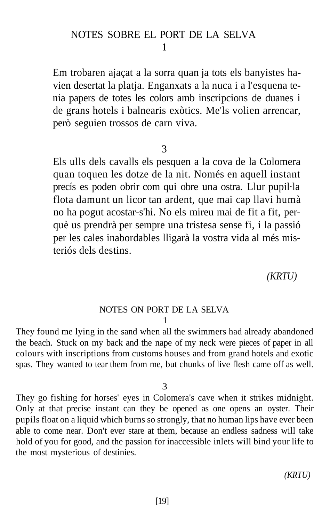## NOTES SOBRE EL PORT DE LA SELVA

#### 1

Em trobaren ajaçat a la sorra quan ja tots els banyistes havien desertat la platja. Enganxats a la nuca i a l'esquena tenia papers de totes les colors amb inscripcions de duanes i de grans hotels i balnearis exòtics. Me'ls volien arrencar, però seguien trossos de carn viva.

#### 3

Els ulls dels cavalls els pesquen a la cova de la Colomera quan toquen les dotze de la nit. Només en aquell instant precís es poden obrir com qui obre una ostra. Llur pupil·la flota damunt un licor tan ardent, que mai cap llavi humà no ha pogut acostar-s'hi. No els mireu mai de fit a fit, perquè us prendrà per sempre una tristesa sense fi, i la passió per les cales inabordables lligarà la vostra vida al més misteriós dels destins.

*(KRTU)*

#### NOTES ON PORT DE LA SELVA 1

They found me lying in the sand when all the swimmers had already abandoned the beach. Stuck on my back and the nape of my neck were pieces of paper in all colours with inscriptions from customs houses and from grand hotels and exotic spas. They wanted to tear them from me, but chunks of live flesh came off as well.

#### 3

They go fishing for horses' eyes in Colomera's cave when it strikes midnight. Only at that precise instant can they be opened as one opens an oyster. Their pupils float on a liquid which burns so strongly, that no human lips have ever been able to come near. Don't ever stare at them, because an endless sadness will take hold of you for good, and the passion for inaccessible inlets will bind your life to the most mysterious of destinies.

*(KRTU)*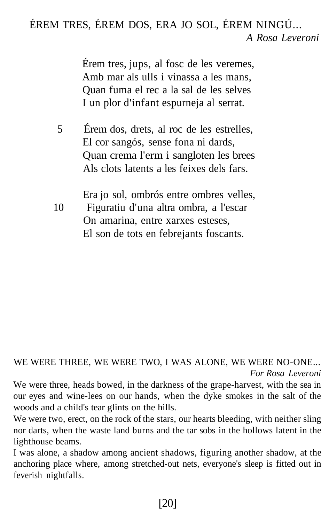# ÉREM TRES, ÉREM DOS, ERA JO SOL, ÉREM NINGÚ... *A Rosa Leveroni*

Érem tres, jups, al fosc de les veremes, Amb mar als ulls i vinassa a les mans, Quan fuma el rec a la sal de les selves I un plor d'infant espurneja al serrat.

- 5 Érem dos, drets, al roc de les estrelles, El cor sangós, sense fona ni dards, Quan crema l'erm i sangloten les brees Als clots latents a les feixes dels fars.
- Era jo sol, ombrós entre ombres velles, 10 Figuratiu d'una altra ombra, a l'escar On amarina, entre xarxes esteses, El son de tots en febrejants foscants.

WE WERE THREE, WE WERE TWO, I WAS ALONE, WE WERE NO-ONE... *For Rosa Leveroni*

We were three, heads bowed, in the darkness of the grape-harvest, with the sea in our eyes and wine-lees on our hands, when the dyke smokes in the salt of the woods and a child's tear glints on the hills.

We were two, erect, on the rock of the stars, our hearts bleeding, with neither sling nor darts, when the waste land burns and the tar sobs in the hollows latent in the lighthouse beams.

I was alone, a shadow among ancient shadows, figuring another shadow, at the anchoring place where, among stretched-out nets, everyone's sleep is fitted out in feverish nightfalls.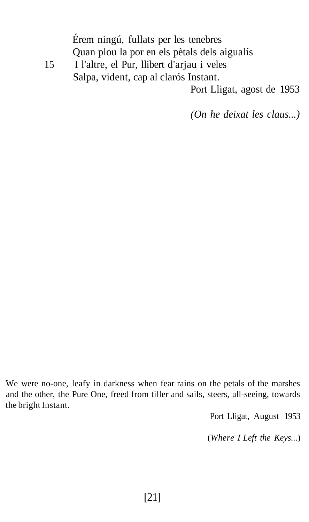Érem ningú, fullats per les tenebres Quan plou la por en els pètals dels aigualís 15 I l'altre, el Pur, llibert d'arjau i veles Salpa, vident, cap al clarós Instant. Port Lligat, agost de 1953

*(On he deixat les claus...)*

We were no-one, leafy in darkness when fear rains on the petals of the marshes and the other, the Pure One, freed from tiller and sails, steers, all-seeing, towards the bright Instant.

Port Lligat, August 1953

(*Where I Left the Keys...*)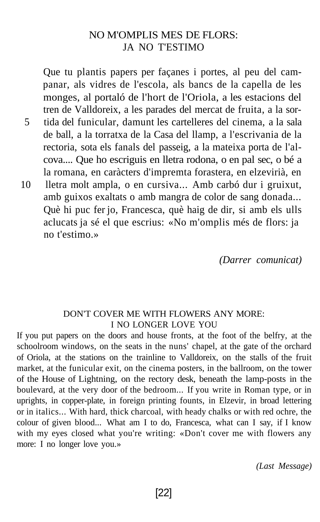## NO M'OMPLIS MES DE FLORS: JA NO T'ESTIMO

Que tu plantis papers per façanes i portes, al peu del campanar, als vidres de l'escola, als bancs de la capella de les monges, al portaló de l'hort de l'Oriola, a les estacions del tren de Valldoreix, a les parades del mercat de fruita, a la sor-5 tida del funicular, damunt les cartelleres del cinema, a la sala de ball, a la torratxa de la Casa del llamp, a l'escrivania de la rectoria, sota els fanals del passeig, a la mateixa porta de l'alcova.... Que ho escriguis en lletra rodona, o en pal sec, o bé a la romana, en caràcters d'impremta forastera, en elzevirià, en 10 lletra molt ampla, o en cursiva... Amb carbó dur i gruixut,

amb guixos exaltats o amb mangra de color de sang donada... Què hi puc fer jo, Francesca, què haig de dir, si amb els ulls aclucats ja sé el que escrius: «No m'omplis més de flors: ja no t'estimo.»

*(Darrer comunicat)*

#### DON'T COVER ME WITH FLOWERS ANY MORE: I NO LONGER LOVE YOU

If you put papers on the doors and house fronts, at the foot of the belfry, at the schoolroom windows, on the seats in the nuns' chapel, at the gate of the orchard of Oriola, at the stations on the trainline to Valldoreix, on the stalls of the fruit market, at the funicular exit, on the cinema posters, in the ballroom, on the tower of the House of Lightning, on the rectory desk, beneath the lamp-posts in the boulevard, at the very door of the bedroom... If you write in Roman type, or in uprights, in copper-plate, in foreign printing founts, in Elzevir, in broad lettering or in italics... With hard, thick charcoal, with heady chalks or with red ochre, the colour of given blood... What am I to do, Francesca, what can I say, if I know with my eyes closed what you're writing: «Don't cover me with flowers any more: I no longer love you.»

*(Last Message)*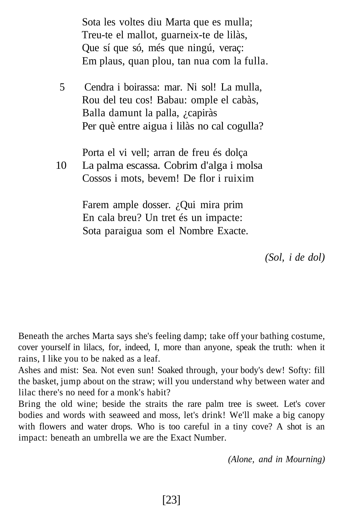Sota les voltes diu Marta que es mulla; Treu-te el mallot, guarneix-te de lilàs, Que sí que só, més que ningú, veraç: Em plaus, quan plou, tan nua com la fulla.

5 Cendra i boirassa: mar. Ni sol! La mulla, Rou del teu cos! Babau: omple el cabàs, Balla damunt la palla, ¿capiràs Per què entre aigua i lilàs no cal cogulla?

Porta el vi vell; arran de freu és dolça

10 La palma escassa. Cobrim d'alga i molsa Cossos i mots, bevem! De flor i ruixim

> Farem ample dosser. ¿Qui mira prim En cala breu? Un tret és un impacte: Sota paraigua som el Nombre Exacte.

> > *(Sol, i de dol)*

Beneath the arches Marta says she's feeling damp; take off your bathing costume, cover yourself in lilacs, for, indeed, I, more than anyone, speak the truth: when it rains, I like you to be naked as a leaf.

Ashes and mist: Sea. Not even sun! Soaked through, your body's dew! Softy: fill the basket, jump about on the straw; will you understand why between water and lilac there's no need for a monk's habit?

Bring the old wine; beside the straits the rare palm tree is sweet. Let's cover bodies and words with seaweed and moss, let's drink! We'll make a big canopy with flowers and water drops. Who is too careful in a tiny cove? A shot is an impact: beneath an umbrella we are the Exact Number.

*(Alone, and in Mourning)*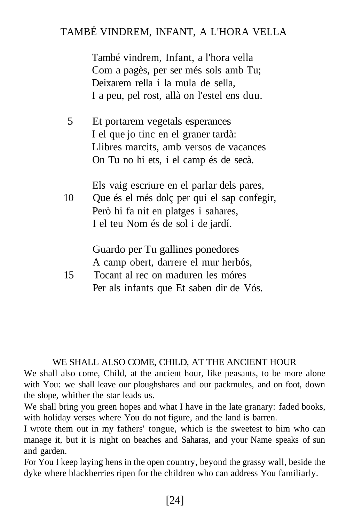# TAMBÉ VINDREM, INFANT, A L'HORA VELLA

També vindrem, Infant, a l'hora vella Com a pagès, per ser més sols amb Tu; Deixarem rella i la mula de sella, I a peu, pel rost, allà on l'estel ens duu.

5 Et portarem vegetals esperances I el que jo tinc en el graner tardà: Llibres marcits, amb versos de vacances On Tu no hi ets, i el camp és de secà.

Els vaig escriure en el parlar dels pares, 10 Que és el més dolç per qui el sap confegir, Però hi fa nit en platges i sahares, I el teu Nom és de sol i de jardí.

> Guardo per Tu gallines ponedores A camp obert, darrere el mur herbós,

15 Tocant al rec on maduren les móres Per als infants que Et saben dir de Vós.

#### WE SHALL ALSO COME, CHILD, AT THE ANCIENT HOUR

We shall also come, Child, at the ancient hour, like peasants, to be more alone with You: we shall leave our ploughshares and our packmules, and on foot, down the slope, whither the star leads us.

We shall bring you green hopes and what I have in the late granary: faded books, with holiday verses where You do not figure, and the land is barren.

I wrote them out in my fathers' tongue, which is the sweetest to him who can manage it, but it is night on beaches and Saharas, and your Name speaks of sun and garden.

For You I keep laying hens in the open country, beyond the grassy wall, beside the dyke where blackberries ripen for the children who can address You familiarly.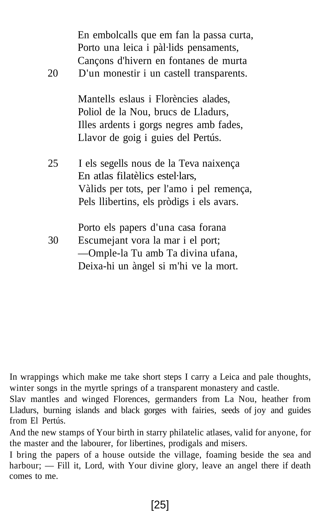| 20 | En embolcalls que em fan la passa curta,<br>Porto una leica i pàl·lids pensaments,<br>Cançons d'hivern en fontanes de murta<br>D'un monestir i un castell transparents. |
|----|-------------------------------------------------------------------------------------------------------------------------------------------------------------------------|
|    | Mantells eslaus i Florències alades,<br>Poliol de la Nou, brucs de Lladurs,<br>Illes ardents i gorgs negres amb fades,<br>Llavor de goig i guies del Pertús.            |
| 25 | I els segells nous de la Teva naixença<br>En atlas filatèlics estel·lars,<br>Vàlids per tots, per l'amo i pel remença,<br>Pels llibertins, els pròdigs i els avars.     |
| 30 | Porto els papers d'una casa forana<br>Escumejant vora la mar i el port;<br>—Omple-la Tu amb Ta divina ufana,<br>Deixa-hi un àngel si m'hi ve la mort.                   |

In wrappings which make me take short steps I carry a Leica and pale thoughts, winter songs in the myrtle springs of a transparent monastery and castle.

Slav mantles and winged Florences, germanders from La Nou, heather from Lladurs, burning islands and black gorges with fairies, seeds of joy and guides from El Pertús.

And the new stamps of Your birth in starry philatelic atlases, valid for anyone, for the master and the labourer, for libertines, prodigals and misers.

I bring the papers of a house outside the village, foaming beside the sea and harbour; — Fill it, Lord, with Your divine glory, leave an angel there if death comes to me.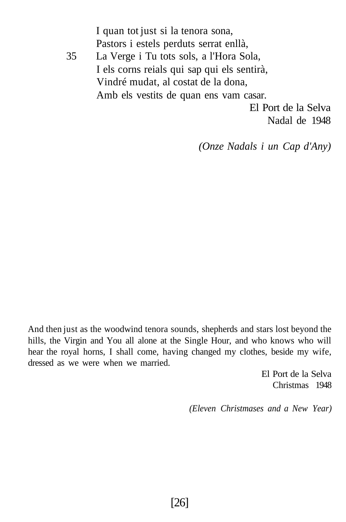I quan tot just si la tenora sona, Pastors i estels perduts serrat enllà, 35 La Verge i Tu tots sols, a l'Hora Sola, I els corns reials qui sap qui els sentirà, Vindré mudat, al costat de la dona, Amb els vestits de quan ens vam casar. El Port de la Selva Nadal de 1948

*(Onze Nadals i un Cap d'Any)*

And then just as the woodwind tenora sounds, shepherds and stars lost beyond the hills, the Virgin and You all alone at the Single Hour, and who knows who will hear the royal horns, I shall come, having changed my clothes, beside my wife, dressed as we were when we married.

> El Port de la Selva Christmas 1948

*(Eleven Christmases and a New Year)*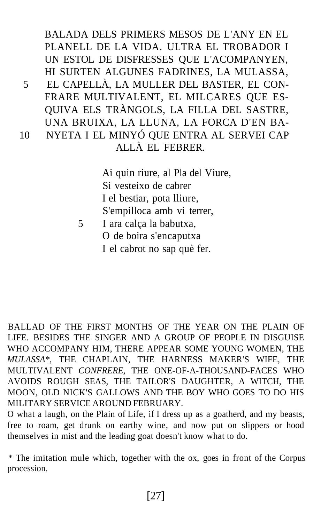BALADA DELS PRIMERS MESOS DE L'ANY EN EL PLANELL DE LA VIDA. ULTRA EL TROBADOR I UN ESTOL DE DISFRESSES QUE L'ACOMPANYEN, HI SURTEN ALGUNES FADRINES, LA MULASSA, 5 EL CAPELLÀ, LA MULLER DEL BASTER, EL CON-FRARE MULTIVALENT, EL MILCARES QUE ES-QUIVA ELS TRÀNGOLS, LA FILLA DEL SASTRE, UNA BRUIXA, LA LLUNA, LA FORCA D'EN BA-10 NYETA I EL MINYÓ QUE ENTRA AL SERVEI CAP ALLÀ EL FEBRER.

> Ai quin riure, al Pla del Viure, Si vesteixo de cabrer I el bestiar, pota lliure, S'empilloca amb vi terrer,

5 I ara calça la babutxa, O de boira s'encaputxa I el cabrot no sap què fer.

BALLAD OF THE FIRST MONTHS OF THE YEAR ON THE PLAIN OF LIFE. BESIDES THE SINGER AND A GROUP OF PEOPLE IN DISGUISE WHO ACCOMPANY HIM, THERE APPEAR SOME YOUNG WOMEN, THE *MULASSA\*,* THE CHAPLAIN, THE HARNESS MAKER'S WIFE, THE MULTIVALENT *CONFRERE,* THE ONE-OF-A-THOUSAND-FACES WHO AVOIDS ROUGH SEAS, THE TAILOR'S DAUGHTER, A WITCH, THE MOON, OLD NICK'S GALLOWS AND THE BOY WHO GOES TO DO HIS MILITARY SERVICE AROUND FEBRUARY.

O what a laugh, on the Plain of Life, if I dress up as a goatherd, and my beasts, free to roam, get drunk on earthy wine, and now put on slippers or hood themselves in mist and the leading goat doesn't know what to do.

*\** The imitation mule which, together with the ox, goes in front of the Corpus procession.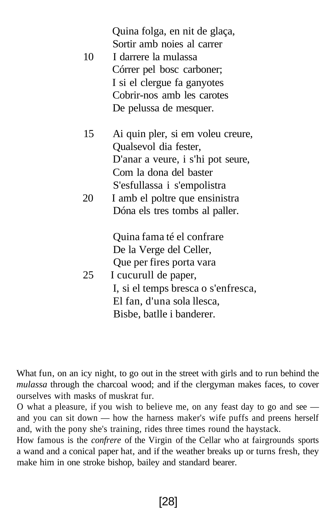| 10 | Quina folga, en nit de glaça,<br>Sortir amb noies al carrer<br>I darrere la mulassa<br>Córrer pel bosc carboner;<br>I si el clergue fa ganyotes<br>Cobrir-nos amb les carotes<br>De pelussa de mesquer. |
|----|---------------------------------------------------------------------------------------------------------------------------------------------------------------------------------------------------------|
| 15 | Ai quin pler, si em voleu creure,                                                                                                                                                                       |
|    | Qualsevol dia fester,                                                                                                                                                                                   |
|    | D'anar a veure, i s'hi pot seure,                                                                                                                                                                       |
|    | Com la dona del baster                                                                                                                                                                                  |
|    | S'esfullassa i s'empolistra                                                                                                                                                                             |
| 20 | I amb el poltre que ensinistra                                                                                                                                                                          |
|    | Dóna els tres tombs al paller.                                                                                                                                                                          |
|    | Quina fama té el confrare                                                                                                                                                                               |
|    | De la Verge del Celler,                                                                                                                                                                                 |
|    | Que per fires porta vara                                                                                                                                                                                |
| 25 | I cucurull de paper,                                                                                                                                                                                    |
|    | I, si el temps bresca o s'enfresca,                                                                                                                                                                     |
|    | El fan, d'una sola llesca,                                                                                                                                                                              |
|    | Bisbe, batlle i banderer.                                                                                                                                                                               |

What fun, on an icy night, to go out in the street with girls and to run behind the *mulassa* through the charcoal wood; and if the clergyman makes faces, to cover ourselves with masks of muskrat fur.

O what a pleasure, if you wish to believe me, on any feast day to go and see and you can sit down — how the harness maker's wife puffs and preens herself and, with the pony she's training, rides three times round the haystack.

How famous is the *confrere* of the Virgin of the Cellar who at fairgrounds sports a wand and a conical paper hat, and if the weather breaks up or turns fresh, they make him in one stroke bishop, bailey and standard bearer.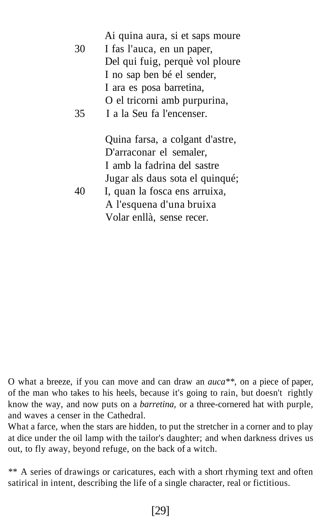|    | Ai quina aura, si et saps moure |
|----|---------------------------------|
| 30 | I fas l'auca, en un paper,      |
|    | Del qui fuig, perquè vol ploure |
|    | I no sap ben bé el sender,      |
|    | I ara es posa barretina,        |
|    | O el tricorni amb purpurina,    |
| 35 | I a la Seu fa l'encenser.       |
|    |                                 |
|    | Quina farsa, a colgant d'astre, |
|    | D'arraconar el semaler,         |
|    | I amb la fadrina del sastre     |
|    | Jugar als daus sota el quinqué; |
| 40 | I, quan la fosca ens arruixa,   |
|    | A l'esquena d'una bruixa        |
|    | Volar enllà, sense recer.       |

O what a breeze, if you can move and can draw an *auca\*\*,* on a piece of paper, of the man who takes to his heels, because it's going to rain, but doesn't rightly know the way, and now puts on a *barretina,* or a three-cornered hat with purple, and waves a censer in the Cathedral.

What a farce, when the stars are hidden, to put the stretcher in a corner and to play at dice under the oil lamp with the tailor's daughter; and when darkness drives us out, to fly away, beyond refuge, on the back of a witch.

\*\* A series of drawings or caricatures, each with a short rhyming text and often satirical in intent, describing the life of a single character, real or fictitious.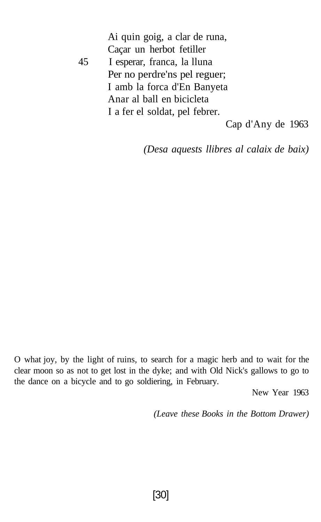Ai quin goig, a clar de runa, Caçar un herbot fetiller 45 I esperar, franca, la lluna Per no perdre'ns pel reguer; I amb la forca d'En Banyeta Anar al ball en bicicleta I a fer el soldat, pel febrer.

Cap d'Any de 1963

*(Desa aquests llibres al calaix de baix)*

O what joy, by the light of ruins, to search for a magic herb and to wait for the clear moon so as not to get lost in the dyke; and with Old Nick's gallows to go to the dance on a bicycle and to go soldiering, in February.

New Year 1963

*(Leave these Books in the Bottom Drawer)*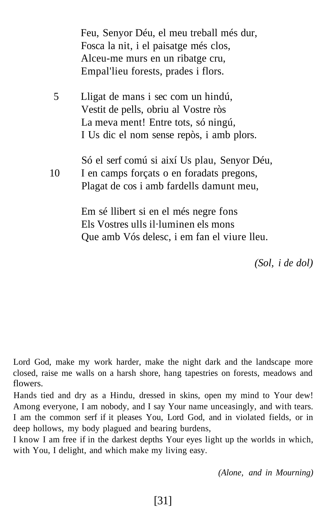|    | Feu, Senyor Déu, el meu treball més dur,<br>Fosca la nit, i el paisatge més clos,<br>Alceu-me murs en un ribatge cru,<br>Empal'lieu forests, prades i flors.   |
|----|----------------------------------------------------------------------------------------------------------------------------------------------------------------|
| 5  | Lligat de mans i sec com un hindú,<br>Vestit de pells, obriu al Vostre ròs<br>La meva ment! Entre tots, só ningú,<br>I Us dic el nom sense repòs, i amb plors. |
| 10 | Só el serf comú si així Us plau, Senyor Déu,<br>I en camps forçats o en foradats pregons,<br>Plagat de cos i amb fardells damunt meu,                          |
|    | Em sé llibert si en el més negre fons<br>Els Vostres ulls il·luminen els mons<br>Que amb Vós delesc, i em fan el viure lleu.                                   |

*(Sol, i de dol)*

Lord God, make my work harder, make the night dark and the landscape more closed, raise me walls on a harsh shore, hang tapestries on forests, meadows and flowers.

Hands tied and dry as a Hindu, dressed in skins, open my mind to Your dew! Among everyone, I am nobody, and I say Your name unceasingly, and with tears. I am the common serf if it pleases You, Lord God, and in violated fields, or in deep hollows, my body plagued and bearing burdens,

I know I am free if in the darkest depths Your eyes light up the worlds in which, with You, I delight, and which make my living easy.

*(Alone, and in Mourning)*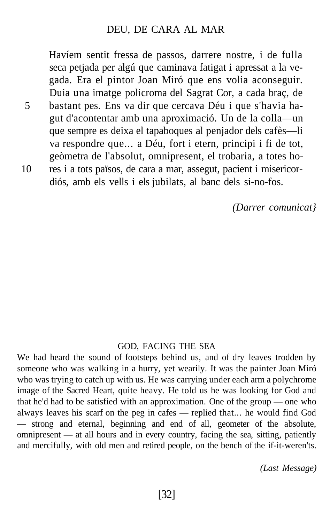#### DEU, DE CARA AL MAR

Havíem sentit fressa de passos, darrere nostre, i de fulla seca petjada per algú que caminava fatigat i apressat a la vegada. Era el pintor Joan Miró que ens volia aconseguir. Duia una imatge policroma del Sagrat Cor, a cada braç, de 5 bastant pes. Ens va dir que cercava Déu i que s'havia hagut d'acontentar amb una aproximació. Un de la colla—un que sempre es deixa el tapaboques al penjador dels cafès—li va respondre que... a Déu, fort i etern, principi i fi de tot, geòmetra de l'absolut, omnipresent, el trobaria, a totes ho-10 res i a tots països, de cara a mar, assegut, pacient i misericordiós, amb els vells i els jubilats, al banc dels si-no-fos.

*(Darrer comunicat}*

#### GOD, FACING THE SEA

We had heard the sound of footsteps behind us, and of dry leaves trodden by someone who was walking in a hurry, yet wearily. It was the painter Joan Miró who was trying to catch up with us. He was carrying under each arm a polychrome image of the Sacred Heart, quite heavy. He told us he was looking for God and that he'd had to be satisfied with an approximation. One of the group — one who always leaves his scarf on the peg in cafes — replied that... he would find God — strong and eternal, beginning and end of all, geometer of the absolute, omnipresent — at all hours and in every country, facing the sea, sitting, patiently and mercifully, with old men and retired people, on the bench of the if-it-weren'ts.

*(Last Message)*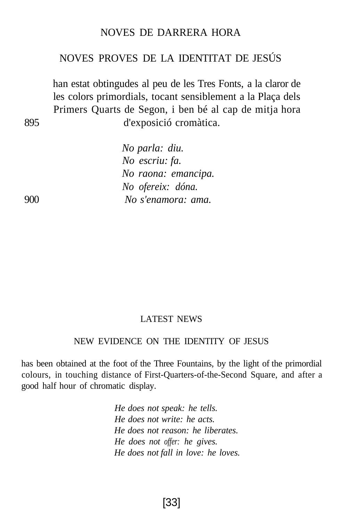#### NOVES DE DARRERA HORA

# NOVES PROVES DE LA IDENTITAT DE JESÚS

han estat obtingudes al peu de les Tres Fonts, a la claror de les colors primordials, tocant sensiblement a la Plaça dels Primers Quarts de Segon, i ben bé al cap de mitja hora 895 d'exposició cromàtica.

*No parla: diu. No escriu: fa. No raona: emancipa. No ofereix: dóna.* 900 *No s'enamora: ama.*

#### LATEST NEWS

#### NEW EVIDENCE ON THE IDENTITY OF JESUS

has been obtained at the foot of the Three Fountains, by the light of the primordial colours, in touching distance of First-Quarters-of-the-Second Square, and after a good half hour of chromatic display.

> *He does not speak: he tells. He does not write: he acts. He does not reason: he liberates. He does not offer: he gives. He does not fall in love: he loves.*

> > [33]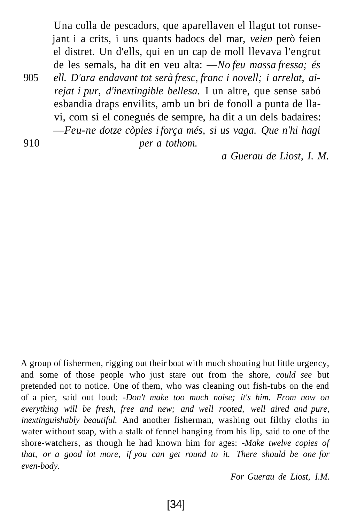Una colla de pescadors, que aparellaven el llagut tot ronsejant i a crits, i uns quants badocs del mar, *veien* però feien el distret. Un d'ells, qui en un cap de moll llevava l'engrut de les semals, ha dit en veu alta: —*No feu massa fressa; és*

905 *ell. D'ara endavant tot serà fresc, franc i novell; i arrelat, airejat i pur, d'inextingible bellesa.* I un altre, que sense sabó esbandia draps envilits, amb un bri de fonoll a punta de llavi, com si el conegués de sempre, ha dit a un dels badaires: —*Feu-ne dotze còpies i força més, si us vaga. Que n'hi hagi*

910 *per a tothom.*

*a Guerau de Liost, I. M.*

A group of fishermen, rigging out their boat with much shouting but little urgency, and some of those people who just stare out from the shore, *could see* but pretended not to notice. One of them, who was cleaning out fish-tubs on the end of a pier, said out loud: *-Don't make too much noise; it's him. From now on everything will be fresh, free and new; and well rooted, well aired and pure, inextinguishably beautiful.* And another fisherman, washing out filthy cloths in water without soap, with a stalk of fennel hanging from his lip, said to one of the shore-watchers, as though he had known him for ages: *-Make twelve copies of that, or a good lot more, if you can get round to it. There should be one for even-body.*

*For Guerau de Liost, I.M.*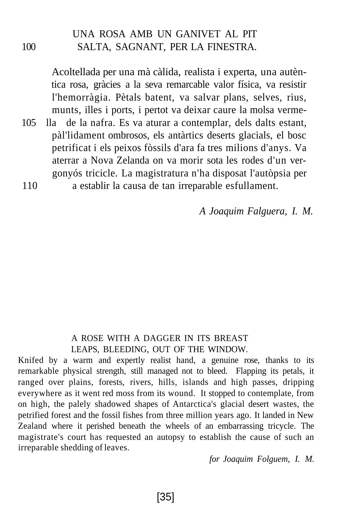# UNA ROSA AMB UN GANIVET AL PIT 100 SALTA, SAGNANT, PER LA FINESTRA.

Acoltellada per una mà càlida, realista i experta, una autèntica rosa, gràcies a la seva remarcable valor física, va resistir l'hemorràgia. Pètals batent, va salvar plans, selves, rius, munts, illes i ports, i pertot va deixar caure la molsa verme-105 lla de la nafra. Es va aturar a contemplar, dels dalts estant,

pàl'lidament ombrosos, els antàrtics deserts glacials, el bosc petrificat i els peixos fòssils d'ara fa tres milions d'anys. Va aterrar a Nova Zelanda on va morir sota les rodes d'un vergonyós tricicle. La magistratura n'ha disposat l'autòpsia per

110 a establir la causa de tan irreparable esfullament.

*A Joaquim Falguera, I. M.*

#### A ROSE WITH A DAGGER IN ITS BREAST LEAPS, BLEEDING, OUT OF THE WINDOW.

Knifed by a warm and expertly realist hand, a genuine rose, thanks to its remarkable physical strength, still managed not to bleed. Flapping its petals, it ranged over plains, forests, rivers, hills, islands and high passes, dripping everywhere as it went red moss from its wound. It stopped to contemplate, from on high, the palely shadowed shapes of Antarctica's glacial desert wastes, the petrified forest and the fossil fishes from three million years ago. It landed in New Zealand where it perished beneath the wheels of an embarrassing tricycle. The magistrate's court has requested an autopsy to establish the cause of such an irreparable shedding of leaves.

*for Joaquim Folguem, I. M.*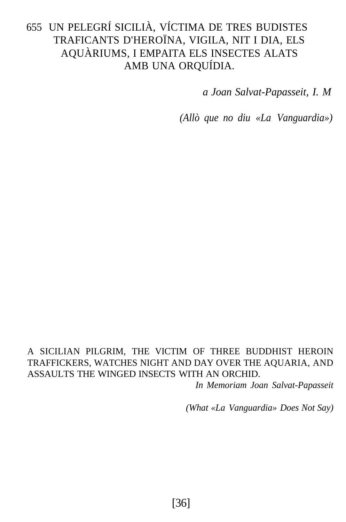# 655 UN PELEGRÍ SICILIÀ, VÍCTIMA DE TRES BUDISTES TRAFICANTS D'HEROÏNA, VIGILA, NIT I DIA, ELS AQUÀRIUMS, I EMPAITA ELS INSECTES ALATS AMB UNA ORQUÍDIA.

*a Joan Salvat-Papasseit, I. M*

*(Allò que no diu «La Vanguardia»)*

## A SICILIAN PILGRIM, THE VICTIM OF THREE BUDDHIST HEROIN TRAFFICKERS, WATCHES NIGHT AND DAY OVER THE AQUARIA, AND ASSAULTS THE WINGED INSECTS WITH AN ORCHID.

*In Memoriam Joan Salvat-Papasseit*

*(What «La Vanguardia» Does Not Say)*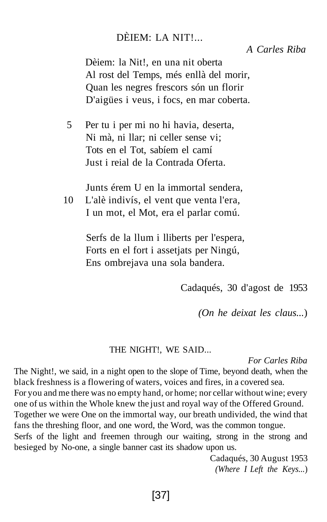# DÈIEM: LA NIT!...

## *A Carles Riba*

Dèiem: la Nit!, en una nit oberta Al rost del Temps, més enllà del morir, Quan les negres frescors són un florir D'aigües i veus, i focs, en mar coberta.

5 Per tu i per mi no hi havia, deserta, Ni mà, ni llar; ni celler sense vi; Tots en el Tot, sabíem el camí Just i reial de la Contrada Oferta.

Junts érem U en la immortal sendera,

10 L'alè indivís, el vent que venta l'era, I un mot, el Mot, era el parlar comú.

> Serfs de la llum i lliberts per l'espera, Forts en el fort i assetjats per Ningú, Ens ombrejava una sola bandera.

> > Cadaqués, 30 d'agost de 1953

*(On he deixat les claus...*)

#### THE NIGHT!, WE SAID...

*For Carles Riba*

The Night!, we said, in a night open to the slope of Time, beyond death, when the black freshness is a flowering of waters, voices and fires, in a covered sea.

For you and me there was no empty hand, or home; nor cellar without wine; every one of us within the Whole knew the just and royal way of the Offered Ground.

Together we were One on the immortal way, our breath undivided, the wind that fans the threshing floor, and one word, the Word, was the common tongue.

Serfs of the light and freemen through our waiting, strong in the strong and besieged by No-one, a single banner cast its shadow upon us.

> Cadaqués, 30 August 1953 *(Where I Left the Keys...*)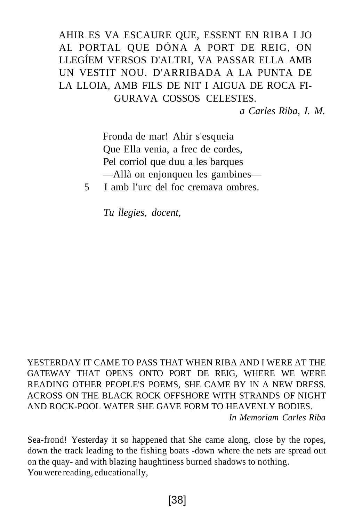# AHIR ES VA ESCAURE QUE, ESSENT EN RIBA I JO AL PORTAL QUE DÓNA A PORT DE REIG, ON LLEGÍEM VERSOS D'ALTRI, VA PASSAR ELLA AMB UN VESTIT NOU. D'ARRIBADA A LA PUNTA DE LA LLOIA, AMB FILS DE NIT I AIGUA DE ROCA FI-GURAVA COSSOS CELESTES.

*a Carles Riba, I. M.*

Fronda de mar! Ahir s'esqueia Que Ella venia, a frec de cordes, Pel corriol que duu a les barques —Allà on enjonquen les gambines—

5 I amb l'urc del foc cremava ombres.

*Tu llegies, docent,*

YESTERDAY IT CAME TO PASS THAT WHEN RIBA AND I WERE AT THE GATEWAY THAT OPENS ONTO PORT DE REIG, WHERE WE WERE READING OTHER PEOPLE'S POEMS, SHE CAME BY IN A NEW DRESS. ACROSS ON THE BLACK ROCK OFFSHORE WITH STRANDS OF NIGHT AND ROCK-POOL WATER SHE GAVE FORM TO HEAVENLY BODIES. *In Memoriam Carles Riba*

Sea-frond! Yesterday it so happened that She came along, close by the ropes, down the track leading to the fishing boats -down where the nets are spread out on the quay- and with blazing haughtiness burned shadows to nothing. You were reading, educationally,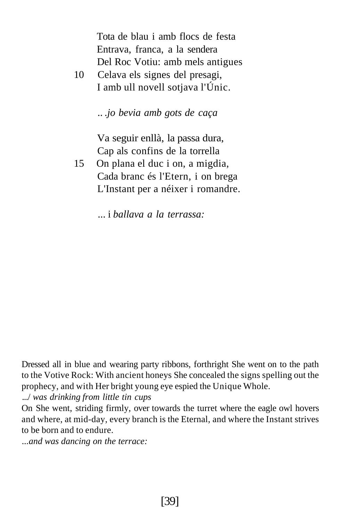Tota de blau i amb flocs de festa Entrava, franca, a la sendera Del Roc Votiu: amb mels antigues

10 Celava els signes del presagi, I amb ull novell sotjava l'Únic.

.. *.jo bevia amb gots de caça*

Va seguir enllà, la passa dura, Cap als confins de la torrella

15 On plana el duc i on, a migdia, Cada branc és l'Etern, i on brega L'Instant per a néixer i romandre.

... i *ballava a la terrassa:*

Dressed all in blue and wearing party ribbons, forthright She went on to the path to the Votive Rock: With ancient honeys She concealed the signs spelling out the prophecy, and with Her bright young eye espied the Unique Whole.

.../ *was drinking from little tin cups*

On She went, striding firmly, over towards the turret where the eagle owl hovers and where, at mid-day, every branch is the Eternal, and where the Instant strives to be born and to endure.

*...and was dancing on the terrace:*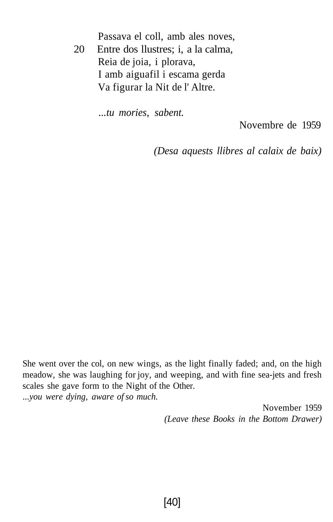Passava el coll, amb ales noves,

20 Entre dos llustres; i, a la calma, Reia de joia, i plorava, I amb aiguafil i escama gerda Va figurar la Nit de l' Altre.

*...tu mories, sabent.*

Novembre de 1959

*(Desa aquests llibres al calaix de baix)*

She went over the col, on new wings, as the light finally faded; and, on the high meadow, she was laughing for joy, and weeping, and with fine sea-jets and fresh scales she gave form to the Night of the Other. *...you were dying, aware of so much.*

> November 1959 *(Leave these Books in the Bottom Drawer)*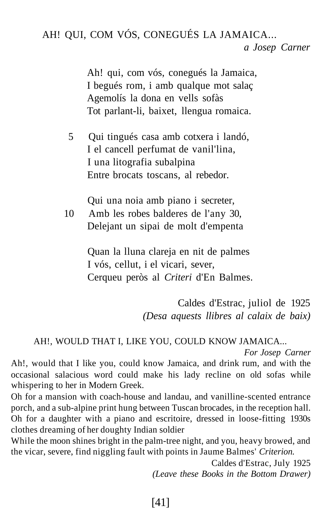AH! QUI, COM VÓS, CONEGUÉS LA JAMAICA...

*a Josep Carner*

Ah! qui, com vós, conegués la Jamaica, I begués rom, i amb qualque mot salaç Agemolís la dona en vells sofàs Tot parlant-li, baixet, llengua romaica.

5 Qui tingués casa amb cotxera i landó, I el cancell perfumat de vanil'lina, I una litografia subalpina Entre brocats toscans, al rebedor.

Qui una noia amb piano i secreter, 10 Amb les robes balderes de l'any 30,

Delejant un sipai de molt d'empenta

Quan la lluna clareja en nit de palmes I vós, cellut, i el vicari, sever, Cerqueu peròs al *Criteri* d'En Balmes.

> Caldes d'Estrac, juliol de 1925 *(Desa aquests llibres al calaix de baix)*

## AH!, WOULD THAT I, LIKE YOU, COULD KNOW JAMAICA...

*For Josep Carner*

Ah!, would that I like you, could know Jamaica, and drink rum, and with the occasional salacious word could make his lady recline on old sofas while whispering to her in Modern Greek.

Oh for a mansion with coach-house and landau, and vanilline-scented entrance porch, and a sub-alpine print hung between Tuscan brocades, in the reception hall. Oh for a daughter with a piano and escritoire, dressed in loose-fitting 1930s clothes dreaming of her doughty Indian soldier

While the moon shines bright in the palm-tree night, and you, heavy browed, and the vicar, severe, find niggling fault with points in Jaume Balmes' *Criterion.*

> Caldes d'Estrac, July 1925 *(Leave these Books in the Bottom Drawer)*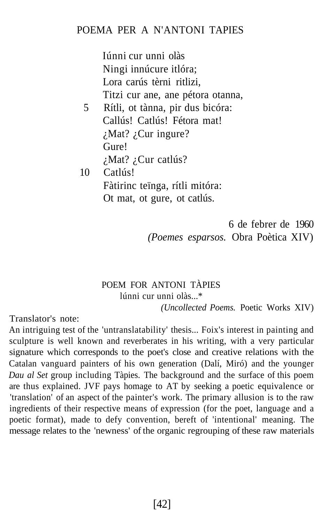# POEMA PER A N'ANTONI TAPIES

Iúnni cur unni olàs Ningi innúcure itlóra; Lora carús tèrni ritlizi, Titzi cur ane, ane pétora otanna, 5 Rítli, ot tànna, pir dus bicóra: Callús! Catlús! Fétora mat! ¿Mat? ¿Cur ingure? Gure! ¿Mat? ¿Cur catlús? 10 Catlús! Fàtirinc teïnga, rítli mitóra: Ot mat, ot gure, ot catlús.

> 6 de febrer de 1960 *(Poemes esparsos.* Obra Poètica XIV)

#### POEM FOR ANTONI TÀPIES lúnni cur unni olàs...\* *(Uncollected Poems.* Poetic Works XIV)

Translator's note:

An intriguing test of the 'untranslatability' thesis... Foix's interest in painting and sculpture is well known and reverberates in his writing, with a very particular signature which corresponds to the poet's close and creative relations with the Catalan vanguard painters of his own generation (Dalí, Miró) and the younger *Dau al Set* group including Tàpies. The background and the surface of this poem are thus explained. JVF pays homage to AT by seeking a poetic equivalence or 'translation' of an aspect of the painter's work. The primary allusion is to the raw ingredients of their respective means of expression (for the poet, language and a poetic format), made to defy convention, bereft of 'intentional' meaning. The message relates to the 'newness' of the organic regrouping of these raw materials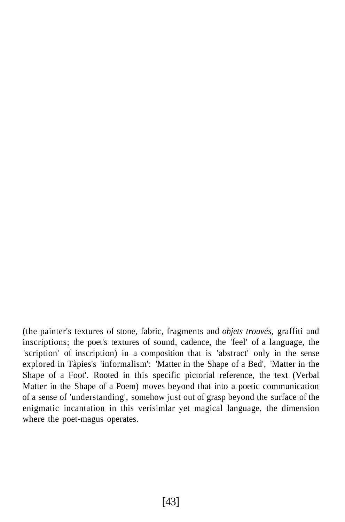(the painter's textures of stone, fabric, fragments and *objets trouvés,* graffiti and inscriptions; the poet's textures of sound, cadence, the 'feel' of a language, the 'scription' of inscription) in a composition that is 'abstract' only in the sense explored in Tàpies's 'informalism': 'Matter in the Shape of a Bed', 'Matter in the Shape of a Foot'. Rooted in this specific pictorial reference, the text (Verbal Matter in the Shape of a Poem) moves beyond that into a poetic communication of a sense of 'understanding', somehow just out of grasp beyond the surface of the enigmatic incantation in this verisimlar yet magical language, the dimension where the poet-magus operates.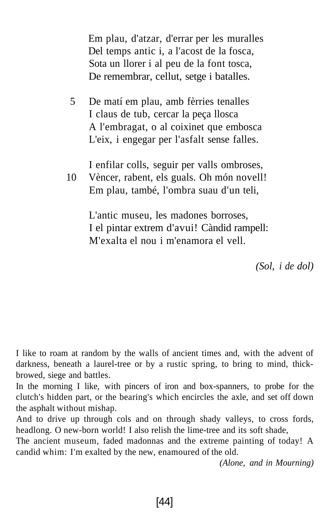Em plau, d'atzar, d'errar per les muralles Del temps antic i, a l'acost de la fosca, Sota un llorer i al peu de la font tosca, De remembrar, cellut, setge i batalles.

5 De matí em plau, amb fèrries tenalles I claus de tub, cercar la peça llosca A l'embragat, o al coixinet que embosca L'eix, i engegar per l'asfalt sense falles.

I enfilar colls, seguir per valls ombroses,

10 Vèncer, rabent, els guals. Oh món novell! Em plau, també, l'ombra suau d'un teli,

> L'antic museu, les madones borroses, I el pintar extrem d'avui! Càndid rampell: M'exalta el nou i m'enamora el vell.

> > *(Sol, i de dol)*

I like to roam at random by the walls of ancient times and, with the advent of darkness, beneath a laurel-tree or by a rustic spring, to bring to mind, thickbrowed, siege and battles.

In the morning I like, with pincers of iron and box-spanners, to probe for the clutch's hidden part, or the bearing's which encircles the axle, and set off down the asphalt without mishap.

And to drive up through cols and on through shady valleys, to cross fords, headlong. O new-born world! I also relish the lime-tree and its soft shade,

The ancient museum, faded madonnas and the extreme painting of today! A candid whim: I'm exalted by the new, enamoured of the old.

*(Alone, and in Mourning)*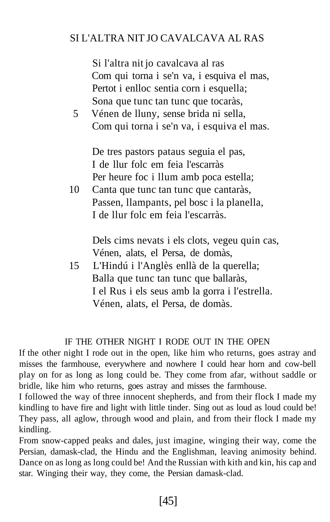# SI L'ALTRA NIT JO CAVALCAVA AL RAS

Si l'altra nit jo cavalcava al ras Com qui torna i se'n va, i esquiva el mas, Pertot i enlloc sentia corn i esquella; Sona que tunc tan tunc que tocaràs,

5 Vénen de lluny, sense brida ni sella, Com qui torna i se'n va, i esquiva el mas.

De tres pastors pataus seguia el pas, I de llur folc em feia l'escarràs Per heure foc i llum amb poca estella;

10 Canta que tunc tan tunc que cantaràs, Passen, llampants, pel bosc i la planella, I de llur folc em feia l'escarràs.

> Dels cims nevats i els clots, vegeu quin cas, Vénen, alats, el Persa, de domàs,

15 L'Hindú i l'Anglès enllà de la querella; Balla que tunc tan tunc que ballaràs, I el Rus i els seus amb la gorra i l'estrella. Vénen, alats, el Persa, de domàs.

#### IF THE OTHER NIGHT I RODE OUT IN THE OPEN

If the other night I rode out in the open, like him who returns, goes astray and misses the farmhouse, everywhere and nowhere I could hear horn and cow-bell play on for as long as long could be. They come from afar, without saddle or bridle, like him who returns, goes astray and misses the farmhouse.

I followed the way of three innocent shepherds, and from their flock I made my kindling to have fire and light with little tinder. Sing out as loud as loud could be! They pass, all aglow, through wood and plain, and from their flock I made my kindling.

From snow-capped peaks and dales, just imagine, winging their way, come the Persian, damask-clad, the Hindu and the Englishman, leaving animosity behind. Dance on as long as long could be! And the Russian with kith and kin, his cap and star. Winging their way, they come, the Persian damask-clad.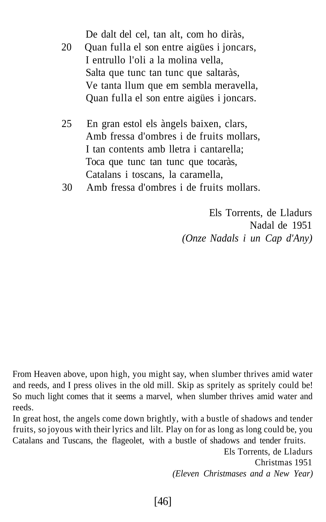De dalt del cel, tan alt, com ho diràs, 20 Quan fulla el son entre aigües i joncars, I entrullo l'oli a la molina vella,

Salta que tunc tan tunc que saltaràs, Ve tanta llum que em sembla meravella, Quan fulla el son entre aigües i joncars.

- 25 En gran estol els àngels baixen, clars, Amb fressa d'ombres i de fruits mollars, I tan contents amb lletra i cantarella; Toca que tunc tan tunc que tocaràs, Catalans i toscans, la caramella,
- 30 Amb fressa d'ombres i de fruits mollars.

Els Torrents, de Lladurs Nadal de 1951 *(Onze Nadals i un Cap d'Any)*

From Heaven above, upon high, you might say, when slumber thrives amid water and reeds, and I press olives in the old mill. Skip as spritely as spritely could be! So much light comes that it seems a marvel, when slumber thrives amid water and reeds.

In great host, the angels come down brightly, with a bustle of shadows and tender fruits, so joyous with their lyrics and lilt. Play on for as long as long could be, you Catalans and Tuscans, the flageolet, with a bustle of shadows and tender fruits.

> Els Torrents, de Lladurs Christmas 1951 *(Eleven Christmases and a New Year)*

[46]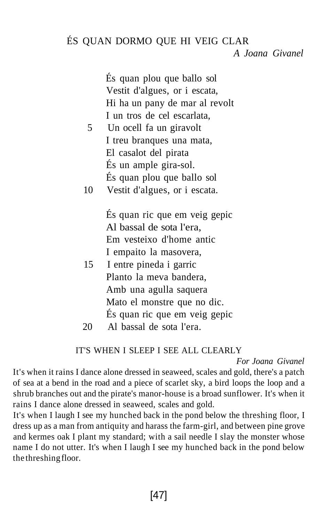# ÉS QUAN DORMO QUE HI VEIG CLAR

#### *A Joana Givanel*

És quan plou que ballo sol Vestit d'algues, or i escata, Hi ha un pany de mar al revolt I un tros de cel escarlata,

- 5 Un ocell fa un giravolt I treu branques una mata, El casalot del pirata És un ample gira-sol. És quan plou que ballo sol
- 10 Vestit d'algues, or i escata.

És quan ric que em veig gepic Al bassal de sota l'era, Em vesteixo d'home antic I empaito la masovera,

- 15 I entre pineda i garric Planto la meva bandera, Amb una agulla saquera Mato el monstre que no dic. És quan ric que em veig gepic
- 20 Al bassal de sota l'era.

#### IT'S WHEN I SLEEP I SEE ALL CLEARLY

#### *For Joana Givanel*

It's when it rains I dance alone dressed in seaweed, scales and gold, there's a patch of sea at a bend in the road and a piece of scarlet sky, a bird loops the loop and a shrub branches out and the pirate's manor-house is a broad sunflower. It's when it rains I dance alone dressed in seaweed, scales and gold.

It's when I laugh I see my hunched back in the pond below the threshing floor, I dress up as a man from antiquity and harass the farm-girl, and between pine grove and kermes oak I plant my standard; with a sail needle I slay the monster whose name I do not utter. It's when I laugh I see my hunched back in the pond below the threshing floor.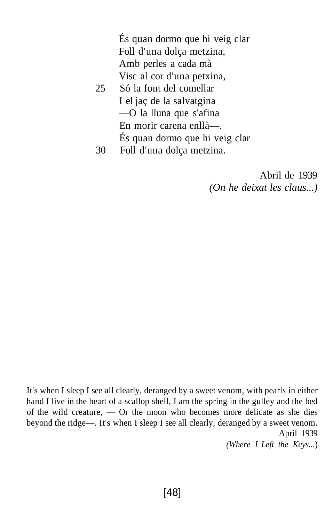És quan dormo que hi veig clar Foll d'una dolça metzina, Amb perles a cada mà Visc al cor d'una petxina,

- 25 Só la font del comellar I el jaç de la salvatgina —O la lluna que s'afina En morir carena enllà—. És quan dormo que hi veig clar
- 30 Foll d'una dolça metzina.

Abril de 1939 *(On he deixat les claus...)*

It's when I sleep I see all clearly, deranged by a sweet venom, with pearls in either hand I live in the heart of a scallop shell, I am the spring in the gulley and the bed of the wild creature, — Or the moon who becomes more delicate as she dies beyond the ridge—. It's when I sleep I see all clearly, deranged by a sweet venom. April 1939

*(Where I Left the Keys...*)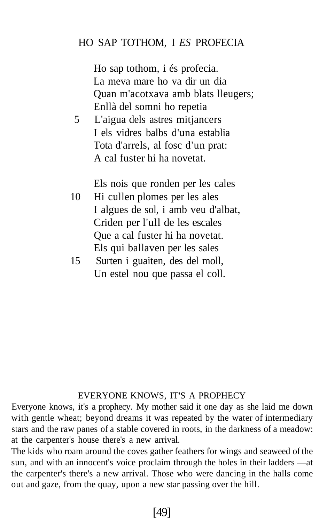# HO SAP TOTHOM, I *ES* PROFECIA

Ho sap tothom, i és profecia. La meva mare ho va dir un dia Quan m'acotxava amb blats lleugers; Enllà del somni ho repetia

5 L'aigua dels astres mitjancers I els vidres balbs d'una establia Tota d'arrels, al fosc d'un prat: A cal fuster hi ha novetat.

Els nois que ronden per les cales

- 10 Hi cullen plomes per les ales I algues de sol, i amb veu d'albat, Criden per l'ull de les escales Que a cal fuster hi ha novetat. Els qui ballaven per les sales
- 15 Surten i guaiten, des del moll, Un estel nou que passa el coll.

#### EVERYONE KNOWS, IT'S A PROPHECY

Everyone knows, it's a prophecy. My mother said it one day as she laid me down with gentle wheat; beyond dreams it was repeated by the water of intermediary stars and the raw panes of a stable covered in roots, in the darkness of a meadow: at the carpenter's house there's a new arrival.

The kids who roam around the coves gather feathers for wings and seaweed of the sun, and with an innocent's voice proclaim through the holes in their ladders —at the carpenter's there's a new arrival. Those who were dancing in the halls come out and gaze, from the quay, upon a new star passing over the hill.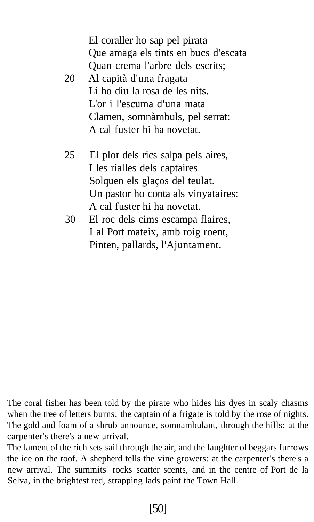El coraller ho sap pel pirata Que amaga els tints en bucs d'escata Quan crema l'arbre dels escrits;

- 20 Al capità d'una fragata Li ho diu la rosa de les nits. L'or i l'escuma d'una mata Clamen, somnàmbuls, pel serrat: A cal fuster hi ha novetat.
- 25 El plor dels rics salpa pels aires, I les rialles dels captaires Solquen els glaços del teulat. Un pastor ho conta als vinyataires: A cal fuster hi ha novetat.
- 30 El roc dels cims escampa flaires, I al Port mateix, amb roig roent, Pinten, pallards, l'Ajuntament.

The coral fisher has been told by the pirate who hides his dyes in scaly chasms when the tree of letters burns; the captain of a frigate is told by the rose of nights. The gold and foam of a shrub announce, somnambulant, through the hills: at the carpenter's there's a new arrival.

The lament of the rich sets sail through the air, and the laughter of beggars furrows the ice on the roof. A shepherd tells the vine growers: at the carpenter's there's a new arrival. The summits' rocks scatter scents, and in the centre of Port de la Selva, in the brightest red, strapping lads paint the Town Hall.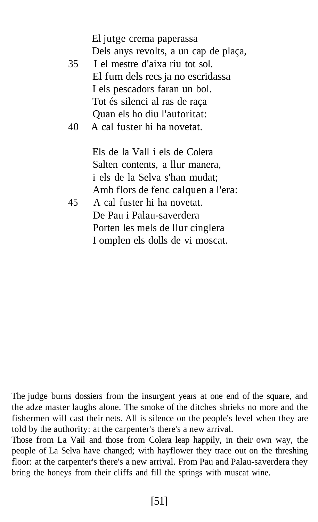El jutge crema paperassa Dels anys revolts, a un cap de plaça,

- 35 I el mestre d'aixa riu tot sol. El fum dels recs ja no escridassa I els pescadors faran un bol. Tot és silenci al ras de raça Quan els ho diu l'autoritat:
- 40 A cal fuster hi ha novetat.

Els de la Vall i els de Colera Salten contents, a llur manera, i els de la Selva s'han mudat; Amb flors de fenc calquen a l'era:

45 A cal fuster hi ha novetat. De Pau i Palau-saverdera Porten les mels de llur cinglera I omplen els dolls de vi moscat.

The judge burns dossiers from the insurgent years at one end of the square, and the adze master laughs alone. The smoke of the ditches shrieks no more and the fishermen will cast their nets. All is silence on the people's level when they are told by the authority: at the carpenter's there's a new arrival.

Those from La Vail and those from Colera leap happily, in their own way, the people of La Selva have changed; with hayflower they trace out on the threshing floor: at the carpenter's there's a new arrival. From Pau and Palau-saverdera they bring the honeys from their cliffs and fill the springs with muscat wine.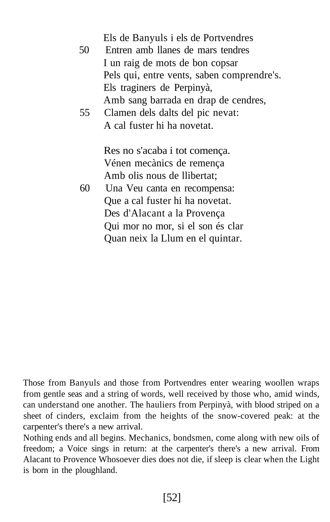| 50 | Els de Banyuls i els de Portvendres<br>Entren amb llanes de mars tendres<br>I un raig de mots de bon copsar |
|----|-------------------------------------------------------------------------------------------------------------|
|    |                                                                                                             |
|    | Pels qui, entre vents, saben comprendre's.                                                                  |
|    | Els traginers de Perpinyà,                                                                                  |
|    | Amb sang barrada en drap de cendres,                                                                        |
| 55 | Clamen dels dalts del pic nevat:                                                                            |
|    | A cal fuster hi ha novetat.                                                                                 |
|    |                                                                                                             |
|    | Res no s'acaba i tot comença.                                                                               |
|    | Vénen mecànics de remença                                                                                   |
|    | Amb olis nous de llibertat;                                                                                 |
| 60 | Una Veu canta en recompensa:                                                                                |
|    | Que a cal fuster hi ha novetat.                                                                             |
|    | Des d'Alacant a la Provença                                                                                 |
|    | Qui mor no mor, si el son és clar                                                                           |
|    | Quan neix la Llum en el quintar.                                                                            |
|    |                                                                                                             |

Those from Banyuls and those from Portvendres enter wearing woollen wraps from gentle seas and a string of words, well received by those who, amid winds, can understand one another. The hauliers from Perpinyà, with blood striped on a sheet of cinders, exclaim from the heights of the snow-covered peak: at the carpenter's there's a new arrival.

Nothing ends and all begins. Mechanics, bondsmen, come along with new oils of freedom; a Voice sings in return: at the carpenter's there's a new arrival. From Alacant to Provence Whosoever dies does not die, if sleep is clear when the Light is born in the ploughland.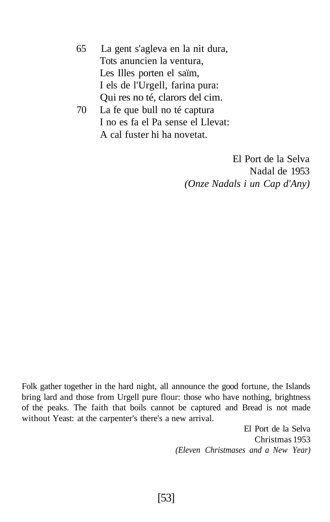- 65 La gent s'agleva en la nit dura, Tots anuncien la ventura, Les Illes porten el saïm, I els de l'Urgell, farina pura: Qui res no té, clarors del cim.
- 70 La fe que bull no té captura I no es fa el Pa sense el Llevat: A cal fuster hi ha novetat.

El Port de la Selva Nadal de 1953 *(Onze Nadals i un Cap d'Any)*

Folk gather together in the hard night, all announce the good fortune, the Islands bring lard and those from Urgell pure flour: those who have nothing, brightness of the peaks. The faith that boils cannot be captured and Bread is not made without Yeast: at the carpenter's there's a new arrival.

> El Port de la Selva Christmas 1953 *(Eleven Christmases and a New Year)*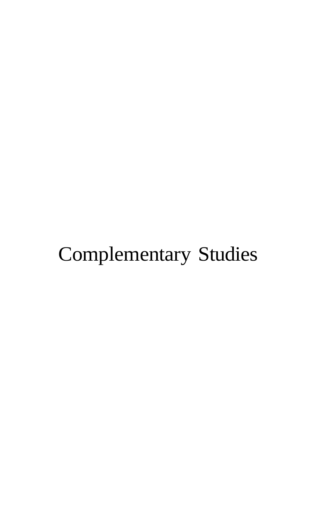# Complementary Studies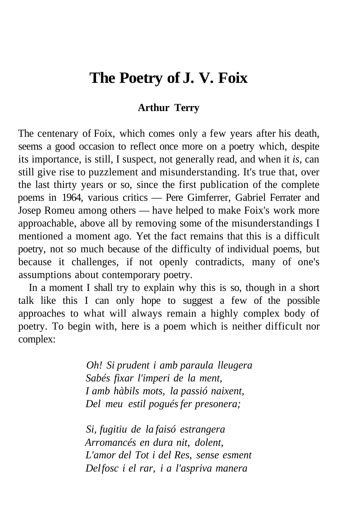# **The Poetry of J. V. Foix**

# **Arthur Terry**

The centenary of Foix, which comes only a few years after his death, seems a good occasion to reflect once more on a poetry which, despite its importance, is still, I suspect, not generally read, and when it *is,* can still give rise to puzzlement and misunderstanding. It's true that, over the last thirty years or so, since the first publication of the complete poems in 1964, various critics — Pere Gimferrer, Gabriel Ferrater and Josep Romeu among others — have helped to make Foix's work more approachable, above all by removing some of the misunderstandings I mentioned a moment ago. Yet the fact remains that this is a difficult poetry, not so much because of the difficulty of individual poems, but because it challenges, if not openly contradicts, many of one's assumptions about contemporary poetry.

In a moment I shall try to explain why this is so, though in a short talk like this I can only hope to suggest a few of the possible approaches to what will always remain a highly complex body of poetry. To begin with, here is a poem which is neither difficult nor complex:

> *Oh! Si prudent i amb paraula lleugera Sabés fixar l'imperi de la ment, I amb hàbils mots, la passió naixent, Del meu estil pogués fer presonera;*

> *Si, fugitiu de la faisó estrangera Arromancés en dura nit, dolent, L'amor del Tot i del Res, sense esment Del fosc i el rar, i a l'aspriva manera*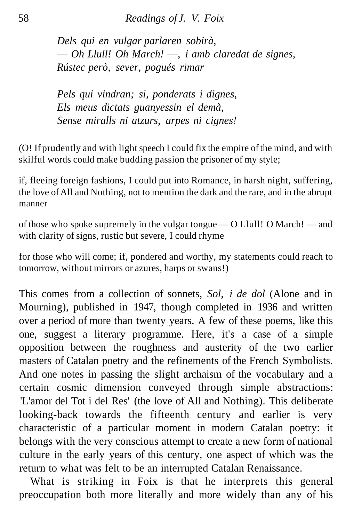*Dels qui en vulgar parlaren sobirà,* — *Oh Llull! Oh March!* —, *i amb claredat de signes, Rústec però, sever, pogués rimar*

*Pels qui vindran; si, ponderats i dignes, Els meus dictats guanyessin el demà, Sense miralls ni atzurs, arpes ni cignes!*

(O! If prudently and with light speech I could fix the empire of the mind, and with skilful words could make budding passion the prisoner of my style;

if, fleeing foreign fashions, I could put into Romance, in harsh night, suffering, the love of All and Nothing, not to mention the dark and the rare, and in the abrupt manner

of those who spoke supremely in the vulgar tongue — O Llull! O March! — and with clarity of signs, rustic but severe, I could rhyme

for those who will come; if, pondered and worthy, my statements could reach to tomorrow, without mirrors or azures, harps or swans!)

This comes from a collection of sonnets, *Sol, i de dol* (Alone and in Mourning), published in 1947, though completed in 1936 and written over a period of more than twenty years. A few of these poems, like this one, suggest a literary programme. Here, it's a case of a simple opposition between the roughness and austerity of the two earlier masters of Catalan poetry and the refinements of the French Symbolists. And one notes in passing the slight archaism of the vocabulary and a certain cosmic dimension conveyed through simple abstractions: 'L'amor del Tot i del Res' (the love of All and Nothing). This deliberate looking-back towards the fifteenth century and earlier is very characteristic of a particular moment in modern Catalan poetry: it belongs with the very conscious attempt to create a new form of national culture in the early years of this century, one aspect of which was the return to what was felt to be an interrupted Catalan Renaissance.

What is striking in Foix is that he interprets this general preoccupation both more literally and more widely than any of his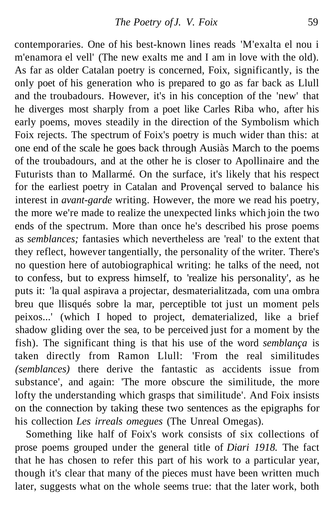contemporaries. One of his best-known lines reads 'M'exalta el nou i m'enamora el vell' (The new exalts me and I am in love with the old). As far as older Catalan poetry is concerned, Foix, significantly, is the only poet of his generation who is prepared to go as far back as Llull and the troubadours. However, it's in his conception of the 'new' that he diverges most sharply from a poet like Carles Riba who, after his early poems, moves steadily in the direction of the Symbolism which Foix rejects. The spectrum of Foix's poetry is much wider than this: at one end of the scale he goes back through Ausiàs March to the poems of the troubadours, and at the other he is closer to Apollinaire and the Futurists than to Mallarmé. On the surface, it's likely that his respect for the earliest poetry in Catalan and Provençal served to balance his interest in *avant-garde* writing. However, the more we read his poetry, the more we're made to realize the unexpected links which join the two ends of the spectrum. More than once he's described his prose poems as *semblances;* fantasies which nevertheless are 'real' to the extent that they reflect, however tangentially, the personality of the writer. There's no question here of autobiographical writing: he talks of the need, not to confess, but to express himself, to 'realize his personality', as he puts it: 'la qual aspirava a projectar, desmaterialitzada, com una ombra breu que llisqués sobre la mar, perceptible tot just un moment pels peixos...' (which I hoped to project, dematerialized, like a brief shadow gliding over the sea, to be perceived just for a moment by the fish). The significant thing is that his use of the word *semblança* is taken directly from Ramon Llull: 'From the real similitudes *(semblances)* there derive the fantastic as accidents issue from substance', and again: 'The more obscure the similitude, the more lofty the understanding which grasps that similitude'. And Foix insists on the connection by taking these two sentences as the epigraphs for his collection *Les irreals omegues* (The Unreal Omegas).

Something like half of Foix's work consists of six collections of prose poems grouped under the general title of *Diari 1918.* The fact that he has chosen to refer this part of his work to a particular year, though it's clear that many of the pieces must have been written much later, suggests what on the whole seems true: that the later work, both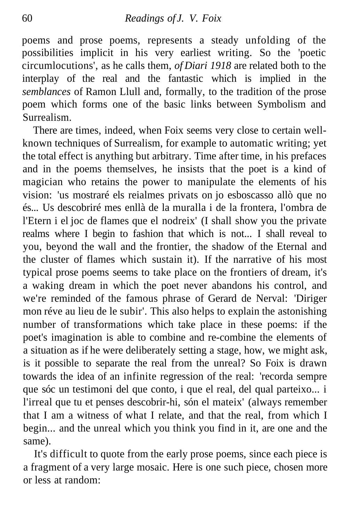poems and prose poems, represents a steady unfolding of the possibilities implicit in his very earliest writing. So the 'poetic circumlocutions', as he calls them, *of Diari 1918* are related both to the interplay of the real and the fantastic which is implied in the *semblances* of Ramon Llull and, formally, to the tradition of the prose poem which forms one of the basic links between Symbolism and Surrealism.

There are times, indeed, when Foix seems very close to certain wellknown techniques of Surrealism, for example to automatic writing; yet the total effect is anything but arbitrary. Time after time, in his prefaces and in the poems themselves, he insists that the poet is a kind of magician who retains the power to manipulate the elements of his vision: 'us mostraré els reialmes privats on jo esboscasso allò que no és... Us descobriré mes enllà de la muralla i de la frontera, l'ombra de l'Etern i el joc de flames que el nodreix' (I shall show you the private realms where I begin to fashion that which is not... I shall reveal to you, beyond the wall and the frontier, the shadow of the Eternal and the cluster of flames which sustain it). If the narrative of his most typical prose poems seems to take place on the frontiers of dream, it's a waking dream in which the poet never abandons his control, and we're reminded of the famous phrase of Gerard de Nerval: 'Diriger mon réve au lieu de le subir'. This also helps to explain the astonishing number of transformations which take place in these poems: if the poet's imagination is able to combine and re-combine the elements of a situation as if he were deliberately setting a stage, how, we might ask, is it possible to separate the real from the unreal? So Foix is drawn towards the idea of an infinite regression of the real: 'recorda sempre que sóc un testimoni del que conto, i que el real, del qual parteixo... i l'irreal que tu et penses descobrir-hi, són el mateix' (always remember that I am a witness of what I relate, and that the real, from which I begin... and the unreal which you think you find in it, are one and the same).

It's difficult to quote from the early prose poems, since each piece is a fragment of a very large mosaic. Here is one such piece, chosen more or less at random: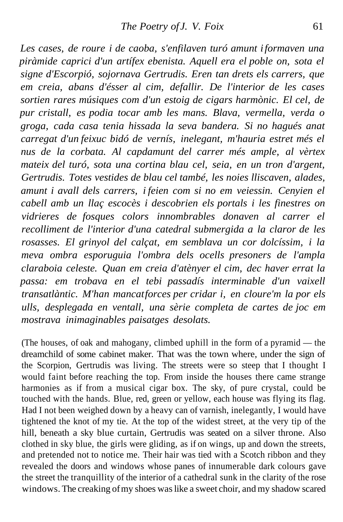*Les cases, de roure i de caoba, s'enfilaven turó amunt i formaven una piràmide caprici d'un artífex ebenista. Aquell era el poble on, sota el signe d'Escorpió, sojornava Gertrudis. Eren tan drets els carrers, que em creia, abans d'ésser al cim, defallir. De l'interior de les cases sortien rares músiques com d'un estoig de cigars harmònic. El cel, de pur cristall, es podia tocar amb les mans. Blava, vermella, verda o groga, cada casa tenia hissada la seva bandera. Si no hagués anat carregat d'un feixuc bidó de vernís, inelegant, m'hauria estret més el nus de la corbata. Al capdamunt del carrer més ample, al vèrtex mateix del turó, sota una cortina blau cel, seia, en un tron d'argent, Gertrudis. Totes vestides de blau cel també, les noies lliscaven, alades, amunt i avall dels carrers, i feien com si no em veiessin. Cenyien el cabell amb un llaç escocès i descobrien els portals i les finestres on vidrieres de fosques colors innombrables donaven al carrer el recolliment de l'interior d'una catedral submergida a la claror de les rosasses. El grinyol del calçat, em semblava un cor dolcíssim, i la meva ombra esporuguia l'ombra dels ocells presoners de l'ampla claraboia celeste. Quan em creia d'atènyer el cim, dec haver errat la passa: em trobava en el tebi passadís interminable d'un vaixell transatlàntic. M'han mancat forces per cridar i, en cloure'm la por els ulls, desplegada en ventall, una sèrie completa de cartes de joc em mostrava inimaginables paisatges desolats.*

(The houses, of oak and mahogany, climbed uphill in the form of a pyramid — the dreamchild of some cabinet maker. That was the town where, under the sign of the Scorpion, Gertrudis was living. The streets were so steep that I thought I would faint before reaching the top. From inside the houses there came strange harmonies as if from a musical cigar box. The sky, of pure crystal, could be touched with the hands. Blue, red, green or yellow, each house was flying its flag. Had I not been weighed down by a heavy can of varnish, inelegantly, I would have tightened the knot of my tie. At the top of the widest street, at the very tip of the hill, beneath a sky blue curtain, Gertrudis was seated on a silver throne. Also clothed in sky blue, the girls were gliding, as if on wings, up and down the streets, and pretended not to notice me. Their hair was tied with a Scotch ribbon and they revealed the doors and windows whose panes of innumerable dark colours gave the street the tranquillity of the interior of a cathedral sunk in the clarity of the rose windows. The creaking of my shoes was like a sweet choir, and my shadow scared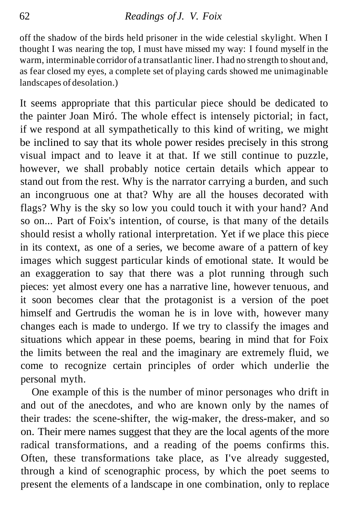off the shadow of the birds held prisoner in the wide celestial skylight. When I thought I was nearing the top, I must have missed my way: I found myself in the warm, interminable corridor of a transatlantic liner. I had no strength to shout and, as fear closed my eyes, a complete set of playing cards showed me unimaginable landscapes of desolation.)

It seems appropriate that this particular piece should be dedicated to the painter Joan Miró. The whole effect is intensely pictorial; in fact, if we respond at all sympathetically to this kind of writing, we might be inclined to say that its whole power resides precisely in this strong visual impact and to leave it at that. If we still continue to puzzle, however, we shall probably notice certain details which appear to stand out from the rest. Why is the narrator carrying a burden, and such an incongruous one at that? Why are all the houses decorated with flags? Why is the sky so low you could touch it with your hand? And so on... Part of Foix's intention, of course, is that many of the details should resist a wholly rational interpretation. Yet if we place this piece in its context, as one of a series, we become aware of a pattern of key images which suggest particular kinds of emotional state. It would be an exaggeration to say that there was a plot running through such pieces: yet almost every one has a narrative line, however tenuous, and it soon becomes clear that the protagonist is a version of the poet himself and Gertrudis the woman he is in love with, however many changes each is made to undergo. If we try to classify the images and situations which appear in these poems, bearing in mind that for Foix the limits between the real and the imaginary are extremely fluid, we come to recognize certain principles of order which underlie the personal myth.

One example of this is the number of minor personages who drift in and out of the anecdotes, and who are known only by the names of their trades: the scene-shifter, the wig-maker, the dress-maker, and so on. Their mere names suggest that they are the local agents of the more radical transformations, and a reading of the poems confirms this. Often, these transformations take place, as I've already suggested, through a kind of scenographic process, by which the poet seems to present the elements of a landscape in one combination, only to replace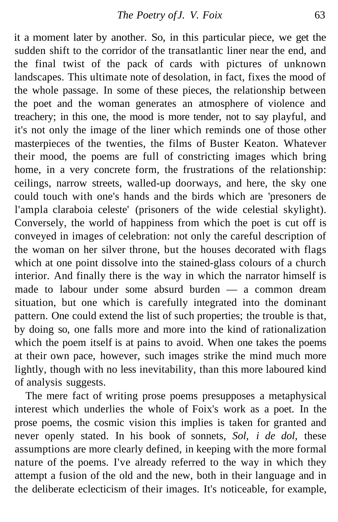it a moment later by another. So, in this particular piece, we get the sudden shift to the corridor of the transatlantic liner near the end, and the final twist of the pack of cards with pictures of unknown landscapes. This ultimate note of desolation, in fact, fixes the mood of the whole passage. In some of these pieces, the relationship between the poet and the woman generates an atmosphere of violence and treachery; in this one, the mood is more tender, not to say playful, and it's not only the image of the liner which reminds one of those other masterpieces of the twenties, the films of Buster Keaton. Whatever their mood, the poems are full of constricting images which bring home, in a very concrete form, the frustrations of the relationship: ceilings, narrow streets, walled-up doorways, and here, the sky one could touch with one's hands and the birds which are 'presoners de l'ampla claraboia celeste' (prisoners of the wide celestial skylight). Conversely, the world of happiness from which the poet is cut off is conveyed in images of celebration: not only the careful description of the woman on her silver throne, but the houses decorated with flags which at one point dissolve into the stained-glass colours of a church interior. And finally there is the way in which the narrator himself is made to labour under some absurd burden — a common dream situation, but one which is carefully integrated into the dominant pattern. One could extend the list of such properties; the trouble is that, by doing so, one falls more and more into the kind of rationalization which the poem itself is at pains to avoid. When one takes the poems at their own pace, however, such images strike the mind much more lightly, though with no less inevitability, than this more laboured kind of analysis suggests.

The mere fact of writing prose poems presupposes a metaphysical interest which underlies the whole of Foix's work as a poet. In the prose poems, the cosmic vision this implies is taken for granted and never openly stated. In his book of sonnets, *Sol, i de dol,* these assumptions are more clearly defined, in keeping with the more formal nature of the poems. I've already referred to the way in which they attempt a fusion of the old and the new, both in their language and in the deliberate eclecticism of their images. It's noticeable, for example,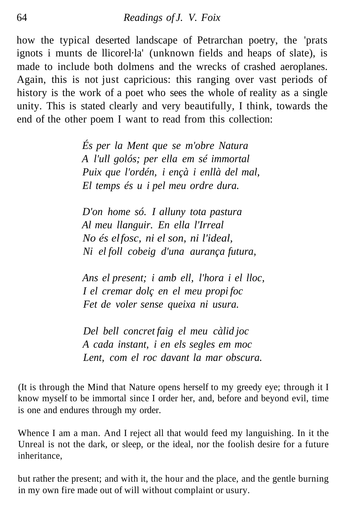how the typical deserted landscape of Petrarchan poetry, the 'prats ignots i munts de llicorel·la' (unknown fields and heaps of slate), is made to include both dolmens and the wrecks of crashed aeroplanes. Again, this is not just capricious: this ranging over vast periods of history is the work of a poet who sees the whole of reality as a single unity. This is stated clearly and very beautifully, I think, towards the end of the other poem I want to read from this collection:

> *És per la Ment que se m'obre Natura A l'ull golós; per ella em sé immortal Puix que l'ordén, i ençà i enllà del mal, El temps és u i pel meu ordre dura.*

*D'on home só. I alluny tota pastura Al meu llanguir. En ella l'Irreal No és el fosc, ni el son, ni l'ideal, Ni el foll cobeig d'una aurança futura,*

*Ans el present; i amb ell, l'hora i el lloc, I el cremar dolç en el meu propi foc Fet de voler sense queixa ni usura.*

*Del bell concret faig el meu càlid joc A cada instant, i en els segles em moc Lent, com el roc davant la mar obscura.*

(It is through the Mind that Nature opens herself to my greedy eye; through it I know myself to be immortal since I order her, and, before and beyond evil, time is one and endures through my order.

Whence I am a man. And I reject all that would feed my languishing. In it the Unreal is not the dark, or sleep, or the ideal, nor the foolish desire for a future inheritance,

but rather the present; and with it, the hour and the place, and the gentle burning in my own fire made out of will without complaint or usury.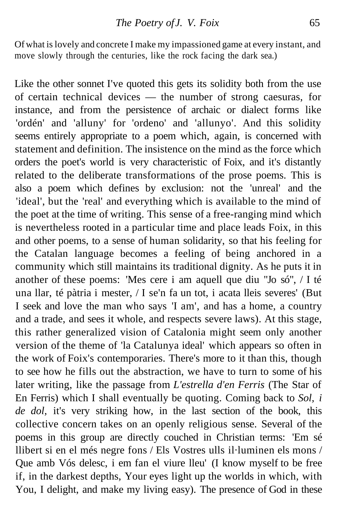Of what is lovely and concrete I make my impassioned game at every instant, and move slowly through the centuries, like the rock facing the dark sea.)

Like the other sonnet I've quoted this gets its solidity both from the use of certain technical devices — the number of strong caesuras, for instance, and from the persistence of archaic or dialect forms like 'ordén' and 'alluny' for 'ordeno' and 'allunyo'. And this solidity seems entirely appropriate to a poem which, again, is concerned with statement and definition. The insistence on the mind as the force which orders the poet's world is very characteristic of Foix, and it's distantly related to the deliberate transformations of the prose poems. This is also a poem which defines by exclusion: not the 'unreal' and the 'ideal', but the 'real' and everything which is available to the mind of the poet at the time of writing. This sense of a free-ranging mind which is nevertheless rooted in a particular time and place leads Foix, in this and other poems, to a sense of human solidarity, so that his feeling for the Catalan language becomes a feeling of being anchored in a community which still maintains its traditional dignity. As he puts it in another of these poems: 'Mes cere i am aquell que diu "Jo só", / I té una llar, té pàtria i mester, / I se'n fa un tot, i acata lleis severes' (But I seek and love the man who says 'I am', and has a home, a country and a trade, and sees it whole, and respects severe laws). At this stage, this rather generalized vision of Catalonia might seem only another version of the theme of 'la Catalunya ideal' which appears so often in the work of Foix's contemporaries. There's more to it than this, though to see how he fills out the abstraction, we have to turn to some of his later writing, like the passage from *L'estrella d'en Ferris* (The Star of En Ferris) which I shall eventually be quoting. Coming back to *Sol, i de dol,* it's very striking how, in the last section of the book, this collective concern takes on an openly religious sense. Several of the poems in this group are directly couched in Christian terms: 'Em sé llibert si en el més negre fons / Els Vostres ulls il·luminen els mons / Que amb Vós delesc, i em fan el viure lleu' (I know myself to be free if, in the darkest depths, Your eyes light up the worlds in which, with You, I delight, and make my living easy). The presence of God in these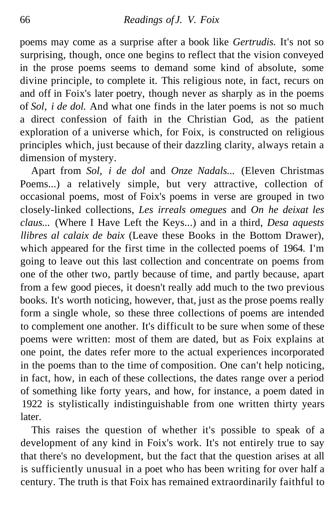poems may come as a surprise after a book like *Gertrudis.* It's not so surprising, though, once one begins to reflect that the vision conveyed in the prose poems seems to demand some kind of absolute, some divine principle, to complete it. This religious note, in fact, recurs on and off in Foix's later poetry, though never as sharply as in the poems of *Sol, i de dol.* And what one finds in the later poems is not so much a direct confession of faith in the Christian God, as the patient exploration of a universe which, for Foix, is constructed on religious principles which, just because of their dazzling clarity, always retain a dimension of mystery.

Apart from *Sol, i de dol* and *Onze Nadals...* (Eleven Christmas Poems...) a relatively simple, but very attractive, collection of occasional poems, most of Foix's poems in verse are grouped in two closely-linked collections, *Les irreals omegues* and *On he deixat les claus...* (Where I Have Left the Keys...) and in a third, *Desa aquests llibres al calaix de baix* (Leave these Books in the Bottom Drawer), which appeared for the first time in the collected poems of 1964. I'm going to leave out this last collection and concentrate on poems from one of the other two, partly because of time, and partly because, apart from a few good pieces, it doesn't really add much to the two previous books. It's worth noticing, however, that, just as the prose poems really form a single whole, so these three collections of poems are intended to complement one another. It's difficult to be sure when some of these poems were written: most of them are dated, but as Foix explains at one point, the dates refer more to the actual experiences incorporated in the poems than to the time of composition. One can't help noticing, in fact, how, in each of these collections, the dates range over a period of something like forty years, and how, for instance, a poem dated in 1922 is stylistically indistinguishable from one written thirty years later.

This raises the question of whether it's possible to speak of a development of any kind in Foix's work. It's not entirely true to say that there's no development, but the fact that the question arises at all is sufficiently unusual in a poet who has been writing for over half a century. The truth is that Foix has remained extraordinarily faithful to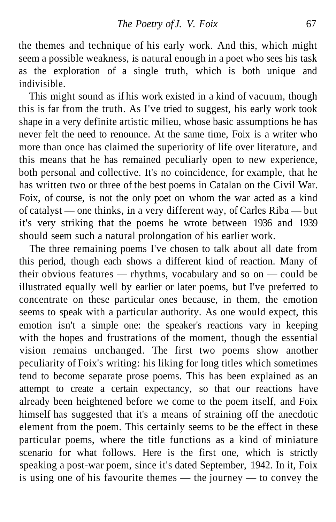the themes and technique of his early work. And this, which might seem a possible weakness, is natural enough in a poet who sees his task as the exploration of a single truth, which is both unique and indivisible.

This might sound as if his work existed in a kind of vacuum, though this is far from the truth. As I've tried to suggest, his early work took shape in a very definite artistic milieu, whose basic assumptions he has never felt the need to renounce. At the same time, Foix is a writer who more than once has claimed the superiority of life over literature, and this means that he has remained peculiarly open to new experience, both personal and collective. It's no coincidence, for example, that he has written two or three of the best poems in Catalan on the Civil War. Foix, of course, is not the only poet on whom the war acted as a kind of catalyst — one thinks, in a very different way, of Carles Riba — but it's very striking that the poems he wrote between 1936 and 1939 should seem such a natural prolongation of his earlier work.

The three remaining poems I've chosen to talk about all date from this period, though each shows a different kind of reaction. Many of their obvious features — rhythms, vocabulary and so on — could be illustrated equally well by earlier or later poems, but I've preferred to concentrate on these particular ones because, in them, the emotion seems to speak with a particular authority. As one would expect, this emotion isn't a simple one: the speaker's reactions vary in keeping with the hopes and frustrations of the moment, though the essential vision remains unchanged. The first two poems show another peculiarity of Foix's writing: his liking for long titles which sometimes tend to become separate prose poems. This has been explained as an attempt to create a certain expectancy, so that our reactions have already been heightened before we come to the poem itself, and Foix himself has suggested that it's a means of straining off the anecdotic element from the poem. This certainly seems to be the effect in these particular poems, where the title functions as a kind of miniature scenario for what follows. Here is the first one, which is strictly speaking a post-war poem, since it's dated September, 1942. In it, Foix is using one of his favourite themes — the journey — to convey the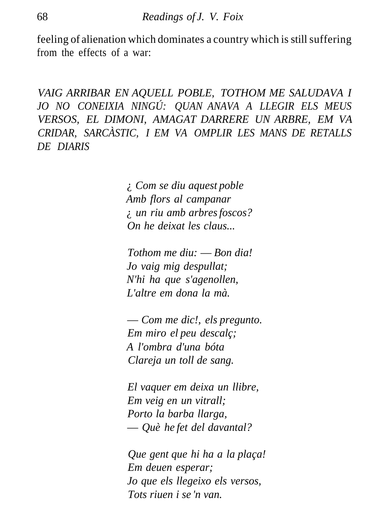feeling of alienation which dominates a country which is still suffering from the effects of a war:

*VAIG ARRIBAR EN AQUELL POBLE, TOTHOM ME SALUDAVA I JO NO CONEIXIA NINGÚ: QUAN ANAVA A LLEGIR ELS MEUS VERSOS, EL DIMONI, AMAGAT DARRERE UN ARBRE, EM VA CRIDAR, SARCÀSTIC, I EM VA OMPLIR LES MANS DE RETALLS DE DIARIS*

> ¿ *Com se diu aquest poble Amb flors al campanar* ¿ *un riu amb arbres foscos? On he deixat les claus...*

> *Tothom me diu:* — *Bon dia! Jo vaig mig despullat; N'hi ha que s'agenollen, L'altre em dona la mà.*

— *Com me dic!, els pregunto. Em miro el peu descalç; A l'ombra d'una bóta Clareja un toll de sang.*

*El vaquer em deixa un llibre, Em veig en un vitrall; Porto la barba llarga,* — *Què he fet del davantal?*

*Que gent que hi ha a la plaça! Em deuen esperar; Jo que els llegeixo els versos, Tots riuen i se 'n van.*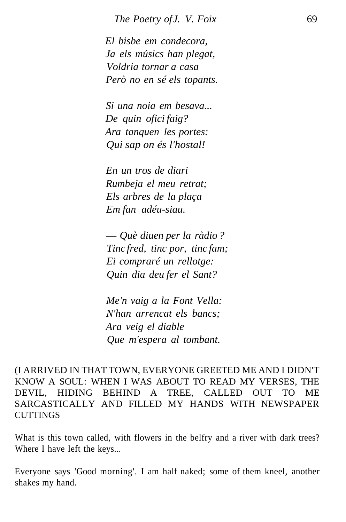*El bisbe em condecora, Ja els músics han plegat, Voldria tornar a casa Però no en sé els topants.*

*Si una noia em besava... De quin ofici faig? Ara tanquen les portes: Qui sap on és l'hostal!*

*En un tros de diari Rumbeja el meu retrat; Els arbres de la plaça Em fan adéu-siau.*

— *Què diuen per la ràdio ? Tinc fred, tinc por, tinc fam; Ei compraré un rellotge: Quin dia deu fer el Sant?*

*Me'n vaig a la Font Vella: N'han arrencat els bancs; Ara veig el diable Que m'espera al tombant.*

(I ARRIVED IN THAT TOWN, EVERYONE GREETED ME AND I DIDN'T KNOW A SOUL: WHEN I WAS ABOUT TO READ MY VERSES, THE DEVIL, HIDING BEHIND A TREE, CALLED OUT TO ME SARCASTICALLY AND FILLED MY HANDS WITH NEWSPAPER **CUTTINGS** 

What is this town called, with flowers in the belfry and a river with dark trees? Where I have left the keys...

Everyone says 'Good morning'. I am half naked; some of them kneel, another shakes my hand.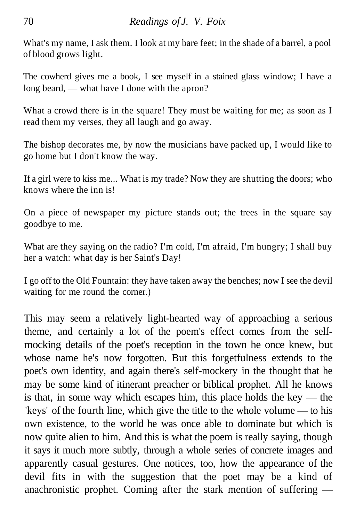What's my name, I ask them. I look at my bare feet; in the shade of a barrel, a pool of blood grows light.

The cowherd gives me a book, I see myself in a stained glass window; I have a long beard, — what have I done with the apron?

What a crowd there is in the square! They must be waiting for me; as soon as I read them my verses, they all laugh and go away.

The bishop decorates me, by now the musicians have packed up, I would like to go home but I don't know the way.

If a girl were to kiss me... What is my trade? Now they are shutting the doors; who knows where the inn is!

On a piece of newspaper my picture stands out; the trees in the square say goodbye to me.

What are they saying on the radio? I'm cold, I'm afraid, I'm hungry; I shall buy her a watch: what day is her Saint's Day!

I go off to the Old Fountain: they have taken away the benches; now I see the devil waiting for me round the corner.)

This may seem a relatively light-hearted way of approaching a serious theme, and certainly a lot of the poem's effect comes from the selfmocking details of the poet's reception in the town he once knew, but whose name he's now forgotten. But this forgetfulness extends to the poet's own identity, and again there's self-mockery in the thought that he may be some kind of itinerant preacher or biblical prophet. All he knows is that, in some way which escapes him, this place holds the key — the 'keys' of the fourth line, which give the title to the whole volume — to his own existence, to the world he was once able to dominate but which is now quite alien to him. And this is what the poem is really saying, though it says it much more subtly, through a whole series of concrete images and apparently casual gestures. One notices, too, how the appearance of the devil fits in with the suggestion that the poet may be a kind of anachronistic prophet. Coming after the stark mention of suffering —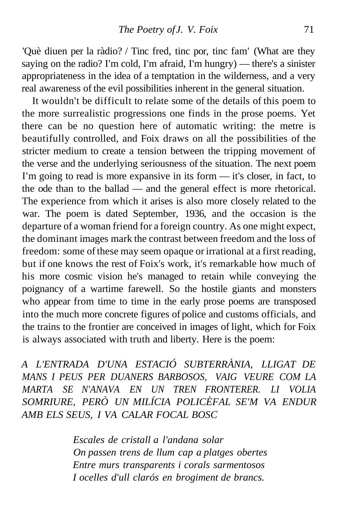'Què diuen per la ràdio? / Tinc fred, tinc por, tinc fam' (What are they saying on the radio? I'm cold, I'm afraid, I'm hungry) — there's a sinister appropriateness in the idea of a temptation in the wilderness, and a very real awareness of the evil possibilities inherent in the general situation.

It wouldn't be difficult to relate some of the details of this poem to the more surrealistic progressions one finds in the prose poems. Yet there can be no question here of automatic writing: the metre is beautifully controlled, and Foix draws on all the possibilities of the stricter medium to create a tension between the tripping movement of the verse and the underlying seriousness of the situation. The next poem I'm going to read is more expansive in its form — it's closer, in fact, to the ode than to the ballad — and the general effect is more rhetorical. The experience from which it arises is also more closely related to the war. The poem is dated September, 1936, and the occasion is the departure of a woman friend for a foreign country. As one might expect, the dominant images mark the contrast between freedom and the loss of freedom: some of these may seem opaque or irrational at a first reading, but if one knows the rest of Foix's work, it's remarkable how much of his more cosmic vision he's managed to retain while conveying the poignancy of a wartime farewell. So the hostile giants and monsters who appear from time to time in the early prose poems are transposed into the much more concrete figures of police and customs officials, and the trains to the frontier are conceived in images of light, which for Foix is always associated with truth and liberty. Here is the poem:

*A L'ENTRADA D'UNA ESTACIÓ SUBTERRÀNIA, LLIGAT DE MANS I PEUS PER DUANERS BARBOSOS, VAIG VEURE COM LA MARTA SE N'ANAVA EN UN TREN FRONTERER. LI VOLIA SOMRIURE, PERÒ UN MILÍCIA POLICÈFAL SE'M VA ENDUR AMB ELS SEUS, I VA CALAR FOCAL BOSC*

> *Escales de cristall a l'andana solar On passen trens de llum cap a platges obertes Entre murs transparents i corals sarmentosos I ocelles d'ull clarós en brogiment de brancs.*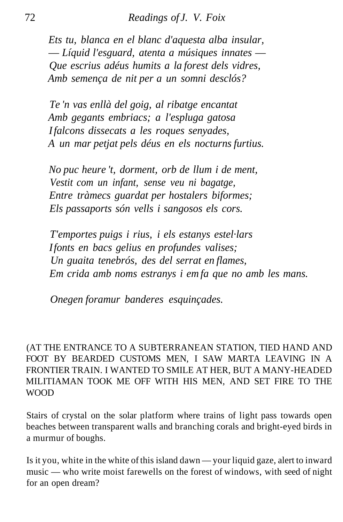*Ets tu, blanca en el blanc d'aquesta alba insular,* — *Líquid l'esguard, atenta a músiques innates* — *Que escrius adéus humits a la forest dels vidres, Amb semença de nit per a un somni desclós?*

*Te 'n vas enllà del goig, al ribatge encantat Amb gegants embriacs; a l'espluga gatosa I falcons dissecats a les roques senyades, A un mar petjat pels déus en els nocturns furtius.*

*No puc heure 't, dorment, orb de llum i de ment, Vestit com un infant, sense veu ni bagatge, Entre tràmecs guardat per hostalers biformes; Els passaports són vells i sangosos els cors.*

*T'emportes puigs i rius, i els estanys estel·lars I fonts en bacs gelius en profundes valises; Un guaita tenebrós, des del serrat en flames, Em crida amb noms estranys i em fa que no amb les mans.*

*Onegen foramur banderes esquinçades.*

(AT THE ENTRANCE TO A SUBTERRANEAN STATION, TIED HAND AND FOOT BY BEARDED CUSTOMS MEN, I SAW MARTA LEAVING IN A FRONTIER TRAIN. I WANTED TO SMILE AT HER, BUT A MANY-HEADED MILITIAMAN TOOK ME OFF WITH HIS MEN, AND SET FIRE TO THE WOOD

Stairs of crystal on the solar platform where trains of light pass towards open beaches between transparent walls and branching corals and bright-eyed birds in a murmur of boughs.

Is it you, white in the white of this island dawn — your liquid gaze, alert to inward music — who write moist farewells on the forest of windows, with seed of night for an open dream?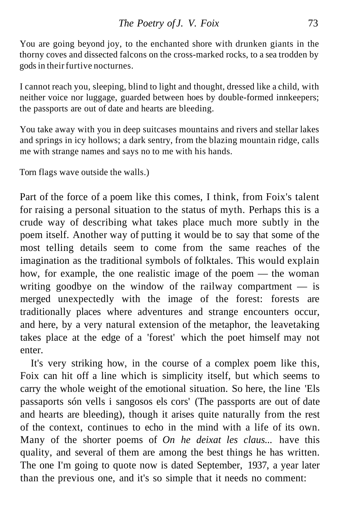You are going beyond joy, to the enchanted shore with drunken giants in the thorny coves and dissected falcons on the cross-marked rocks, to a sea trodden by gods in their furtive nocturnes.

I cannot reach you, sleeping, blind to light and thought, dressed like a child, with neither voice nor luggage, guarded between hoes by double-formed innkeepers; the passports are out of date and hearts are bleeding.

You take away with you in deep suitcases mountains and rivers and stellar lakes and springs in icy hollows; a dark sentry, from the blazing mountain ridge, calls me with strange names and says no to me with his hands.

Torn flags wave outside the walls.)

Part of the force of a poem like this comes, I think, from Foix's talent for raising a personal situation to the status of myth. Perhaps this is a crude way of describing what takes place much more subtly in the poem itself. Another way of putting it would be to say that some of the most telling details seem to come from the same reaches of the imagination as the traditional symbols of folktales. This would explain how, for example, the one realistic image of the poem — the woman writing goodbye on the window of the railway compartment — is merged unexpectedly with the image of the forest: forests are traditionally places where adventures and strange encounters occur, and here, by a very natural extension of the metaphor, the leavetaking takes place at the edge of a 'forest' which the poet himself may not enter.

It's very striking how, in the course of a complex poem like this, Foix can hit off a line which is simplicity itself, but which seems to carry the whole weight of the emotional situation. So here, the line 'Els passaports són vells i sangosos els cors' (The passports are out of date and hearts are bleeding), though it arises quite naturally from the rest of the context, continues to echo in the mind with a life of its own. Many of the shorter poems of *On he deixat les claus...* have this quality, and several of them are among the best things he has written. The one I'm going to quote now is dated September, 1937, a year later than the previous one, and it's so simple that it needs no comment: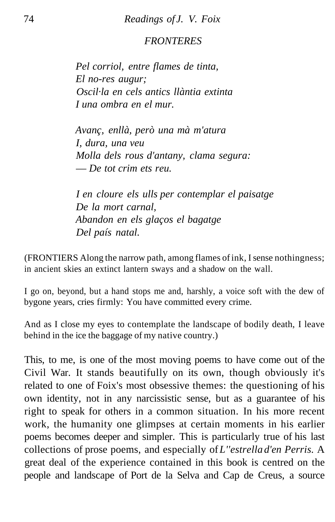# *FRONTERES*

*Pel corriol, entre flames de tinta, El no-res augur; Oscil·la en cels antics llàntia extinta I una ombra en el mur.*

*Avanç, enllà, però una mà m'atura I, dura, una veu Molla dels rous d'antany, clama segura:* — *De tot crim ets reu.*

*I en cloure els ulls per contemplar el paisatge De la mort carnal, Abandon en els glaços el bagatge Del país natal.*

(FRONTIERS Along the narrow path, among flames of ink, I sense nothingness; in ancient skies an extinct lantern sways and a shadow on the wall.

I go on, beyond, but a hand stops me and, harshly, a voice soft with the dew of bygone years, cries firmly: You have committed every crime.

And as I close my eyes to contemplate the landscape of bodily death, I leave behind in the ice the baggage of my native country.)

This, to me, is one of the most moving poems to have come out of the Civil War. It stands beautifully on its own, though obviously it's related to one of Foix's most obsessive themes: the questioning of his own identity, not in any narcissistic sense, but as a guarantee of his right to speak for others in a common situation. In his more recent work, the humanity one glimpses at certain moments in his earlier poems becomes deeper and simpler. This is particularly true of his last collections of prose poems, and especially of *L''estrella d'en Perris.* A great deal of the experience contained in this book is centred on the people and landscape of Port de la Selva and Cap de Creus, a source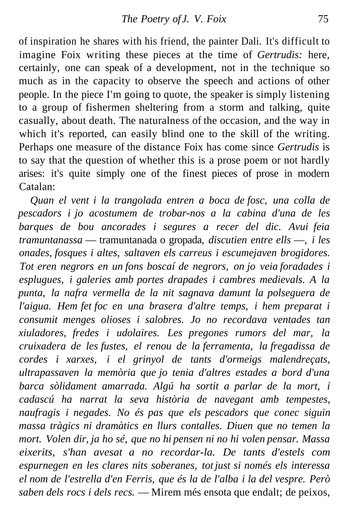of inspiration he shares with his friend, the painter Dali. It's difficult to imagine Foix writing these pieces at the time of *Gertrudis:* here, certainly, one can speak of a development, not in the technique so much as in the capacity to observe the speech and actions of other people. In the piece I'm going to quote, the speaker is simply listening to a group of fishermen sheltering from a storm and talking, quite casually, about death. The naturalness of the occasion, and the way in which it's reported, can easily blind one to the skill of the writing. Perhaps one measure of the distance Foix has come since *Gertrudis* is to say that the question of whether this is a prose poem or not hardly arises: it's quite simply one of the finest pieces of prose in modern Catalan:

*Quan el vent i la trangolada entren a boca de fosc, una colla de pescadors i jo acostumem de trobar-nos a la cabina d'una de les barques de bou ancorades i segures a recer del dic. Avui feia tramuntanassa* — tramuntanada o gropada, *discutien entre ells* —, *i les onades, fosques i altes, saltaven els carreus i escumejaven brogidores. Tot eren negrors en un fons boscaí de negrors, on jo veia foradades i esplugues, i galeries amb portes drapades i cambres medievals. A la punta, la nafra vermella de la nit sagnava damunt la polseguera de l'aigua. Hem fet foc en una brasera d'altre temps, i hem preparat i consumit menges olioses i salobres. Jo no recordava ventades tan xiuladores, fredes i udolaires. Les pregones rumors del mar, la cruixadera de les fustes, el renou de la ferramenta, la fregadissa de cordes i xarxes, i el grinyol de tants d'ormeigs malendreçats, ultrapassaven la memòria que jo tenia d'altres estades a bord d'una barca sòlidament amarrada. Algú ha sortit a parlar de la mort, i cadascú ha narrat la seva història de navegant amb tempestes, naufragis i negades. No és pas que els pescadors que conec siguin massa tràgics ni dramàtics en llurs contalles. Diuen que no temen la mort. Volen dir, ja ho sé, que no hi pensen ni no hi volen pensar. Massa eixerits, s'han avesat a no recordar-la. De tants d'estels com espurnegen en les clares nits soberanes, tot just si només els interessa el nom de l'estrella d'en Ferris, que és la de l'alba i la del vespre. Però saben dels rocs i dels recs.* — Mirem més ensota que endalt; de peixos,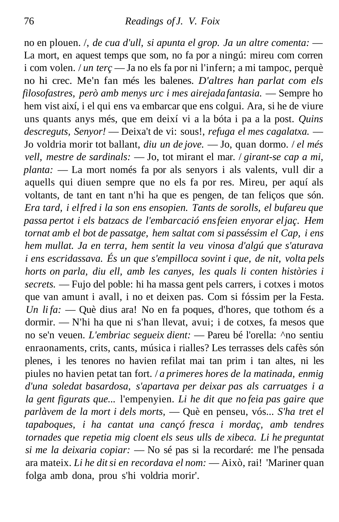no en plouen. /, *de cua d'ull, si apunta el grop. Ja un altre comenta:* — La mort, en aquest temps que som, no fa por a ningú: mireu com corren i com volen. / *un terç* — Ja no els fa por ni l'infern; a mi tampoc, perquè no hi crec. Me'n fan més les balenes. *D'altres han parlat com els filosofastres, però amb menys urc i mes airejada fantasia.* — Sempre ho hem vist així, i el qui ens va embarcar que ens colgui. Ara, si he de viure uns quants anys més, que em deixí vi a la bóta i pa a la post. *Quins descreguts, Senyor!* — Deixa't de vi: sous!, *refuga el mes cagalatxa.* — Jo voldria morir tot ballant, *diu un de jove.* — Jo, quan dormo. / *el més vell, mestre de sardinals:* — Jo, tot mirant el mar. / *girant-se cap a mi, planta:* — La mort només fa por als senyors i als valents, vull dir a aquells qui diuen sempre que no els fa por res. Mireu, per aquí als voltants, de tant en tant n'hi ha que es pengen, de tan feliços que són. *Era tard, i el fred i la son ens ensopien. Tants de sorolls, el bufareu que passa pertot i els batzacs de l'embarcació ens feien enyorar el jaç. Hem tornat amb el bot de passatge, hem saltat com si passéssim el Cap, i ens hem mullat. Ja en terra, hem sentit la veu vinosa d'algú que s'aturava i ens escridassava. És un que s'empilloca sovint i que, de nit, volta pels horts on parla, diu ell, amb les canyes, les quals li conten històries i secrets.* — Fujo del poble: hi ha massa gent pels carrers, i cotxes i motos que van amunt i avall, i no et deixen pas. Com si fóssim per la Festa. *Un li fa:* — Què dius ara! No en fa poques, d'hores, que tothom és a dormir. — N'hi ha que ni s'han llevat, avui; i de cotxes, fa mesos que no se'n veuen. *L'embriac segueix dient:* — Pareu bé l'orella: ^no sentiu enraonaments, crits, cants, música i rialles? Les terrasses dels cafès són plenes, i les tenores no havien refilat mai tan prim i tan altes, ni les piules no havien petat tan fort. / *a primeres hores de la matinada, enmig d'una soledat basardosa, s'apartava per deixar pas als carruatges i a la gent figurats que...* l'empenyien. *Li he dit que no feia pas gaire que parlàvem de la mort i dels morts,* — Què en penseu, vós... *S'ha tret el tapaboques, i ha cantat una cançó fresca i mordaç, amb tendres tornades que repetia mig cloent els seus ulls de xibeca. Li he preguntat si me la deixaria copiar:* — No sé pas si la recordaré: me l'he pensada ara mateix. *Li he dit si en recordava el nom:* — Això, rai! 'Mariner quan folga amb dona, prou s'hi voldria morir'.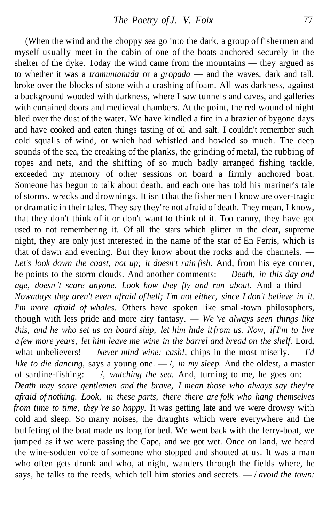(When the wind and the choppy sea go into the dark, a group of fishermen and myself usually meet in the cabin of one of the boats anchored securely in the shelter of the dyke. Today the wind came from the mountains — they argued as to whether it was a *tramuntanada* or a *gropada* — and the waves, dark and tall, broke over the blocks of stone with a crashing of foam. All was darkness, against a background wooded with darkness, where I saw tunnels and caves, and galleries with curtained doors and medieval chambers. At the point, the red wound of night bled over the dust of the water. We have kindled a fire in a brazier of bygone days and have cooked and eaten things tasting of oil and salt. I couldn't remember such cold squalls of wind, or which had whistled and howled so much. The deep sounds of the sea, the creaking of the planks, the grinding of metal, the rubbing of ropes and nets, and the shifting of so much badly arranged fishing tackle, exceeded my memory of other sessions on board a firmly anchored boat. Someone has begun to talk about death, and each one has told his mariner's tale of storms, wrecks and drownings. It isn't that the fishermen I know are over-tragic or dramatic in their tales. They say they're not afraid of death. They mean, I know, that they don't think of it or don't want to think of it. Too canny, they have got used to not remembering it. Of all the stars which glitter in the clear, supreme night, they are only just interested in the name of the star of En Ferris, which is that of dawn and evening. But they know about the rocks and the channels. — *Let's look down the coast, not up; it doesn't rain fish.* And, from his eye corner, he points to the storm clouds. And another comments: — *Death, in this day and age, doesn 't scare anyone. Look how they fly and run about.* And a third — *Nowadays they aren't even afraid of hell; I'm not either, since I don't believe in it. I'm more afraid of whales.* Others have spoken like small-town philosophers, though with less pride and more airy fantasy. — *We 've always seen things like this, and he who set us on board ship, let him hide it from us. Now, if I'm to live a few more years, let him leave me wine in the barrel and bread on the shelf.* Lord, what unbelievers! — *Never mind wine: cash!*, chips in the most miserly. — *I'd like to die dancing,* says a young one. — /, *in my sleep.* And the oldest, a master of sardine-fishing:  $-$  /, *watching the sea*. And, turning to me, he goes on:  $-$ *Death may scare gentlemen and the brave, I mean those who always say they're afraid of nothing. Look, in these parts, there there are folk who hang themselves from time to time, they 're so happy.* It was getting late and we were drowsy with cold and sleep. So many noises, the draughts which were everywhere and the buffeting of the boat made us long for bed. We went back with the ferry-boat, we jumped as if we were passing the Cape, and we got wet. Once on land, we heard the wine-sodden voice of someone who stopped and shouted at us. It was a man who often gets drunk and who, at night, wanders through the fields where, he says, he talks to the reeds, which tell him stories and secrets. — / *avoid the town:*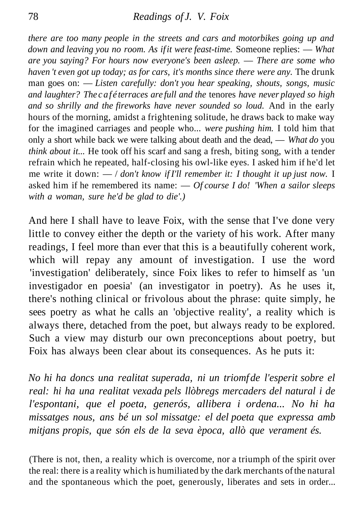*there are too many people in the streets and cars and motorbikes going up and down and leaving you no room. As if it were feast-time.* Someone replies: — *What are you saying? For hours now everyone's been asleep.* — *There are some who haven 't even got up today; as for cars, it's months since there were any.* The drunk man goes on: — *Listen carefully: don't you hear speaking, shouts, songs, music and laughter? The caf é terraces are full and the* tenores *have never played so high and so shrilly and the fireworks have never sounded so loud.* And in the early hours of the morning, amidst a frightening solitude, he draws back to make way for the imagined carriages and people who... *were pushing him.* I told him that only a short while back we were talking about death and the dead, — *What do* you *think about it...* He took off his scarf and sang a fresh, biting song, with a tender refrain which he repeated, half-closing his owl-like eyes. I asked him if he'd let me write it down: — / *don't know if I'll remember it: I thought it up just now.* I asked him if he remembered its name: — *Of course I do! 'When a sailor sleeps with a woman, sure he'd be glad to die'.)*

And here I shall have to leave Foix, with the sense that I've done very little to convey either the depth or the variety of his work. After many readings, I feel more than ever that this is a beautifully coherent work, which will repay any amount of investigation. I use the word 'investigation' deliberately, since Foix likes to refer to himself as 'un investigador en poesia' (an investigator in poetry). As he uses it, there's nothing clinical or frivolous about the phrase: quite simply, he sees poetry as what he calls an 'objective reality', a reality which is always there, detached from the poet, but always ready to be explored. Such a view may disturb our own preconceptions about poetry, but Foix has always been clear about its consequences. As he puts it:

*No hi ha doncs una realitat superada, ni un triomf de l'esperit sobre el real: hi ha una realitat vexada pels llòbregs mercaders del natural i de l'espontani, que el poeta, generós, allibera i ordena... No hi ha missatges nous, ans bé un sol missatge: el del poeta que expressa amb mitjans propis, que són els de la seva època, allò que verament és.*

(There is not, then, a reality which is overcome, nor a triumph of the spirit over the real: there is a reality which is humiliated by the dark merchants of the natural and the spontaneous which the poet, generously, liberates and sets in order...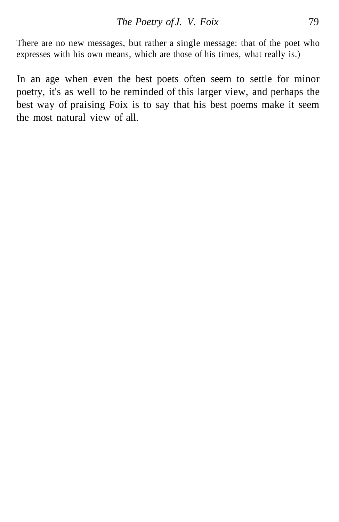There are no new messages, but rather a single message: that of the poet who expresses with his own means, which are those of his times, what really is.)

In an age when even the best poets often seem to settle for minor poetry, it's as well to be reminded of this larger view, and perhaps the best way of praising Foix is to say that his best poems make it seem the most natural view of all.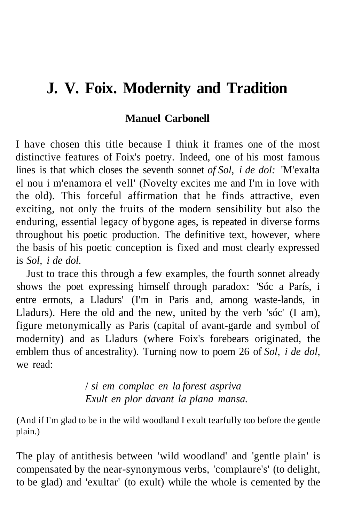# **J. V. Foix. Modernity and Tradition**

#### **Manuel Carbonell**

I have chosen this title because I think it frames one of the most distinctive features of Foix's poetry. Indeed, one of his most famous lines is that which closes the seventh sonnet *of Sol, i de dol:* 'M'exalta el nou i m'enamora el vell' (Novelty excites me and I'm in love with the old). This forceful affirmation that he finds attractive, even exciting, not only the fruits of the modern sensibility but also the enduring, essential legacy of bygone ages, is repeated in diverse forms throughout his poetic production. The definitive text, however, where the basis of his poetic conception is fixed and most clearly expressed is *Sol, i de dol.*

Just to trace this through a few examples, the fourth sonnet already shows the poet expressing himself through paradox: 'Sóc a París, i entre ermots, a Lladurs' (I'm in Paris and, among waste-lands, in Lladurs). Here the old and the new, united by the verb 'sóc' (I am), figure metonymically as Paris (capital of avant-garde and symbol of modernity) and as Lladurs (where Foix's forebears originated, the emblem thus of ancestrality). Turning now to poem 26 of *Sol, i de dol,* we read:

> / *si em complac en la forest aspriva Exult en plor davant la plana mansa.*

(And if I'm glad to be in the wild woodland I exult tearfully too before the gentle plain.)

The play of antithesis between 'wild woodland' and 'gentle plain' is compensated by the near-synonymous verbs, 'complaure's' (to delight, to be glad) and 'exultar' (to exult) while the whole is cemented by the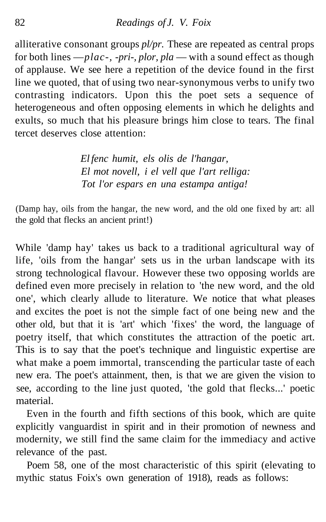alliterative consonant groups *pl/pr.* These are repeated as central props for both lines —*plac-, -pri-, plor, pla* — with a sound effect as though of applause. We see here a repetition of the device found in the first line we quoted, that of using two near-synonymous verbs to unify two contrasting indicators. Upon this the poet sets a sequence of heterogeneous and often opposing elements in which he delights and exults, so much that his pleasure brings him close to tears. The final tercet deserves close attention:

> *El fenc humit, els olis de l'hangar, El mot novell, i el vell que l'art relliga: Tot l'or espars en una estampa antiga!*

(Damp hay, oils from the hangar, the new word, and the old one fixed by art: all the gold that flecks an ancient print!)

While 'damp hay' takes us back to a traditional agricultural way of life, 'oils from the hangar' sets us in the urban landscape with its strong technological flavour. However these two opposing worlds are defined even more precisely in relation to 'the new word, and the old one', which clearly allude to literature. We notice that what pleases and excites the poet is not the simple fact of one being new and the other old, but that it is 'art' which 'fixes' the word, the language of poetry itself, that which constitutes the attraction of the poetic art. This is to say that the poet's technique and linguistic expertise are what make a poem immortal, transcending the particular taste of each new era. The poet's attainment, then, is that we are given the vision to see, according to the line just quoted, 'the gold that flecks...' poetic material.

Even in the fourth and fifth sections of this book, which are quite explicitly vanguardist in spirit and in their promotion of newness and modernity, we still find the same claim for the immediacy and active relevance of the past.

Poem 58, one of the most characteristic of this spirit (elevating to mythic status Foix's own generation of 1918), reads as follows: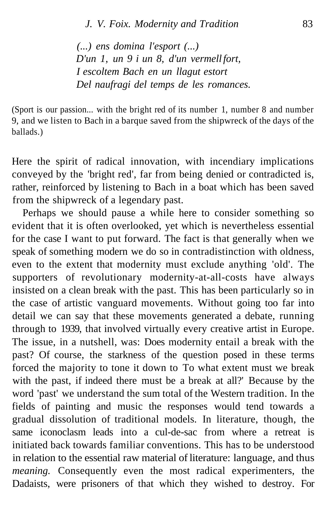*(...) ens domina l'esport (...) D'un 1, un 9 i un 8, d'un vermell fort, I escoltem Bach en un llagut estort Del naufragi del temps de les romances.*

(Sport is our passion... with the bright red of its number 1, number 8 and number 9, and we listen to Bach in a barque saved from the shipwreck of the days of the ballads.)

Here the spirit of radical innovation, with incendiary implications conveyed by the 'bright red', far from being denied or contradicted is, rather, reinforced by listening to Bach in a boat which has been saved from the shipwreck of a legendary past.

Perhaps we should pause a while here to consider something so evident that it is often overlooked, yet which is nevertheless essential for the case I want to put forward. The fact is that generally when we speak of something modern we do so in contradistinction with oldness, even to the extent that modernity must exclude anything 'old'. The supporters of revolutionary modernity-at-all-costs have always insisted on a clean break with the past. This has been particularly so in the case of artistic vanguard movements. Without going too far into detail we can say that these movements generated a debate, running through to 1939, that involved virtually every creative artist in Europe. The issue, in a nutshell, was: Does modernity entail a break with the past? Of course, the starkness of the question posed in these terms forced the majority to tone it down to To what extent must we break with the past, if indeed there must be a break at all?' Because by the word 'past' we understand the sum total of the Western tradition. In the fields of painting and music the responses would tend towards a gradual dissolution of traditional models. In literature, though, the same iconoclasm leads into a cul-de-sac from where a retreat is initiated back towards familiar conventions. This has to be understood in relation to the essential raw material of literature: language, and thus *meaning.* Consequently even the most radical experimenters, the Dadaists, were prisoners of that which they wished to destroy. For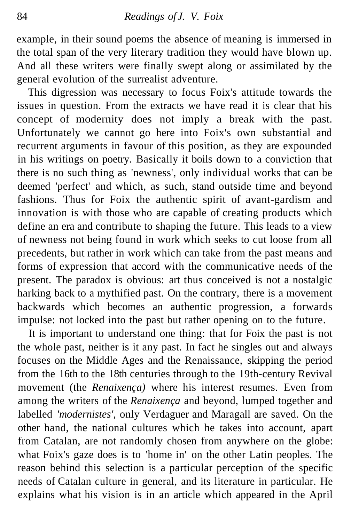example, in their sound poems the absence of meaning is immersed in the total span of the very literary tradition they would have blown up. And all these writers were finally swept along or assimilated by the general evolution of the surrealist adventure.

This digression was necessary to focus Foix's attitude towards the issues in question. From the extracts we have read it is clear that his concept of modernity does not imply a break with the past. Unfortunately we cannot go here into Foix's own substantial and recurrent arguments in favour of this position, as they are expounded in his writings on poetry. Basically it boils down to a conviction that there is no such thing as 'newness', only individual works that can be deemed 'perfect' and which, as such, stand outside time and beyond fashions. Thus for Foix the authentic spirit of avant-gardism and innovation is with those who are capable of creating products which define an era and contribute to shaping the future. This leads to a view of newness not being found in work which seeks to cut loose from all precedents, but rather in work which can take from the past means and forms of expression that accord with the communicative needs of the present. The paradox is obvious: art thus conceived is not a nostalgic harking back to a mythified past. On the contrary, there is a movement backwards which becomes an authentic progression, a forwards impulse: not locked into the past but rather opening on to the future.

It is important to understand one thing: that for Foix the past is not the whole past, neither is it any past. In fact he singles out and always focuses on the Middle Ages and the Renaissance, skipping the period from the 16th to the 18th centuries through to the 19th-century Revival movement (the *Renaixença)* where his interest resumes. Even from among the writers of the *Renaixença* and beyond, lumped together and labelled *'modernistes',* only Verdaguer and Maragall are saved. On the other hand, the national cultures which he takes into account, apart from Catalan, are not randomly chosen from anywhere on the globe: what Foix's gaze does is to 'home in' on the other Latin peoples. The reason behind this selection is a particular perception of the specific needs of Catalan culture in general, and its literature in particular. He explains what his vision is in an article which appeared in the April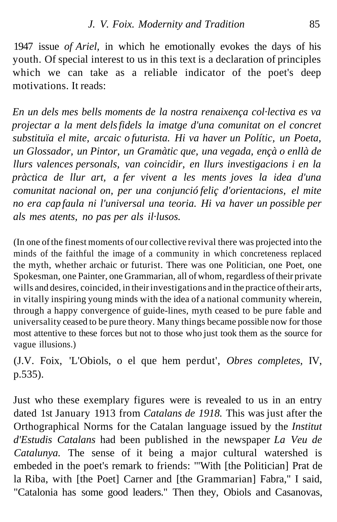1947 issue *of Ariel,* in which he emotionally evokes the days of his youth. Of special interest to us in this text is a declaration of principles which we can take as a reliable indicator of the poet's deep motivations. It reads:

*En un dels mes bells moments de la nostra renaixença col·lectiva es va projectar a la ment dels fidels la imatge d'una comunitat on el concret substituïa el mite, arcaic o futurista. Hi va haver un Polític, un Poeta, un Glossador, un Pintor, un Gramàtic que, una vegada, ençà o enllà de llurs valences personals, van coincidir, en llurs investigacions i en la pràctica de llur art, a fer vivent a les ments joves la idea d'una comunitat nacional on, per una conjunció feliç d'orientacions, el mite no era cap faula ni l'universal una teoria. Hi va haver un possible per als mes atents, no pas per als il·lusos.*

(In one of the finest moments of our collective revival there was projected into the minds of the faithful the image of a community in which concreteness replaced the myth, whether archaic or futurist. There was one Politician, one Poet, one Spokesman, one Painter, one Grammarian, all of whom, regardless of their private wills and desires, coincided, in their investigations and in the practice of their arts, in vitally inspiring young minds with the idea of a national community wherein, through a happy convergence of guide-lines, myth ceased to be pure fable and universality ceased to be pure theory. Many things became possible now for those most attentive to these forces but not to those who just took them as the source for vague illusions.)

(J.V. Foix, 'L'Obiols, o el que hem perdut', *Obres completes,* IV, p.535).

Just who these exemplary figures were is revealed to us in an entry dated 1st January 1913 from *Catalans de 1918.* This was just after the Orthographical Norms for the Catalan language issued by the *Institut d'Estudis Catalans* had been published in the newspaper *La Veu de Catalunya.* The sense of it being a major cultural watershed is embeded in the poet's remark to friends: '"With [the Politician] Prat de la Riba, with [the Poet] Carner and [the Grammarian] Fabra," I said, "Catalonia has some good leaders." Then they, Obiols and Casanovas,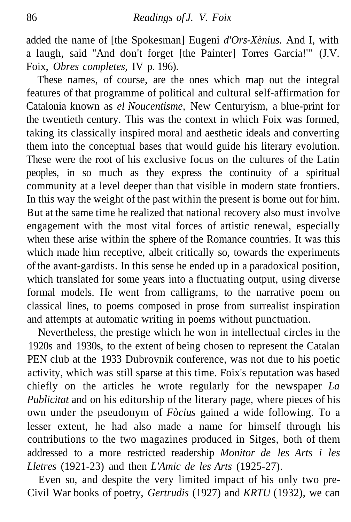added the name of [the Spokesman] Eugeni *d'Ors-Xènius.* And I, with a laugh, said "And don't forget [the Painter] Torres Garcia!'" (J.V. Foix, *Obres completes,* IV p. 196).

These names, of course, are the ones which map out the integral features of that programme of political and cultural self-affirmation for Catalonia known as *el Noucentisme,* New Centuryism, a blue-print for the twentieth century. This was the context in which Foix was formed, taking its classically inspired moral and aesthetic ideals and converting them into the conceptual bases that would guide his literary evolution. These were the root of his exclusive focus on the cultures of the Latin peoples, in so much as they express the continuity of a spiritual community at a level deeper than that visible in modern state frontiers. In this way the weight of the past within the present is borne out for him. But at the same time he realized that national recovery also must involve engagement with the most vital forces of artistic renewal, especially when these arise within the sphere of the Romance countries. It was this which made him receptive, albeit critically so, towards the experiments of the avant-gardists. In this sense he ended up in a paradoxical position, which translated for some years into a fluctuating output, using diverse formal models. He went from calligrams, to the narrative poem on classical lines, to poems composed in prose from surrealist inspiration and attempts at automatic writing in poems without punctuation.

Nevertheless, the prestige which he won in intellectual circles in the 1920s and 1930s, to the extent of being chosen to represent the Catalan PEN club at the 1933 Dubrovnik conference, was not due to his poetic activity, which was still sparse at this time. Foix's reputation was based chiefly on the articles he wrote regularly for the newspaper *La Publicitat* and on his editorship of the literary page, where pieces of his own under the pseudonym of *Fòcius* gained a wide following. To a lesser extent, he had also made a name for himself through his contributions to the two magazines produced in Sitges, both of them addressed to a more restricted readership *Monitor de les Arts i les Lletres* (1921-23) and then *L'Amic de les Arts* (1925-27).

Even so, and despite the very limited impact of his only two pre-Civil War books of poetry, *Gertrudis* (1927) and *KRTU* (1932), we can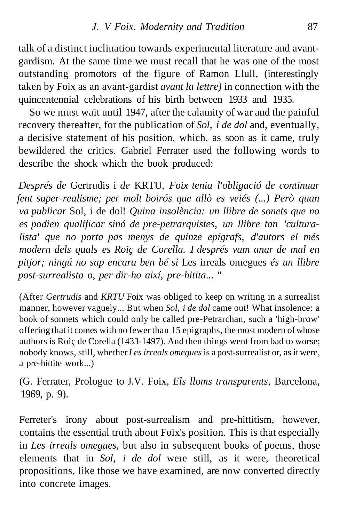talk of a distinct inclination towards experimental literature and avantgardism. At the same time we must recall that he was one of the most outstanding promotors of the figure of Ramon Llull, (interestingly taken by Foix as an avant-gardist *avant la lettre)* in connection with the quincentennial celebrations of his birth between 1933 and 1935.

So we must wait until 1947, after the calamity of war and the painful recovery thereafter, for the publication of *Sol, i de dol* and, eventually, a decisive statement of his position, which, as soon as it came, truly bewildered the critics. Gabriel Ferrater used the following words to describe the shock which the book produced:

*Després de* Gertrudis i *de* KRTU, *Foix tenia l'obligació de continuar fent super-realisme; per molt boirós que allò es veiés (...) Però quan va publicar* Sol, i de dol! *Quina insolència: un llibre de sonets que no es podien qualificar sinó de pre-petrarquistes, un llibre tan 'culturalista' que no porta pas menys de quinze epígrafs, d'autors el més modern dels quals es Roiç de Corella. I després vam anar de mal en pitjor; ningú no sap encara ben bé si* Les irreals omegues *és un llibre post-surrealista o, per dir-ho així, pre-hitita... "*

(After *Gertrudis* and *KRTU* Foix was obliged to keep on writing in a surrealist manner, however vaguely... But when *Sol, i de dol* came out! What insolence: a book of sonnets which could only be called pre-Petrarchan, such a 'high-brow' offering that it comes with no fewer than 15 epigraphs, the most modern of whose authors is Roiç de Corella (1433-1497). And then things went from bad to worse; nobody knows, still, whether *Les irreals omegues* is a post-surrealist or, as it were, a pre-hittite work...)

(G. Ferrater, Prologue to J.V. Foix, *Els lloms transparents,* Barcelona, 1969, p. 9).

Ferreter's irony about post-surrealism and pre-hittitism, however, contains the essential truth about Foix's position. This is that especially in *Les irreals omegues,* but also in subsequent books of poems, those elements that in *Sol, i de dol* were still, as it were, theoretical propositions, like those we have examined, are now converted directly into concrete images.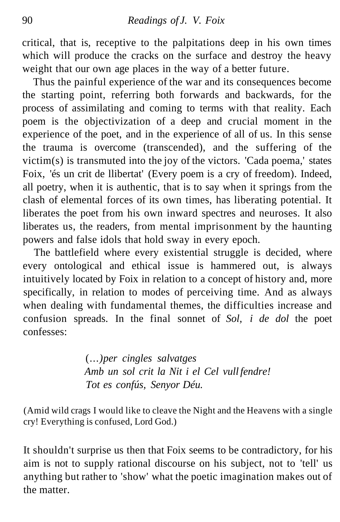critical, that is, receptive to the palpitations deep in his own times which will produce the cracks on the surface and destroy the heavy weight that our own age places in the way of a better future.

Thus the painful experience of the war and its consequences become the starting point, referring both forwards and backwards, for the process of assimilating and coming to terms with that reality. Each poem is the objectivization of a deep and crucial moment in the experience of the poet, and in the experience of all of us. In this sense the trauma is overcome (transcended), and the suffering of the victim(s) is transmuted into the joy of the victors. 'Cada poema,' states Foix, 'és un crit de llibertat' (Every poem is a cry of freedom). Indeed, all poetry, when it is authentic, that is to say when it springs from the clash of elemental forces of its own times, has liberating potential. It liberates the poet from his own inward spectres and neuroses. It also liberates us, the readers, from mental imprisonment by the haunting powers and false idols that hold sway in every epoch.

The battlefield where every existential struggle is decided, where every ontological and ethical issue is hammered out, is always intuitively located by Foix in relation to a concept of history and, more specifically, in relation to modes of perceiving time. And as always when dealing with fundamental themes, the difficulties increase and confusion spreads. In the final sonnet of *Sol, i de dol* the poet confesses:

> (...*) per cingles salvatges Amb un sol crit la Nit i el Cel vull fendre! Tot es confús, Senyor Déu.*

(Amid wild crags I would like to cleave the Night and the Heavens with a single cry! Everything is confused, Lord God.)

It shouldn't surprise us then that Foix seems to be contradictory, for his aim is not to supply rational discourse on his subject, not to 'tell' us anything but rather to 'show' what the poetic imagination makes out of the matter.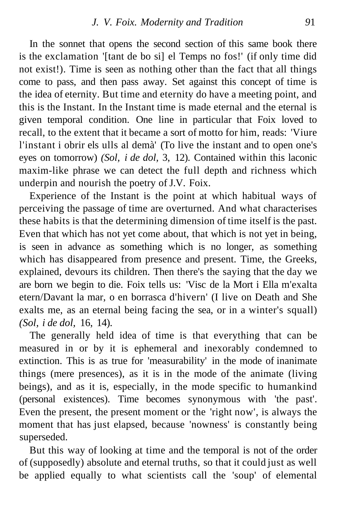In the sonnet that opens the second section of this same book there is the exclamation '[tant de bo si] el Temps no fos!' (if only time did not exist!). Time is seen as nothing other than the fact that all things come to pass, and then pass away. Set against this concept of time is the idea of eternity. But time and eternity do have a meeting point, and this is the Instant. In the Instant time is made eternal and the eternal is given temporal condition. One line in particular that Foix loved to recall, to the extent that it became a sort of motto for him, reads: 'Viure l'instant i obrir els ulls al demà' (To live the instant and to open one's eyes on tomorrow) *(Sol, i de dol,* 3, 12). Contained within this laconic maxim-like phrase we can detect the full depth and richness which underpin and nourish the poetry of J.V. Foix.

Experience of the Instant is the point at which habitual ways of perceiving the passage of time are overturned. And what characterises these habits is that the determining dimension of time itself is the past. Even that which has not yet come about, that which is not yet in being, is seen in advance as something which is no longer, as something which has disappeared from presence and present. Time, the Greeks, explained, devours its children. Then there's the saying that the day we are born we begin to die. Foix tells us: 'Visc de la Mort i Ella m'exalta etern/Davant la mar, o en borrasca d'hivern' (I live on Death and She exalts me, as an eternal being facing the sea, or in a winter's squall) *(Sol, i de dol,* 16, 14).

The generally held idea of time is that everything that can be measured in or by it is ephemeral and inexorably condemned to extinction. This is as true for 'measurability' in the mode of inanimate things (mere presences), as it is in the mode of the animate (living beings), and as it is, especially, in the mode specific to humankind (personal existences). Time becomes synonymous with 'the past'. Even the present, the present moment or the 'right now', is always the moment that has just elapsed, because 'nowness' is constantly being superseded.

But this way of looking at time and the temporal is not of the order of (supposedly) absolute and eternal truths, so that it could just as well be applied equally to what scientists call the 'soup' of elemental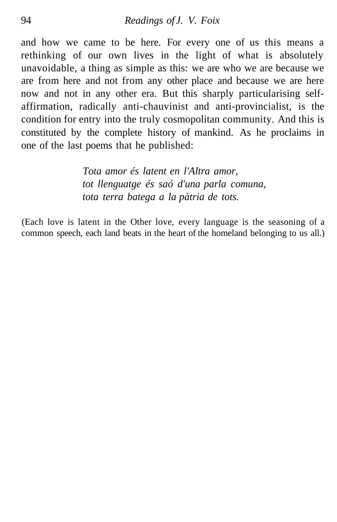and how we came to be here. For every one of us this means a rethinking of our own lives in the light of what is absolutely unavoidable, a thing as simple as this: we are who we are because we are from here and not from any other place and because we are here now and not in any other era. But this sharply particularising selfaffirmation, radically anti-chauvinist and anti-provincialist, is the condition for entry into the truly cosmopolitan community. And this is constituted by the complete history of mankind. As he proclaims in one of the last poems that he published:

> *Tota amor és latent en l'Altra amor, tot llenguatge és saó d'una parla comuna, tota terra batega a la pàtria de tots.*

(Each love is latent in the Other love, every language is the seasoning of a common speech, each land beats in the heart of the homeland belonging to us all.)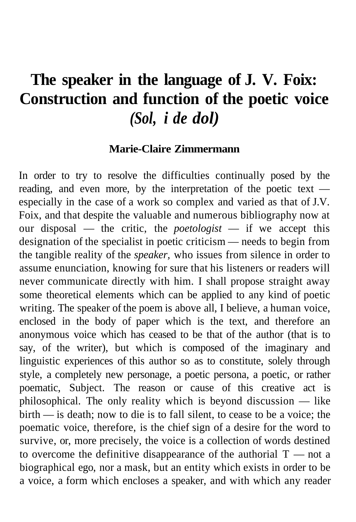# **The speaker in the language of J. V. Foix: Construction and function of the poetic voice** *(Sol, i de dol)*

#### **Marie-Claire Zimmermann**

In order to try to resolve the difficulties continually posed by the reading, and even more, by the interpretation of the poetic text especially in the case of a work so complex and varied as that of J.V. Foix, and that despite the valuable and numerous bibliography now at our disposal — the critic, the *poetologist* — if we accept this designation of the specialist in poetic criticism — needs to begin from the tangible reality of the *speaker,* who issues from silence in order to assume enunciation, knowing for sure that his listeners or readers will never communicate directly with him. I shall propose straight away some theoretical elements which can be applied to any kind of poetic writing. The speaker of the poem is above all, I believe, a human voice, enclosed in the body of paper which is the text, and therefore an anonymous voice which has ceased to be that of the author (that is to say, of the writer), but which is composed of the imaginary and linguistic experiences of this author so as to constitute, solely through style, a completely new personage, a poetic persona, a poetic, or rather poematic, Subject. The reason or cause of this creative act is philosophical. The only reality which is beyond discussion — like birth — is death; now to die is to fall silent, to cease to be a voice; the poematic voice, therefore, is the chief sign of a desire for the word to survive, or, more precisely, the voice is a collection of words destined to overcome the definitive disappearance of the authorial  $T$  — not a biographical ego, nor a mask, but an entity which exists in order to be a voice, a form which encloses a speaker, and with which any reader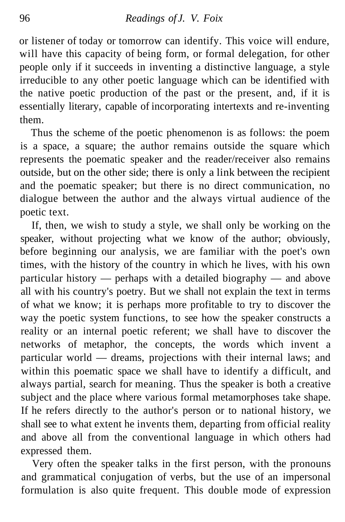or listener of today or tomorrow can identify. This voice will endure, will have this capacity of being form, or formal delegation, for other people only if it succeeds in inventing a distinctive language, a style irreducible to any other poetic language which can be identified with the native poetic production of the past or the present, and, if it is essentially literary, capable of incorporating intertexts and re-inventing them.

Thus the scheme of the poetic phenomenon is as follows: the poem is a space, a square; the author remains outside the square which represents the poematic speaker and the reader/receiver also remains outside, but on the other side; there is only a link between the recipient and the poematic speaker; but there is no direct communication, no dialogue between the author and the always virtual audience of the poetic text.

If, then, we wish to study a style, we shall only be working on the speaker, without projecting what we know of the author; obviously, before beginning our analysis, we are familiar with the poet's own times, with the history of the country in which he lives, with his own particular history — perhaps with a detailed biography — and above all with his country's poetry. But we shall not explain the text in terms of what we know; it is perhaps more profitable to try to discover the way the poetic system functions, to see how the speaker constructs a reality or an internal poetic referent; we shall have to discover the networks of metaphor, the concepts, the words which invent a particular world — dreams, projections with their internal laws; and within this poematic space we shall have to identify a difficult, and always partial, search for meaning. Thus the speaker is both a creative subject and the place where various formal metamorphoses take shape. If he refers directly to the author's person or to national history, we shall see to what extent he invents them, departing from official reality and above all from the conventional language in which others had expressed them.

Very often the speaker talks in the first person, with the pronouns and grammatical conjugation of verbs, but the use of an impersonal formulation is also quite frequent. This double mode of expression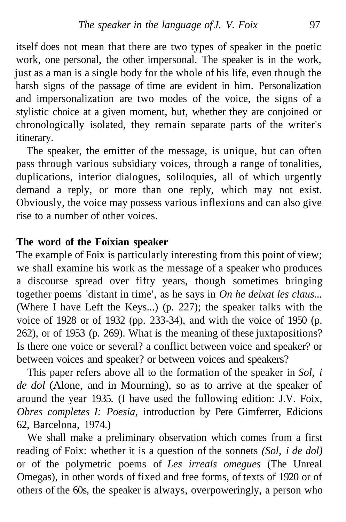itself does not mean that there are two types of speaker in the poetic work, one personal, the other impersonal. The speaker is in the work, just as a man is a single body for the whole of his life, even though the harsh signs of the passage of time are evident in him. Personalization and impersonalization are two modes of the voice, the signs of a stylistic choice at a given moment, but, whether they are conjoined or chronologically isolated, they remain separate parts of the writer's itinerary.

The speaker, the emitter of the message, is unique, but can often pass through various subsidiary voices, through a range of tonalities, duplications, interior dialogues, soliloquies, all of which urgently demand a reply, or more than one reply, which may not exist. Obviously, the voice may possess various inflexions and can also give rise to a number of other voices.

### **The word of the Foixian speaker**

The example of Foix is particularly interesting from this point of view; we shall examine his work as the message of a speaker who produces a discourse spread over fifty years, though sometimes bringing together poems 'distant in time', as he says in *On he deixat les claus...* (Where I have Left the Keys...) (p. 227); the speaker talks with the voice of 1928 or of 1932 (pp. 233-34), and with the voice of 1950 (p. 262), or of 1953 (p. 269). What is the meaning of these juxtapositions? Is there one voice or several? a conflict between voice and speaker? or between voices and speaker? or between voices and speakers?

This paper refers above all to the formation of the speaker in *Sol, i de dol* (Alone, and in Mourning), so as to arrive at the speaker of around the year 1935. (I have used the following edition: J.V. Foix, *Obres completes I: Poesia,* introduction by Pere Gimferrer, Edicions 62, Barcelona, 1974.)

We shall make a preliminary observation which comes from a first reading of Foix: whether it is a question of the sonnets *(Sol, i de dol)* or of the polymetric poems of *Les irreals omegues* (The Unreal Omegas), in other words of fixed and free forms, of texts of 1920 or of others of the 60s, the speaker is always, overpoweringly, a person who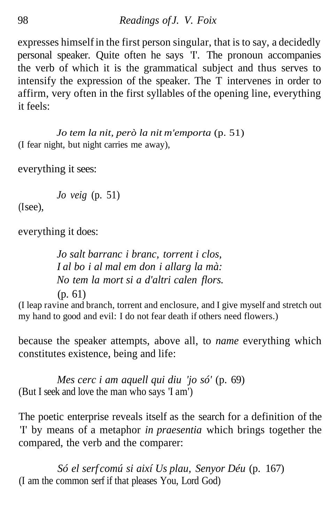expresses himself in the first person singular, that is to say, a decidedly personal speaker. Quite often he says 'I'. The pronoun accompanies the verb of which it is the grammatical subject and thus serves to intensify the expression of the speaker. The T intervenes in order to affirm, very often in the first syllables of the opening line, everything it feels:

*Jo tem la nit, però la nit m'emporta* (p. 51) (I fear night, but night carries me away),

everything it sees:

*Jo veig* (p. 51)

 $(I see)$ .

everything it does:

*Jo salt barranc i branc, torrent i clos, I al bo i al mal em don i allarg la mà: No tem la mort si a d'altri calen flors.* (p. 61)

(I leap ravine and branch, torrent and enclosure, and I give myself and stretch out my hand to good and evil: I do not fear death if others need flowers.)

because the speaker attempts, above all, to *name* everything which constitutes existence, being and life:

*Mes cerc i am aquell qui diu 'jo só'* (p. 69) (But I seek and love the man who says 'I am')

The poetic enterprise reveals itself as the search for a definition of the 'I' by means of a metaphor *in praesentia* which brings together the compared, the verb and the comparer:

*Só el serf comú si així Us plau, Senyor Déu* (p. 167) (I am the common serf if that pleases You, Lord God)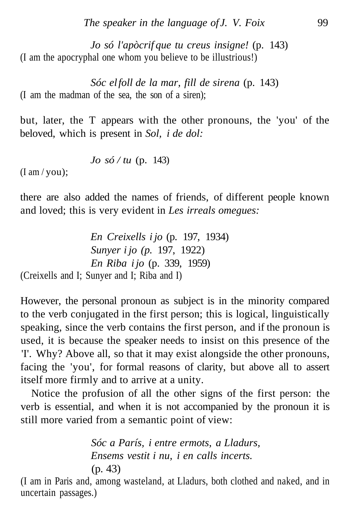*Jo só l'apòcrif que tu creus insigne!* (p. 143) (I am the apocryphal one whom you believe to be illustrious!)

*Sóc el foll de la mar, fill de sirena* (p. 143) (I am the madman of the sea, the son of a siren);

but, later, the T appears with the other pronouns, the 'you' of the beloved, which is present in *Sol, i de dol:*

$$
Jo\ s\acute{o} / tu\ (p. 143)
$$

 $(I \text{ am}/\text{you})$ ;

there are also added the names of friends, of different people known and loved; this is very evident in *Les irreals omegues:*

*En Creixells i jo* (p. 197, 1934) *Sunyer i jo (p.* 197, 1922) *En Riba i jo* (p. 339, 1959) (Creixells and I; Sunyer and I; Riba and I)

However, the personal pronoun as subject is in the minority compared to the verb conjugated in the first person; this is logical, linguistically speaking, since the verb contains the first person, and if the pronoun is used, it is because the speaker needs to insist on this presence of the 'I'. Why? Above all, so that it may exist alongside the other pronouns, facing the 'you', for formal reasons of clarity, but above all to assert itself more firmly and to arrive at a unity.

Notice the profusion of all the other signs of the first person: the verb is essential, and when it is not accompanied by the pronoun it is still more varied from a semantic point of view:

> *Sóc a París, i entre ermots, a Lladurs, Ensems vestit i nu, i en calls incerts.* (p. 43)

(I am in Paris and, among wasteland, at Lladurs, both clothed and naked, and in uncertain passages.)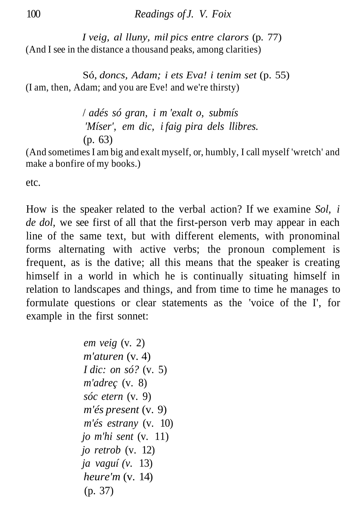*I veig, al lluny, mil pics entre clarors* (p. 77) (And I see in the distance a thousand peaks, among clarities)

Só, *doncs, Adam; i ets Eva! i tenim set* (p. 55) (I am, then, Adam; and you are Eve! and we're thirsty)

> / *adés só gran, i m 'exalt o, submís 'Míser', em dic, i faig pira dels llibres.* (p. 63)

(And sometimes I am big and exalt myself, or, humbly, I call myself 'wretch' and make a bonfire of my books.)

etc.

How is the speaker related to the verbal action? If we examine *Sol, i de dol,* we see first of all that the first-person verb may appear in each line of the same text, but with different elements, with pronominal forms alternating with active verbs; the pronoun complement is frequent, as is the dative; all this means that the speaker is creating himself in a world in which he is continually situating himself in relation to landscapes and things, and from time to time he manages to formulate questions or clear statements as the 'voice of the I', for example in the first sonnet:

> *em veig* (v. 2) *m'aturen* (v. 4) *I dic: on só?* (v. 5) *m'adreç* (v. 8) *sóc etern* (v. 9) *m'és present* (v. 9) *m'és estrany* (v. 10) *jo m'hi sent* (v. 11) *jo retrob* (v. 12) *ja vaguí (v.* 13) *heure'm* (v. 14) (p. 37)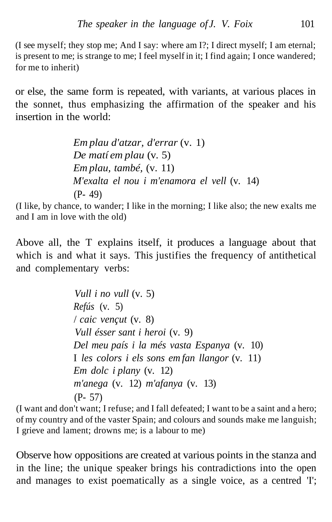(I see myself; they stop me; And I say: where am I?; I direct myself; I am eternal; is present to me; is strange to me; I feel myself in it; I find again; I once wandered; for me to inherit)

or else, the same form is repeated, with variants, at various places in the sonnet, thus emphasizing the affirmation of the speaker and his insertion in the world:

> *Em plau d'atzar, d'errar* (v. 1) *De matí em plau* (v. 5) *Em plau, també,* (v. 11) *M'exalta el nou i m'enamora el vell* (v. 14) (P- 49)

(I like, by chance, to wander; I like in the morning; I like also; the new exalts me and I am in love with the old)

Above all, the T explains itself, it produces a language about that which is and what it says. This justifies the frequency of antithetical and complementary verbs:

> *Vull i no vull* (v. 5) *Refús* (v. 5) / *caic vençut* (v. 8) *Vull ésser sant i heroi* (v. 9) *Del meu país i la més vasta Espanya* (v. 10) I *les colors i els sons em fan llangor* (v. 11) *Em dolc i plany* (v. 12) *m'anega* (v. 12) *m'afanya* (v. 13) (P- 57)

(I want and don't want; I refuse; and I fall defeated; I want to be a saint and a hero; of my country and of the vaster Spain; and colours and sounds make me languish; I grieve and lament; drowns me; is a labour to me)

Observe how oppositions are created at various points in the stanza and in the line; the unique speaker brings his contradictions into the open and manages to exist poematically as a single voice, as a centred 'I';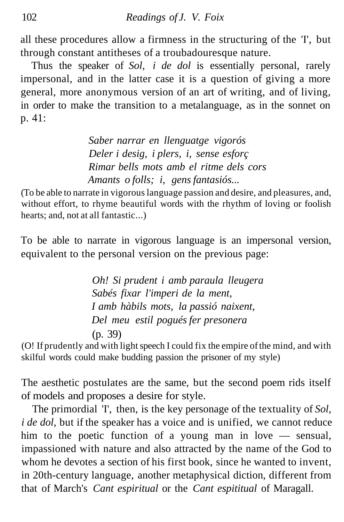all these procedures allow a firmness in the structuring of the 'I', but through constant antitheses of a troubadouresque nature.

Thus the speaker of *Sol, i de dol* is essentially personal, rarely impersonal, and in the latter case it is a question of giving a more general, more anonymous version of an art of writing, and of living, in order to make the transition to a metalanguage, as in the sonnet on p. 41:

> *Saber narrar en llenguatge vigorós Deler i desig, i plers, i, sense esforç Rimar bells mots amb el ritme dels cors Amants o folls; i, gens fantasiós...*

(To be able to narrate in vigorous language passion and desire, and pleasures, and, without effort, to rhyme beautiful words with the rhythm of loving or foolish hearts; and, not at all fantastic...)

To be able to narrate in vigorous language is an impersonal version, equivalent to the personal version on the previous page:

> *Oh! Si prudent i amb paraula lleugera Sabés fixar l'imperi de la ment, I amb hàbils mots, la passió naixent, Del meu estil pogués fer presonera* (p. 39)

(O! If prudently and with light speech I could fix the empire of the mind, and with skilful words could make budding passion the prisoner of my style)

The aesthetic postulates are the same, but the second poem rids itself of models and proposes a desire for style.

The primordial 'I', then, is the key personage of the textuality of *Sol, i de dol*, but if the speaker has a voice and is unified, we cannot reduce him to the poetic function of a young man in love — sensual, impassioned with nature and also attracted by the name of the God to whom he devotes a section of his first book, since he wanted to invent, in 20th-century language, another metaphysical diction, different from that of March's *Cant espiritual* or the *Cant espititual* of Maragall.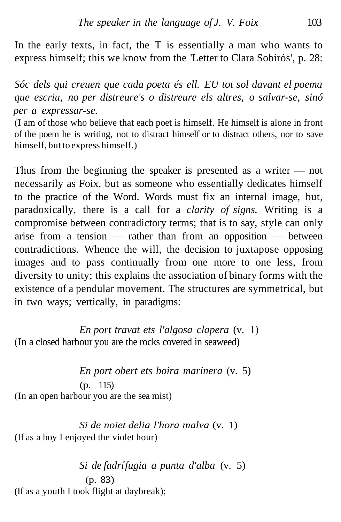In the early texts, in fact, the T is essentially a man who wants to express himself; this we know from the 'Letter to Clara Sobirós', p. 28:

*Sóc dels qui creuen que cada poeta és ell. EU tot sol davant el poema que escriu, no per distreure's o distreure els altres, o salvar-se, sinó per a expressar-se.*

(I am of those who believe that each poet is himself. He himself is alone in front of the poem he is writing, not to distract himself or to distract others, nor to save himself, but to express himself.)

Thus from the beginning the speaker is presented as a writer — not necessarily as Foix, but as someone who essentially dedicates himself to the practice of the Word. Words must fix an internal image, but, paradoxically, there is a call for a *clarity of signs.* Writing is a compromise between contradictory terms; that is to say, style can only arise from a tension — rather than from an opposition — between contradictions. Whence the will, the decision to juxtapose opposing images and to pass continually from one more to one less, from diversity to unity; this explains the association of binary forms with the existence of a pendular movement. The structures are symmetrical, but in two ways; vertically, in paradigms:

*En port travat ets l'algosa clapera* (v. 1) (In a closed harbour you are the rocks covered in seaweed)

*En port obert ets boira marinera* (v. 5) (p. 115) (In an open harbour you are the sea mist)

*Si de noiet delia l'hora malva* (v. 1) (If as a boy I enjoyed the violet hour)

*Si de fadrí fugia a punta d'alba* (v. 5) (p. 83) (If as a youth I took flight at daybreak);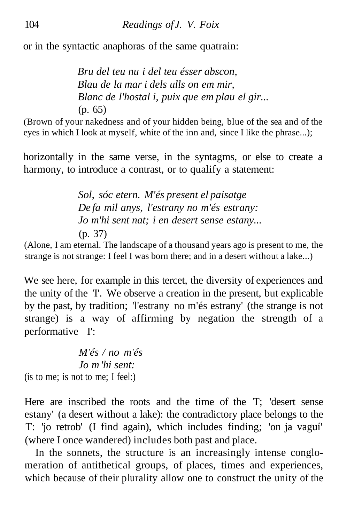or in the syntactic anaphoras of the same quatrain:

*Bru del teu nu i del teu ésser abscon, Blau de la mar i dels ulls on em mir, Blanc de l'hostal i, puix que em plau el gir...* (p. 65)

(Brown of your nakedness and of your hidden being, blue of the sea and of the eyes in which I look at myself, white of the inn and, since I like the phrase...);

horizontally in the same verse, in the syntagms, or else to create a harmony, to introduce a contrast, or to qualify a statement:

> *Sol, sóc etern. M'és present el paisatge De fa mil anys, l'estrany no m'és estrany: Jo m'hi sent nat; i en desert sense estany...* (p. 37)

(Alone, I am eternal. The landscape of a thousand years ago is present to me, the strange is not strange: I feel I was born there; and in a desert without a lake...)

We see here, for example in this tercet, the diversity of experiences and the unity of the 'I'. We observe a creation in the present, but explicable by the past, by tradition; 'l'estrany no m'és estrany' (the strange is not strange) is a way of affirming by negation the strength of a performative I':

*M'és / no m'és Jo m 'hi sent:* (is to me; is not to me; I feel:)

Here are inscribed the roots and the time of the T; 'desert sense estany' (a desert without a lake): the contradictory place belongs to the T: 'jo retrob' (I find again), which includes finding; 'on ja vaguí' (where I once wandered) includes both past and place.

In the sonnets, the structure is an increasingly intense conglomeration of antithetical groups, of places, times and experiences, which because of their plurality allow one to construct the unity of the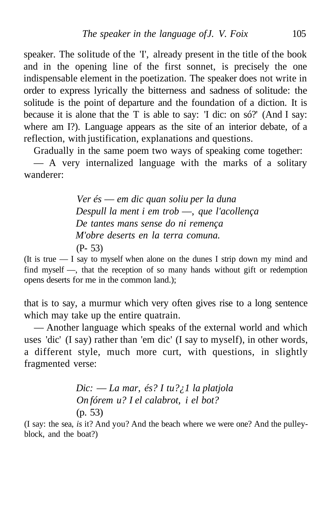speaker. The solitude of the 'I', already present in the title of the book and in the opening line of the first sonnet, is precisely the one indispensable element in the poetization. The speaker does not write in order to express lyrically the bitterness and sadness of solitude: the solitude is the point of departure and the foundation of a diction. It is because it is alone that the T is able to say: 'I dic: on só?' (And I say: where am I?). Language appears as the site of an interior debate, of a reflection, with justification, explanations and questions.

Gradually in the same poem two ways of speaking come together:

— A very internalized language with the marks of a solitary wanderer:

> *Ver és* — *em dic quan soliu per la duna Despull la ment i em trob* —, *que l'acollença De tantes mans sense do ni remença M'obre deserts en la terra comuna.* (P- 53)

(It is true — I say to myself when alone on the dunes I strip down my mind and find myself —, that the reception of so many hands without gift or redemption opens deserts for me in the common land.);

that is to say, a murmur which very often gives rise to a long sentence which may take up the entire quatrain.

— Another language which speaks of the external world and which uses 'dic' (I say) rather than 'em dic' (I say to myself), in other words, a different style, much more curt, with questions, in slightly fragmented verse:

> *Dic:* — *La mar, és? I tu?¿1 la platjola On fórem u? I el calabrot, i el bot?* (p. 53)

(I say: the sea, *is* it? And you? And the beach where we were one? And the pulleyblock, and the boat?)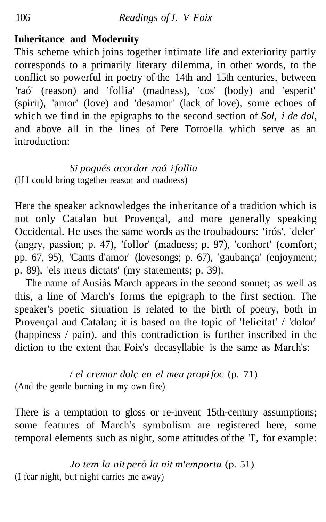### **Inheritance and Modernity**

This scheme which joins together intimate life and exteriority partly corresponds to a primarily literary dilemma, in other words, to the conflict so powerful in poetry of the 14th and 15th centuries, between 'raó' (reason) and 'follia' (madness), 'cos' (body) and 'esperit' (spirit), 'amor' (love) and 'desamor' (lack of love), some echoes of which we find in the epigraphs to the second section of *Sol, i de dol,* and above all in the lines of Pere Torroella which serve as an introduction:

#### *Si pogués acordar raó i follia* (If I could bring together reason and madness)

Here the speaker acknowledges the inheritance of a tradition which is not only Catalan but Provençal, and more generally speaking Occidental. He uses the same words as the troubadours: 'irós', 'deler' (angry, passion; p. 47), 'follor' (madness; p. 97), 'conhort' (comfort; pp. 67, 95), 'Cants d'amor' (lovesongs; p. 67), 'gaubança' (enjoyment; p. 89), 'els meus dictats' (my statements; p. 39).

The name of Ausiàs March appears in the second sonnet; as well as this, a line of March's forms the epigraph to the first section. The speaker's poetic situation is related to the birth of poetry, both in Provençal and Catalan; it is based on the topic of 'felicitat' / 'dolor' (happiness / pain), and this contradiction is further inscribed in the diction to the extent that Foix's decasyllabie is the same as March's:

/ *el cremar dolç en el meu propi foc* (p. 71) (And the gentle burning in my own fire)

There is a temptation to gloss or re-invent 15th-century assumptions; some features of March's symbolism are registered here, some temporal elements such as night, some attitudes of the 'I', for example:

*Jo tem la nit però la nit m'emporta* (p. 51) (I fear night, but night carries me away)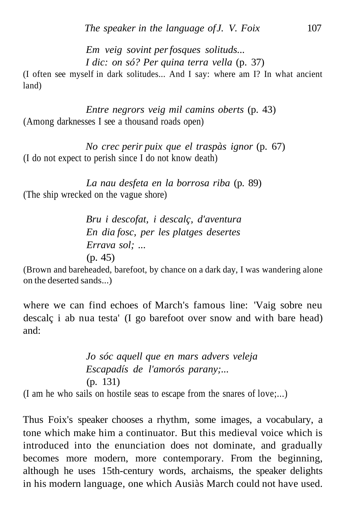*Em veig sovint per fosques solituds... I dic: on só? Per quina terra vella* (p. 37)

(I often see myself in dark solitudes... And I say: where am I? In what ancient land)

*Entre negrors veig mil camins oberts* (p. 43) (Among darknesses I see a thousand roads open)

*No crec perir puix que el traspàs ignor* (p. 67) (I do not expect to perish since I do not know death)

*La nau desfeta en la borrosa riba* (p. 89) (The ship wrecked on the vague shore)

> *Bru i descofat, i descalç, d'aventura En dia fosc, per les platges desertes Errava sol; ...* (p. 45)

(Brown and bareheaded, barefoot, by chance on a dark day, I was wandering alone on the deserted sands...)

where we can find echoes of March's famous line: 'Vaig sobre neu descalç i ab nua testa' (I go barefoot over snow and with bare head) and:

*Jo sóc aquell que en mars advers veleja Escapadís de l'amorós parany;...* (p. 131) (I am he who sails on hostile seas to escape from the snares of love;...)

Thus Foix's speaker chooses a rhythm, some images, a vocabulary, a tone which make him a continuator. But this medieval voice which is introduced into the enunciation does not dominate, and gradually becomes more modern, more contemporary. From the beginning, although he uses 15th-century words, archaisms, the speaker delights in his modern language, one which Ausiàs March could not have used.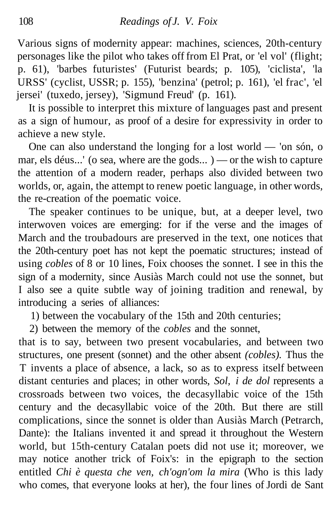Various signs of modernity appear: machines, sciences, 20th-century personages like the pilot who takes off from El Prat, or 'el vol' (flight; p. 61), 'barbes futuristes' (Futurist beards; p. 105), 'ciclista', 'la URSS' (cyclist, USSR; p. 155), 'benzina' (petrol; p. 161), 'el frac', 'el jersei' (tuxedo, jersey), 'Sigmund Freud' (p. 161).

It is possible to interpret this mixture of languages past and present as a sign of humour, as proof of a desire for expressivity in order to achieve a new style.

One can also understand the longing for a lost world — 'on són, o mar, els déus...' (o sea, where are the gods... ) — or the wish to capture the attention of a modern reader, perhaps also divided between two worlds, or, again, the attempt to renew poetic language, in other words, the re-creation of the poematic voice.

The speaker continues to be unique, but, at a deeper level, two interwoven voices are emerging: for if the verse and the images of March and the troubadours are preserved in the text, one notices that the 20th-century poet has not kept the poematic structures; instead of using *cobles* of 8 or 10 lines, Foix chooses the sonnet. I see in this the sign of a modernity, since Ausiàs March could not use the sonnet, but I also see a quite subtle way of joining tradition and renewal, by introducing a series of alliances:

1) between the vocabulary of the 15th and 20th centuries;

2) between the memory of the *cobles* and the sonnet,

that is to say, between two present vocabularies, and between two structures, one present (sonnet) and the other absent *(cobles).* Thus the T invents a place of absence, a lack, so as to express itself between distant centuries and places; in other words, *Sol, i de dol* represents a crossroads between two voices, the decasyllabic voice of the 15th century and the decasyllabic voice of the 20th. But there are still complications, since the sonnet is older than Ausiàs March (Petrarch, Dante): the Italians invented it and spread it throughout the Western world, but 15th-century Catalan poets did not use it; moreover, we may notice another trick of Foix's: in the epigraph to the section entitled *Chi è questa che ven, ch'ogn'om la mira* (Who is this lady who comes, that everyone looks at her), the four lines of Jordi de Sant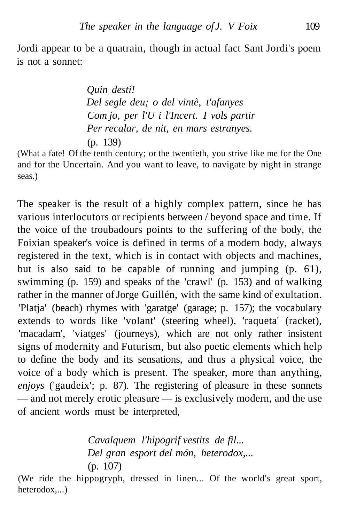Jordi appear to be a quatrain, though in actual fact Sant Jordi's poem is not a sonnet:

> *Quin destí! Del segle deu; o del vintè, t'afanyes Com jo, per l'U i l'Incert. I vols partir Per recalar, de nit, en mars estranyes.* (p. 139)

(What a fate! Of the tenth century; or the twentieth, you strive like me for the One and for the Uncertain. And you want to leave, to navigate by night in strange seas.)

The speaker is the result of a highly complex pattern, since he has various interlocutors or recipients between / beyond space and time. If the voice of the troubadours points to the suffering of the body, the Foixian speaker's voice is defined in terms of a modern body, always registered in the text, which is in contact with objects and machines, but is also said to be capable of running and jumping (p. 61), swimming (p. 159) and speaks of the 'crawl' (p. 153) and of walking rather in the manner of Jorge Guillén, with the same kind of exultation. 'Platja' (beach) rhymes with 'garatge' (garage; p. 157); the vocabulary extends to words like 'volant' (steering wheel), 'raqueta' (racket), 'macadam', 'viatges' (journeys), which are not only rather insistent signs of modernity and Futurism, but also poetic elements which help to define the body and its sensations, and thus a physical voice, the voice of a body which is present. The speaker, more than anything, *enjoys* ('gaudeix'; p. 87). The registering of pleasure in these sonnets — and not merely erotic pleasure — is exclusively modern, and the use of ancient words must be interpreted,

> *Cavalquem l'hipogrif vestits de fil... Del gran esport del món, heterodox,...* (p. 107)

(We ride the hippogryph, dressed in linen... Of the world's great sport, heterodox,...)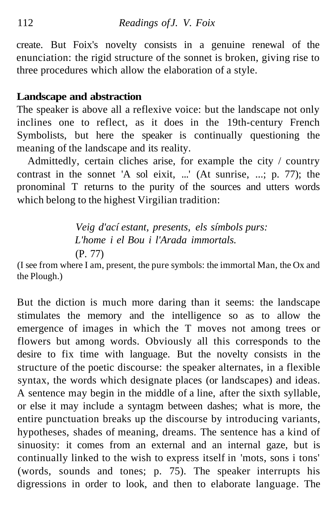create. But Foix's novelty consists in a genuine renewal of the enunciation: the rigid structure of the sonnet is broken, giving rise to three procedures which allow the elaboration of a style.

#### **Landscape and abstraction**

The speaker is above all a reflexive voice: but the landscape not only inclines one to reflect, as it does in the 19th-century French Symbolists, but here the speaker is continually questioning the meaning of the landscape and its reality.

Admittedly, certain cliches arise, for example the city / country contrast in the sonnet 'A sol eixit, ...' (At sunrise, ...; p. 77); the pronominal T returns to the purity of the sources and utters words which belong to the highest Virgilian tradition:

> *Veig d'ací estant, presents, els símbols purs: L'home i el Bou i l'Arada immortals.* (P. 77)

(I see from where I am, present, the pure symbols: the immortal Man, the Ox and the Plough.)

But the diction is much more daring than it seems: the landscape stimulates the memory and the intelligence so as to allow the emergence of images in which the T moves not among trees or flowers but among words. Obviously all this corresponds to the desire to fix time with language. But the novelty consists in the structure of the poetic discourse: the speaker alternates, in a flexible syntax, the words which designate places (or landscapes) and ideas. A sentence may begin in the middle of a line, after the sixth syllable, or else it may include a syntagm between dashes; what is more, the entire punctuation breaks up the discourse by introducing variants, hypotheses, shades of meaning, dreams. The sentence has a kind of sinuosity: it comes from an external and an internal gaze, but is continually linked to the wish to express itself in 'mots, sons i tons' (words, sounds and tones; p. 75). The speaker interrupts his digressions in order to look, and then to elaborate language. The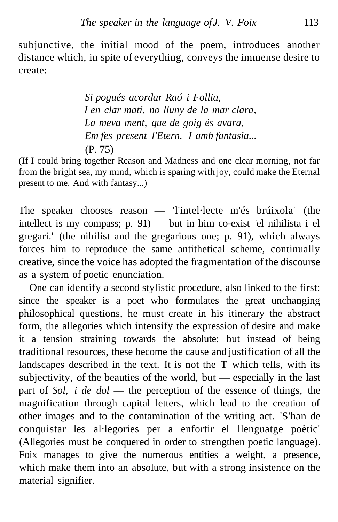subjunctive, the initial mood of the poem, introduces another distance which, in spite of everything, conveys the immense desire to create:

> *Si pogués acordar Raó i Follia, I en clar matí, no lluny de la mar clara, La meva ment, que de goig és avara, Em fes present l'Etern. I amb fantasia...* (P. 75)

(If I could bring together Reason and Madness and one clear morning, not far from the bright sea, my mind, which is sparing with joy, could make the Eternal present to me. And with fantasy...)

The speaker chooses reason — 'l'intel·lecte m'és brúixola' (the intellect is my compass; p. 91) — but in him co-exist 'el nihilista i el gregari.' (the nihilist and the gregarious one; p. 91), which always forces him to reproduce the same antithetical scheme, continually creative, since the voice has adopted the fragmentation of the discourse as a system of poetic enunciation.

One can identify a second stylistic procedure, also linked to the first: since the speaker is a poet who formulates the great unchanging philosophical questions, he must create in his itinerary the abstract form, the allegories which intensify the expression of desire and make it a tension straining towards the absolute; but instead of being traditional resources, these become the cause and justification of all the landscapes described in the text. It is not the T which tells, with its subjectivity, of the beauties of the world, but — especially in the last part of *Sol, i de dol* — the perception of the essence of things, the magnification through capital letters, which lead to the creation of other images and to the contamination of the writing act. 'S'han de conquistar les al·legories per a enfortir el llenguatge poètic' (Allegories must be conquered in order to strengthen poetic language). Foix manages to give the numerous entities a weight, a presence, which make them into an absolute, but with a strong insistence on the material signifier.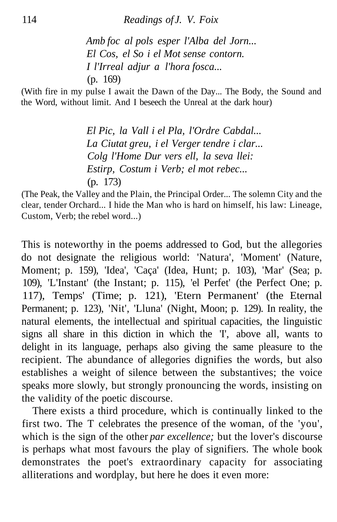*Amb foc al pols esper l'Alba del Jorn... El Cos, el So i el Mot sense contorn. I l'Irreal adjur a l'hora fosca...* (p. 169)

(With fire in my pulse I await the Dawn of the Day... The Body, the Sound and the Word, without limit. And I beseech the Unreal at the dark hour)

> *El Pic, la Vall i el Pla, l'Ordre Cabdal... La Ciutat greu, i el Verger tendre i clar... Colg l'Home Dur vers ell, la seva llei: Estirp, Costum i Verb; el mot rebec...* (p. 173)

(The Peak, the Valley and the Plain, the Principal Order... The solemn City and the clear, tender Orchard... I hide the Man who is hard on himself, his law: Lineage, Custom, Verb; the rebel word...)

This is noteworthy in the poems addressed to God, but the allegories do not designate the religious world: 'Natura', 'Moment' (Nature, Moment; p. 159), 'Idea', 'Caça' (Idea, Hunt; p. 103), 'Mar' (Sea; p. 109), 'L'Instant' (the Instant; p. 115), 'el Perfet' (the Perfect One; p. 117), Temps' (Time; p. 121), 'Etern Permanent' (the Eternal Permanent; p. 123), 'Nit', 'Lluna' (Night, Moon; p. 129). In reality, the natural elements, the intellectual and spiritual capacities, the linguistic signs all share in this diction in which the 'I', above all, wants to delight in its language, perhaps also giving the same pleasure to the recipient. The abundance of allegories dignifies the words, but also establishes a weight of silence between the substantives; the voice speaks more slowly, but strongly pronouncing the words, insisting on the validity of the poetic discourse.

There exists a third procedure, which is continually linked to the first two. The T celebrates the presence of the woman, of the 'you', which is the sign of the other *par excellence;* but the lover's discourse is perhaps what most favours the play of signifiers. The whole book demonstrates the poet's extraordinary capacity for associating alliterations and wordplay, but here he does it even more: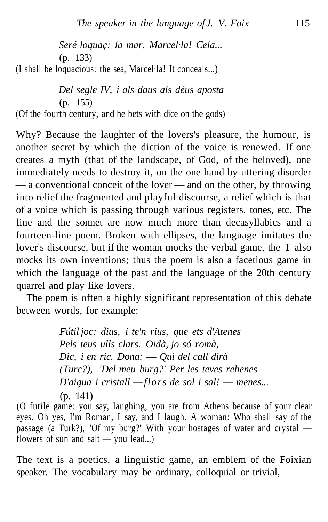*Seré loquaç: la mar, Marcel·la! Cela...* (p. 133)

(I shall be loquacious: the sea, Marcel·la! It conceals...)

*Del segle IV, i als daus als déus aposta* (p. 155) (Of the fourth century, and he bets with dice on the gods)

Why? Because the laughter of the lovers's pleasure, the humour, is another secret by which the diction of the voice is renewed. If one creates a myth (that of the landscape, of God, of the beloved), one immediately needs to destroy it, on the one hand by uttering disorder — a conventional conceit of the lover — and on the other, by throwing into relief the fragmented and playful discourse, a relief which is that of a voice which is passing through various registers, tones, etc. The line and the sonnet are now much more than decasyllabics and a fourteen-line poem. Broken with ellipses, the language imitates the lover's discourse, but if the woman mocks the verbal game, the T also mocks its own inventions; thus the poem is also a facetious game in which the language of the past and the language of the 20th century quarrel and play like lovers.

The poem is often a highly significant representation of this debate between words, for example:

> *Fútil joc: dius, i te'n rius, que ets d'Atenes Pels teus ulls clars. Oidà, jo só romà, Dic, i en ric. Dona:* — *Qui del call dirà (Turc?), 'Del meu burg?' Per les teves rehenes D'aigua i cristall* —*flors de sol i sal!* — *menes...* (p. 141)

(O futile game: you say, laughing, you are from Athens because of your clear eyes. Oh yes, I'm Roman, I say, and I laugh. A woman: Who shall say of the passage (a Turk?), 'Of my burg?' With your hostages of water and crystal flowers of sun and salt — you lead...)

The text is a poetics, a linguistic game, an emblem of the Foixian speaker. The vocabulary may be ordinary, colloquial or trivial,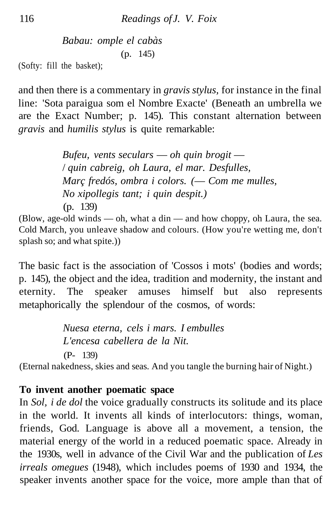*Babau: omple el cabàs* (p. 145)

(Softy: fill the basket);

and then there is a commentary in *gravis stylus,* for instance in the final line: 'Sota paraigua som el Nombre Exacte' (Beneath an umbrella we are the Exact Number; p. 145). This constant alternation between *gravis* and *humilis stylus* is quite remarkable:

> *Bufeu, vents seculars* — *oh quin brogit* — / *quin cabreig, oh Laura, el mar. Desfulles, Març fredós, ombra i colors. (*— *Com me mulles, No xipollegis tant; i quin despit.)* (p. 139)

(Blow, age-old winds — oh, what a din — and how choppy, oh Laura, the sea. Cold March, you unleave shadow and colours. (How you're wetting me, don't splash so; and what spite.))

The basic fact is the association of 'Cossos i mots' (bodies and words; p. 145), the object and the idea, tradition and modernity, the instant and eternity. The speaker amuses himself but also represents metaphorically the splendour of the cosmos, of words:

> *Nuesa eterna, cels i mars. I embulles L'encesa cabellera de la Nit.* (P- 139)

(Eternal nakedness, skies and seas. And you tangle the burning hair of Night.)

## **To invent another poematic space**

In *Sol, i de dol* the voice gradually constructs its solitude and its place in the world. It invents all kinds of interlocutors: things, woman, friends, God. Language is above all a movement, a tension, the material energy of the world in a reduced poematic space. Already in the 1930s, well in advance of the Civil War and the publication of *Les irreals omegues* (1948), which includes poems of 1930 and 1934, the speaker invents another space for the voice, more ample than that of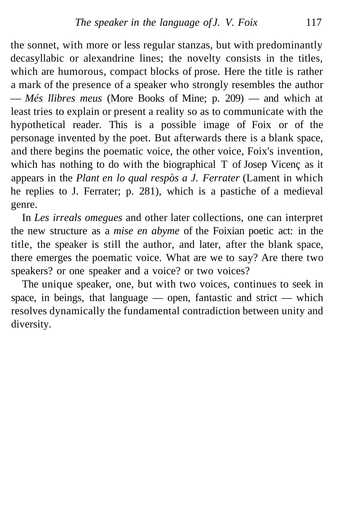the sonnet, with more or less regular stanzas, but with predominantly decasyllabic or alexandrine lines; the novelty consists in the titles, which are humorous, compact blocks of prose. Here the title is rather a mark of the presence of a speaker who strongly resembles the author — *Més llibres meus* (More Books of Mine; p. 209) — and which at least tries to explain or present a reality so as to communicate with the hypothetical reader. This is a possible image of Foix or of the personage invented by the poet. But afterwards there is a blank space, and there begins the poematic voice, the other voice, Foix's invention, which has nothing to do with the biographical T of Josep Vicenç as it appears in the *Plant en lo qual respòs a J. Ferrater* (Lament in which he replies to J. Ferrater; p. 281), which is a pastiche of a medieval genre.

In *Les irreals omegues* and other later collections, one can interpret the new structure as a *mise en abyme* of the Foixian poetic act: in the title, the speaker is still the author, and later, after the blank space, there emerges the poematic voice. What are we to say? Are there two speakers? or one speaker and a voice? or two voices?

The unique speaker, one, but with two voices, continues to seek in space, in beings, that language — open, fantastic and strict — which resolves dynamically the fundamental contradiction between unity and diversity.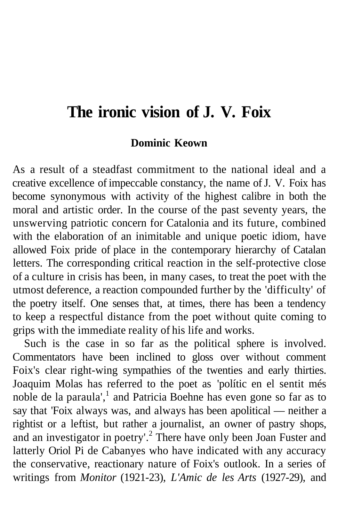# **The ironic vision of J. V. Foix**

#### **Dominic Keown**

As a result of a steadfast commitment to the national ideal and a creative excellence of impeccable constancy, the name of J. V. Foix has become synonymous with activity of the highest calibre in both the moral and artistic order. In the course of the past seventy years, the unswerving patriotic concern for Catalonia and its future, combined with the elaboration of an inimitable and unique poetic idiom, have allowed Foix pride of place in the contemporary hierarchy of Catalan letters. The corresponding critical reaction in the self-protective close of a culture in crisis has been, in many cases, to treat the poet with the utmost deference, a reaction compounded further by the 'difficulty' of the poetry itself. One senses that, at times, there has been a tendency to keep a respectful distance from the poet without quite coming to grips with the immediate reality of his life and works.

Such is the case in so far as the political sphere is involved. Commentators have been inclined to gloss over without comment Foix's clear right-wing sympathies of the twenties and early thirties. Joaquim Molas has referred to the poet as 'polític en el sentit més noble de la paraula',<sup>1</sup> and Patricia Boehne has even gone so far as to say that 'Foix always was, and always has been apolitical — neither a rightist or a leftist, but rather a journalist, an owner of pastry shops, and an investigator in poetry'.<sup>2</sup> There have only been Joan Fuster and latterly Oriol Pi de Cabanyes who have indicated with any accuracy the conservative, reactionary nature of Foix's outlook. In a series of writings from *Monitor* (1921-23), *L'Amic de les Arts* (1927-29), and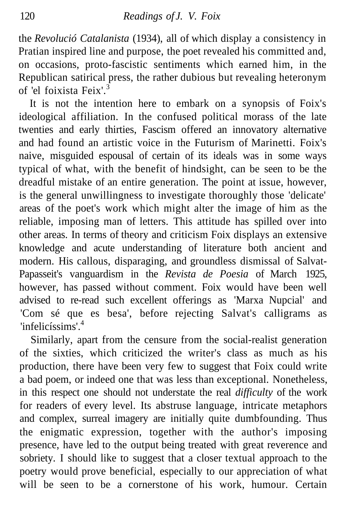the *Revolució Catalanista* (1934), all of which display a consistency in Pratian inspired line and purpose, the poet revealed his committed and, on occasions, proto-fascistic sentiments which earned him, in the Republican satirical press, the rather dubious but revealing heteronym of 'el foixista Feix'<sup>3</sup>

It is not the intention here to embark on a synopsis of Foix's ideological affiliation. In the confused political morass of the late twenties and early thirties, Fascism offered an innovatory alternative and had found an artistic voice in the Futurism of Marinetti. Foix's naive, misguided espousal of certain of its ideals was in some ways typical of what, with the benefit of hindsight, can be seen to be the dreadful mistake of an entire generation. The point at issue, however, is the general unwillingness to investigate thoroughly those 'delicate' areas of the poet's work which might alter the image of him as the reliable, imposing man of letters. This attitude has spilled over into other areas. In terms of theory and criticism Foix displays an extensive knowledge and acute understanding of literature both ancient and modern. His callous, disparaging, and groundless dismissal of Salvat-Papasseit's vanguardism in the *Revista de Poesia* of March 1925, however, has passed without comment. Foix would have been well advised to re-read such excellent offerings as 'Marxa Nupcial' and 'Com sé que es besa', before rejecting Salvat's calligrams as 'infelicíssims'.<sup>4</sup>

Similarly, apart from the censure from the social-realist generation of the sixties, which criticized the writer's class as much as his production, there have been very few to suggest that Foix could write a bad poem, or indeed one that was less than exceptional. Nonetheless, in this respect one should not understate the real *difficulty* of the work for readers of every level. Its abstruse language, intricate metaphors and complex, surreal imagery are initially quite dumbfounding. Thus the enigmatic expression, together with the author's imposing presence, have led to the output being treated with great reverence and sobriety. I should like to suggest that a closer textual approach to the poetry would prove beneficial, especially to our appreciation of what will be seen to be a cornerstone of his work, humour. Certain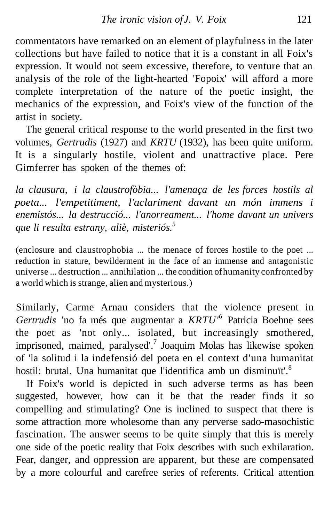commentators have remarked on an element of playfulness in the later collections but have failed to notice that it is a constant in all Foix's expression. It would not seem excessive, therefore, to venture that an analysis of the role of the light-hearted 'Fopoix' will afford a more complete interpretation of the nature of the poetic insight, the mechanics of the expression, and Foix's view of the function of the artist in society.

The general critical response to the world presented in the first two volumes, *Gertrudis* (1927) and *KRTU* (1932), has been quite uniform. It is a singularly hostile, violent and unattractive place. Pere Gimferrer has spoken of the themes of:

*la clausura, i la claustrofòbia... l'amenaça de les forces hostils al poeta... l'empetitiment, l'aclariment davant un món immens i enemistós... la destrucció... l'anorreament... l'home davant un univers que li resulta estrany, aliè, misteriós.<sup>5</sup>*

(enclosure and claustrophobia ... the menace of forces hostile to the poet ... reduction in stature, bewilderment in the face of an immense and antagonistic universe ... destruction ... annihilation ... the condition of humanity confronted by a world which is strange, alien and mysterious.)

Similarly, Carme Arnau considers that the violence present in *Gertrudis* 'no fa més que augmentar a *KRTU'<sup>6</sup>* Patricia Boehne sees the poet as 'not only... isolated, but increasingly smothered, imprisoned, maimed, paralysed'.<sup>7</sup> Joaquim Molas has likewise spoken of 'la solitud i la indefensió del poeta en el context d'una humanitat hostil: brutal. Una humanitat que l'identifica amb un disminuït'.<sup>8</sup>

If Foix's world is depicted in such adverse terms as has been suggested, however, how can it be that the reader finds it so compelling and stimulating? One is inclined to suspect that there is some attraction more wholesome than any perverse sado-masochistic fascination. The answer seems to be quite simply that this is merely one side of the poetic reality that Foix describes with such exhilaration. Fear, danger, and oppression are apparent, but these are compensated by a more colourful and carefree series of referents. Critical attention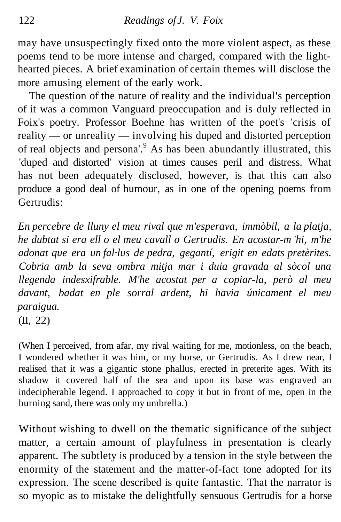may have unsuspectingly fixed onto the more violent aspect, as these poems tend to be more intense and charged, compared with the lighthearted pieces. A brief examination of certain themes will disclose the more amusing element of the early work.

The question of the nature of reality and the individual's perception of it was a common Vanguard preoccupation and is duly reflected in Foix's poetry. Professor Boehne has written of the poet's 'crisis of reality — or unreality — involving his duped and distorted perception of real objects and persona'.<sup>9</sup> As has been abundantly illustrated, this 'duped and distorted' vision at times causes peril and distress. What has not been adequately disclosed, however, is that this can also produce a good deal of humour, as in one of the opening poems from Gertrudis:

*En percebre de lluny el meu rival que m'esperava, immòbil, a la platja, he dubtat si era ell o el meu cavall o Gertrudis. En acostar-m 'hi, m'he adonat que era un fal·lus de pedra, gegantí, erigit en edats pretèrites. Cobria amb la seva ombra mitja mar i duia gravada al sòcol una llegenda indesxifrable. M'he acostat per a copiar-la, però al meu davant, badat en ple sorral ardent, hi havia únicament el meu paraigua.*

(II, 22)

(When I perceived, from afar, my rival waiting for me, motionless, on the beach, I wondered whether it was him, or my horse, or Gertrudis. As I drew near, I realised that it was a gigantic stone phallus, erected in preterite ages. With its shadow it covered half of the sea and upon its base was engraved an indecipherable legend. I approached to copy it but in front of me, open in the burning sand, there was only my umbrella.)

Without wishing to dwell on the thematic significance of the subject matter, a certain amount of playfulness in presentation is clearly apparent. The subtlety is produced by a tension in the style between the enormity of the statement and the matter-of-fact tone adopted for its expression. The scene described is quite fantastic. That the narrator is so myopic as to mistake the delightfully sensuous Gertrudis for a horse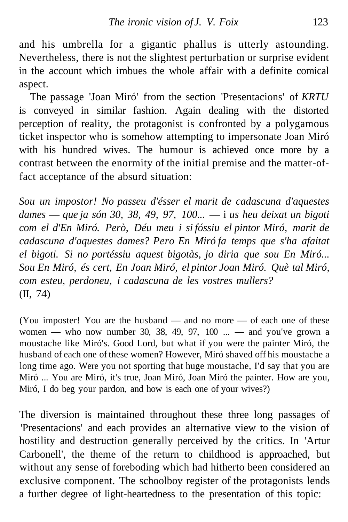and his umbrella for a gigantic phallus is utterly astounding. Nevertheless, there is not the slightest perturbation or surprise evident in the account which imbues the whole affair with a definite comical aspect.

The passage 'Joan Miró' from the section 'Presentacions' of *KRTU* is conveyed in similar fashion. Again dealing with the distorted perception of reality, the protagonist is confronted by a polygamous ticket inspector who is somehow attempting to impersonate Joan Miró with his hundred wives. The humour is achieved once more by a contrast between the enormity of the initial premise and the matter-offact acceptance of the absurd situation:

*Sou un impostor! No passeu d'ésser el marit de cadascuna d'aquestes dames* — *que ja són 30, 38, 49, 97, 100...* — i *us heu deixat un bigoti com el d'En Miró. Però, Déu meu i si fóssiu el pintor Miró, marit de cadascuna d'aquestes dames? Pero En Miró fa temps que s'ha afaitat el bigoti. Si no portéssiu aquest bigotàs, jo diria que sou En Miró... Sou En Miró, és cert, En Joan Miró, el pintor Joan Miró. Què tal Miró, com esteu, perdoneu, i cadascuna de les vostres mullers?* (II, 74)

(You imposter! You are the husband — and no more — of each one of these women — who now number 30, 38, 49, 97,  $100$  ... — and you've grown a moustache like Miró's. Good Lord, but what if you were the painter Miró, the husband of each one of these women? However, Miró shaved off his moustache a long time ago. Were you not sporting that huge moustache, I'd say that you are Miró ... You are Miró, it's true, Joan Miró, Joan Miró the painter. How are you, Miró, I do beg your pardon, and how is each one of your wives?)

The diversion is maintained throughout these three long passages of 'Presentacions' and each provides an alternative view to the vision of hostility and destruction generally perceived by the critics. In 'Artur Carbonell', the theme of the return to childhood is approached, but without any sense of foreboding which had hitherto been considered an exclusive component. The schoolboy register of the protagonists lends a further degree of light-heartedness to the presentation of this topic: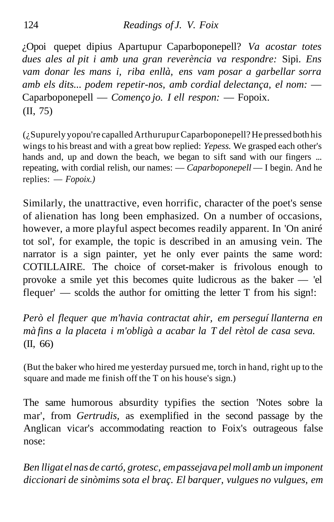¿Opoi quepet dipius Apartupur Caparboponepell? *Va acostar totes dues ales al pit i amb una gran reverència va respondre:* Sipi. *Ens vam donar les mans i, riba enllà, ens vam posar a garbellar sorra amb els dits... podem repetir-nos, amb cordial delectança, el nom:* — Caparboponepell — *Començo jo. I ell respon:* — Fopoix. (II, 75)

(¿Supurely yopou're capalled Arthurupur Caparboponepell? He pressed both his wings to his breast and with a great bow replied: *Yepess.* We grasped each other's hands and, up and down the beach, we began to sift sand with our fingers ... repeating, with cordial relish, our names: — *Caparboponepell* — I begin. And he replies: — *Fopoix.)*

Similarly, the unattractive, even horrific, character of the poet's sense of alienation has long been emphasized. On a number of occasions, however, a more playful aspect becomes readily apparent. In 'On aniré tot sol', for example, the topic is described in an amusing vein. The narrator is a sign painter, yet he only ever paints the same word: COTILLAIRE. The choice of corset-maker is frivolous enough to provoke a smile yet this becomes quite ludicrous as the baker — 'el flequer' — scolds the author for omitting the letter T from his sign!:

*Però el flequer que m'havia contractat ahir, em perseguí llanterna en mà fins a la placeta i m'obligà a acabar la T del rètol de casa seva.* (II, 66)

(But the baker who hired me yesterday pursued me, torch in hand, right up to the square and made me finish off the T on his house's sign.)

The same humorous absurdity typifies the section 'Notes sobre la mar', from *Gertrudis,* as exemplified in the second passage by the Anglican vicar's accommodating reaction to Foix's outrageous false nose:

*Ben lligat el nas de cartó, grotesc, em passejava pel moll amb un imponent diccionari de sinòmims sota el braç. El barquer, vulgues no vulgues, em*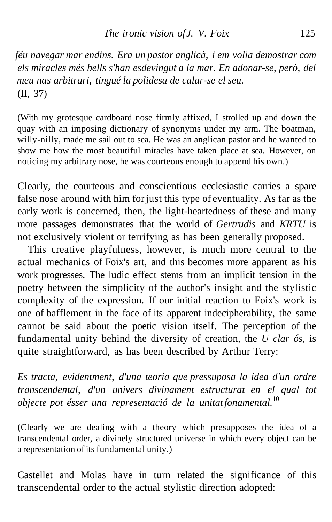*féu navegar mar endins. Era un pastor anglicà, i em volia demostrar com els miracles més bells s'han esdevingut a la mar. En adonar-se, però, del meu nas arbitrari, tingué la polidesa de calar-se el seu.* (II, 37)

(With my grotesque cardboard nose firmly affixed, I strolled up and down the quay with an imposing dictionary of synonyms under my arm. The boatman, willy-nilly, made me sail out to sea. He was an anglican pastor and he wanted to show me how the most beautiful miracles have taken place at sea. However, on noticing my arbitrary nose, he was courteous enough to append his own.)

Clearly, the courteous and conscientious ecclesiastic carries a spare false nose around with him for just this type of eventuality. As far as the early work is concerned, then, the light-heartedness of these and many more passages demonstrates that the world of *Gertrudis* and *KRTU* is not exclusively violent or terrifying as has been generally proposed.

This creative playfulness, however, is much more central to the actual mechanics of Foix's art, and this becomes more apparent as his work progresses. The ludic effect stems from an implicit tension in the poetry between the simplicity of the author's insight and the stylistic complexity of the expression. If our initial reaction to Foix's work is one of bafflement in the face of its apparent indecipherability, the same cannot be said about the poetic vision itself. The perception of the fundamental unity behind the diversity of creation, the *U clar ós,* is quite straightforward, as has been described by Arthur Terry:

*Es tracta, evidentment, d'una teoria que pressuposa la idea d'un ordre transcendental, d'un univers divinament estructurat en el qual tot objecte pot ésser una representació de la unitat fonamental.*<sup>10</sup>

(Clearly we are dealing with a theory which presupposes the idea of a transcendental order, a divinely structured universe in which every object can be a representation of its fundamental unity.)

Castellet and Molas have in turn related the significance of this transcendental order to the actual stylistic direction adopted: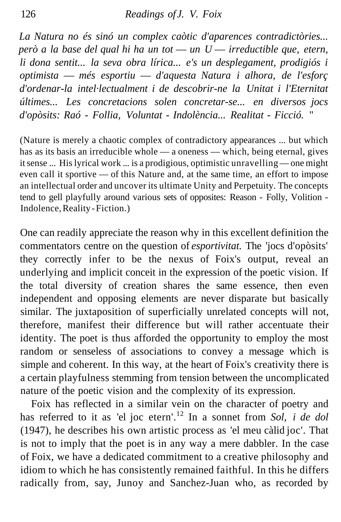*La Natura no és sinó un complex caòtic d'aparences contradictòries... però a la base del qual hi ha un tot* — *un U* — *irreductible que, etern, li dona sentit... la seva obra lírica... e's un desplegament, prodigiós i optimista* — *més esportiu* — *d'aquesta Natura i alhora, de l'esforç d'ordenar-la intel·lectualment i de descobrir-ne la Unitat i l'Eternitat últimes... Les concretacions solen concretar-se... en diversos jocs d'opòsits: Raó - Follia, Voluntat - Indolència... Realitat - Ficció.* "

(Nature is merely a chaotic complex of contradictory appearances ... but which has as its basis an irreducible whole — a oneness — which, being eternal, gives it sense ... His lyrical work ... is a prodigious, optimistic unravelling — one might even call it sportive — of this Nature and, at the same time, an effort to impose an intellectual order and uncover its ultimate Unity and Perpetuity. The concepts tend to gell playfully around various sets of opposites: Reason - Folly, Volition - Indolence, Reality - Fiction.)

One can readily appreciate the reason why in this excellent definition the commentators centre on the question of *esportivitat.* The 'jocs d'opòsits' they correctly infer to be the nexus of Foix's output, reveal an underlying and implicit conceit in the expression of the poetic vision. If the total diversity of creation shares the same essence, then even independent and opposing elements are never disparate but basically similar. The juxtaposition of superficially unrelated concepts will not, therefore, manifest their difference but will rather accentuate their identity. The poet is thus afforded the opportunity to employ the most random or senseless of associations to convey a message which is simple and coherent. In this way, at the heart of Foix's creativity there is a certain playfulness stemming from tension between the uncomplicated nature of the poetic vision and the complexity of its expression.

Foix has reflected in a similar vein on the character of poetry and has referred to it as 'el joc etern'.<sup>12</sup> In a sonnet from *Sol, i de dol* (1947), he describes his own artistic process as 'el meu càlid joc'. That is not to imply that the poet is in any way a mere dabbler. In the case of Foix, we have a dedicated commitment to a creative philosophy and idiom to which he has consistently remained faithful. In this he differs radically from, say, Junoy and Sanchez-Juan who, as recorded by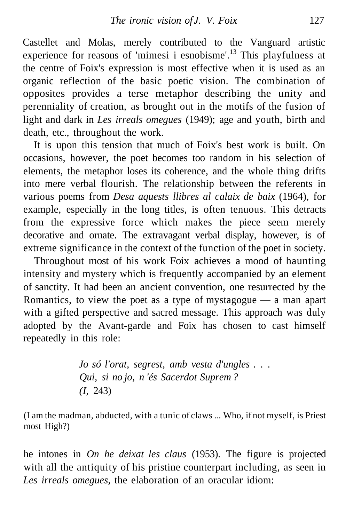Castellet and Molas, merely contributed to the Vanguard artistic experience for reasons of 'mimesi i esnobisme'.<sup>13</sup> This playfulness at the centre of Foix's expression is most effective when it is used as an organic reflection of the basic poetic vision. The combination of opposites provides a terse metaphor describing the unity and perenniality of creation, as brought out in the motifs of the fusion of light and dark in *Les irreals omegues* (1949); age and youth, birth and death, etc., throughout the work.

It is upon this tension that much of Foix's best work is built. On occasions, however, the poet becomes too random in his selection of elements, the metaphor loses its coherence, and the whole thing drifts into mere verbal flourish. The relationship between the referents in various poems from *Desa aquests llibres al calaix de baix* (1964), for example, especially in the long titles, is often tenuous. This detracts from the expressive force which makes the piece seem merely decorative and ornate. The extravagant verbal display, however, is of extreme significance in the context of the function of the poet in society.

Throughout most of his work Foix achieves a mood of haunting intensity and mystery which is frequently accompanied by an element of sanctity. It had been an ancient convention, one resurrected by the Romantics, to view the poet as a type of mystagogue — a man apart with a gifted perspective and sacred message. This approach was duly adopted by the Avant-garde and Foix has chosen to cast himself repeatedly in this role:

> *Jo só l'orat, segrest, amb vesta d'ungles . . . Qui, si no jo, n 'és Sacerdot Suprem ? (I*, 243)

(I am the madman, abducted, with a tunic of claws ... Who, if not myself, is Priest most High?)

he intones in *On he deixat les claus* (1953). The figure is projected with all the antiquity of his pristine counterpart including, as seen in *Les irreals omegues,* the elaboration of an oracular idiom: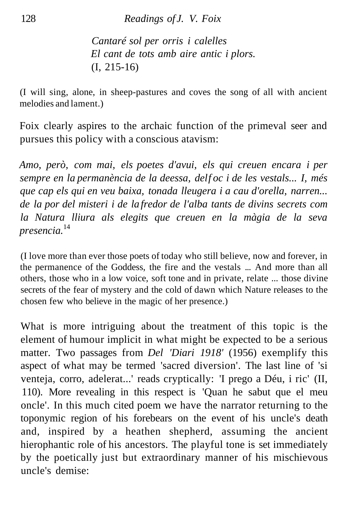*Cantaré sol per orris i calelles El cant de tots amb aire antic i plors.* (I, 215-16)

(I will sing, alone, in sheep-pastures and coves the song of all with ancient melodies and lament.)

Foix clearly aspires to the archaic function of the primeval seer and pursues this policy with a conscious atavism:

*Amo, però, com mai, els poetes d'avui, els qui creuen encara i per* sempre en la permanència de la deessa, delf oc i de les vestals... I, més *que cap els qui en veu baixa, tonada lleugera i a cau d'orella, narren... de la por del misteri i de la fredor de l'alba tants de divins secrets com la Natura lliura als elegits que creuen en la màgia de la seva presencia.*<sup>14</sup>

(I love more than ever those poets of today who still believe, now and forever, in the permanence of the Goddess, the fire and the vestals ... And more than all others, those who in a low voice, soft tone and in private, relate ... those divine secrets of the fear of mystery and the cold of dawn which Nature releases to the chosen few who believe in the magic of her presence.)

What is more intriguing about the treatment of this topic is the element of humour implicit in what might be expected to be a serious matter. Two passages from *Del 'Diari 1918'* (1956) exemplify this aspect of what may be termed 'sacred diversion'. The last line of 'si venteja, corro, adelerat...' reads cryptically: 'I prego a Déu, i ric' (II, 110). More revealing in this respect is 'Quan he sabut que el meu oncle'. In this much cited poem we have the narrator returning to the toponymic region of his forebears on the event of his uncle's death and, inspired by a heathen shepherd, assuming the ancient hierophantic role of his ancestors. The playful tone is set immediately by the poetically just but extraordinary manner of his mischievous uncle's demise: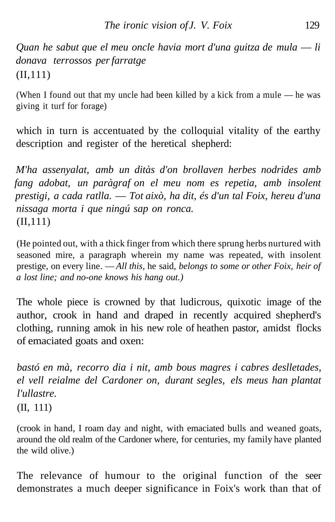*Quan he sabut que el meu oncle havia mort d'una guitza de mula* — *li donava terrossos per farratge* (II,111)

(When I found out that my uncle had been killed by a kick from a mule — he was giving it turf for forage)

which in turn is accentuated by the colloquial vitality of the earthy description and register of the heretical shepherd:

*M'ha assenyalat, amb un ditàs d'on brollaven herbes nodrides amb fang adobat, un paràgraf on el meu nom es repetia, amb insolent prestigi, a cada ratlla.* — *Tot això, ha dit, és d'un tal Foix, hereu d'una nissaga morta i que ningú sap on ronca.* (II,111)

(He pointed out, with a thick finger from which there sprung herbs nurtured with seasoned mire, a paragraph wherein my name was repeated, with insolent prestige, on every line. — *All this,* he said, *belongs to some or other Foix, heir of a lost line; and no-one knows his hang out.)*

The whole piece is crowned by that ludicrous, quixotic image of the author, crook in hand and draped in recently acquired shepherd's clothing, running amok in his new role of heathen pastor, amidst flocks of emaciated goats and oxen:

*bastó en mà, recorro dia i nit, amb bous magres i cabres deslletades, el vell reialme del Cardoner on, durant segles, els meus han plantat l'ullastre.* (II, 111)

(crook in hand, I roam day and night, with emaciated bulls and weaned goats, around the old realm of the Cardoner where, for centuries, my family have planted the wild olive.)

The relevance of humour to the original function of the seer demonstrates a much deeper significance in Foix's work than that of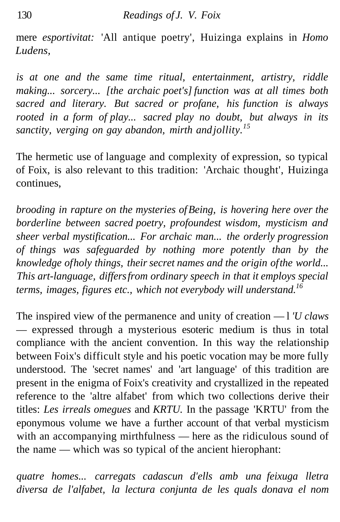mere *esportivitat:* 'All antique poetry', Huizinga explains in *Homo Ludens,*

*is at one and the same time ritual, entertainment, artistry, riddle making... sorcery... [the archaic poet's] function was at all times both sacred and literary. But sacred or profane, his function is always rooted in a form of play... sacred play no doubt, but always in its sanctity, verging on gay abandon, mirth and jollity.<sup>15</sup>*

The hermetic use of language and complexity of expression, so typical of Foix, is also relevant to this tradition: 'Archaic thought', Huizinga continues,

*brooding in rapture on the mysteries of Being, is hovering here over the borderline between sacred poetry, profoundest wisdom, mysticism and sheer verbal mystification... For archaic man... the orderly progression of things was safeguarded by nothing more potently than by the knowledge of holy things, their secret names and the origin of the world... This art-language, differs from ordinary speech in that it employs special terms, images, figures etc., which not everybody will understand.<sup>16</sup>*

The inspired view of the permanence and unity of creation — l *'U claws* — expressed through a mysterious esoteric medium is thus in total compliance with the ancient convention. In this way the relationship between Foix's difficult style and his poetic vocation may be more fully understood. The 'secret names' and 'art language' of this tradition are present in the enigma of Foix's creativity and crystallized in the repeated reference to the 'altre alfabet' from which two collections derive their titles: *Les irreals omegues* and *KRTU.* In the passage 'KRTU' from the eponymous volume we have a further account of that verbal mysticism with an accompanying mirthfulness — here as the ridiculous sound of the name — which was so typical of the ancient hierophant:

*quatre homes... carregats cadascun d'ells amb una feixuga lletra diversa de l'alfabet, la lectura conjunta de les quals donava el nom*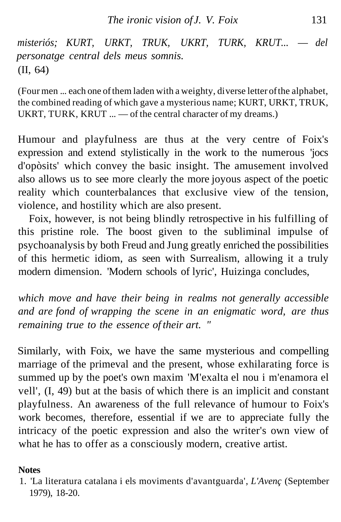*misteriós; KURT, URKT, TRUK, UKRT, TURK, KRUT...* — *del personatge central dels meus somnis.* (II, 64)

(Four men ... each one of them laden with a weighty, di verse letter of the alphabet, the combined reading of which gave a mysterious name; KURT, URKT, TRUK, UKRT, TURK, KRUT ... — of the central character of my dreams.)

Humour and playfulness are thus at the very centre of Foix's expression and extend stylistically in the work to the numerous 'jocs d'opòsits' which convey the basic insight. The amusement involved also allows us to see more clearly the more joyous aspect of the poetic reality which counterbalances that exclusive view of the tension, violence, and hostility which are also present.

Foix, however, is not being blindly retrospective in his fulfilling of this pristine role. The boost given to the subliminal impulse of psychoanalysis by both Freud and Jung greatly enriched the possibilities of this hermetic idiom, as seen with Surrealism, allowing it a truly modern dimension. 'Modern schools of lyric', Huizinga concludes,

*which move and have their being in realms not generally accessible and are fond of wrapping the scene in an enigmatic word, are thus remaining true to the essence of their art. "*

Similarly, with Foix, we have the same mysterious and compelling marriage of the primeval and the present, whose exhilarating force is summed up by the poet's own maxim 'M'exalta el nou i m'enamora el vell', (I, 49) but at the basis of which there is an implicit and constant playfulness. An awareness of the full relevance of humour to Foix's work becomes, therefore, essential if we are to appreciate fully the intricacy of the poetic expression and also the writer's own view of what he has to offer as a consciously modern, creative artist.

## **Notes**

<sup>1. &#</sup>x27;La literatura catalana i els moviments d'avantguarda', *L'Avenç* (September 1979), 18-20.